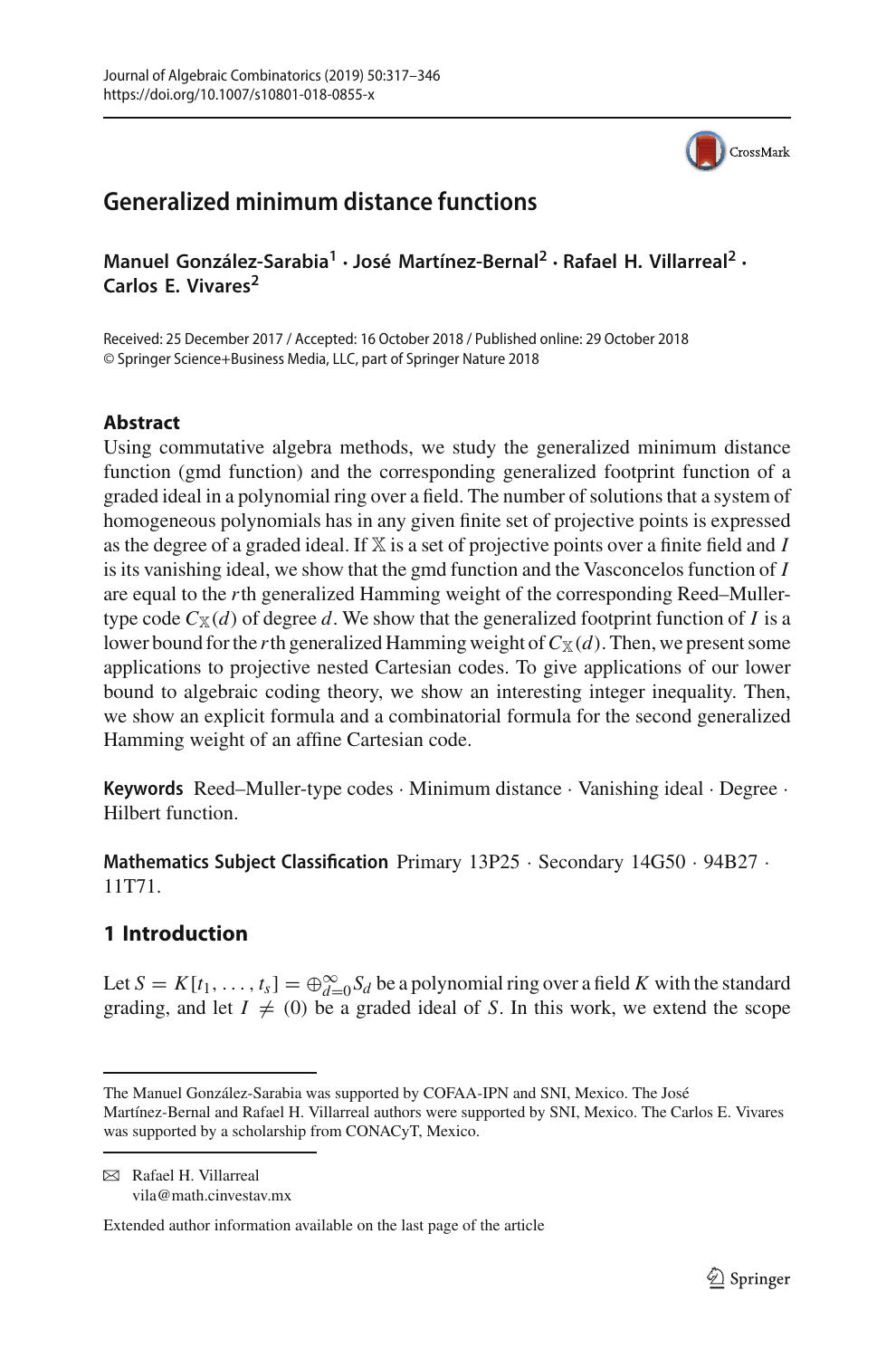

# **Generalized minimum distance functions**

**Manuel González-Sarabia1 · José Martínez-Bernal2 · Rafael H. Villarreal2 · Carlos E. Vivares<sup>2</sup>**

Received: 25 December 2017 / Accepted: 16 October 2018 / Published online: 29 October 2018 © Springer Science+Business Media, LLC, part of Springer Nature 2018

### **Abstract**

Using commutative algebra methods, we study the generalized minimum distance function (gmd function) and the corresponding generalized footprint function of a graded ideal in a polynomial ring over a field. The number of solutions that a system of homogeneous polynomials has in any given finite set of projective points is expressed as the degree of a graded ideal. If X is a set of projective points over a finite field and *I* is its vanishing ideal, we show that the gmd function and the Vasconcelos function of *I* are equal to the *r*th generalized Hamming weight of the corresponding Reed–Mullertype code  $C_{\mathbb{X}}(d)$  of degree *d*. We show that the generalized footprint function of *I* is a lower bound for the *r*th generalized Hamming weight of  $C_{\mathbb{X}}(d)$ . Then, we present some applications to projective nested Cartesian codes. To give applications of our lower bound to algebraic coding theory, we show an interesting integer inequality. Then, we show an explicit formula and a combinatorial formula for the second generalized Hamming weight of an affine Cartesian code.

**Keywords** Reed–Muller-type codes · Minimum distance · Vanishing ideal · Degree · Hilbert function.

**Mathematics Subject Classification** Primary 13P25 · Secondary 14G50 · 94B27 · 11T71.

## <span id="page-0-0"></span>**1 Introduction**

Let  $S = K[t_1, \ldots, t_s] = \bigoplus_{d=0}^{\infty} S_d$  be a polynomial ring over a field *K* with the standard grading, and let  $I \neq (0)$  be a graded ideal of *S*. In this work, we extend the scope

 $\boxtimes$  Rafael H. Villarreal vila@math.cinvestav.mx

Extended author information available on the last page of the article

The Manuel González-Sarabia was supported by COFAA-IPN and SNI, Mexico. The José Martínez-Bernal and Rafael H. Villarreal authors were supported by SNI, Mexico. The Carlos E. Vivares was supported by a scholarship from CONACyT, Mexico.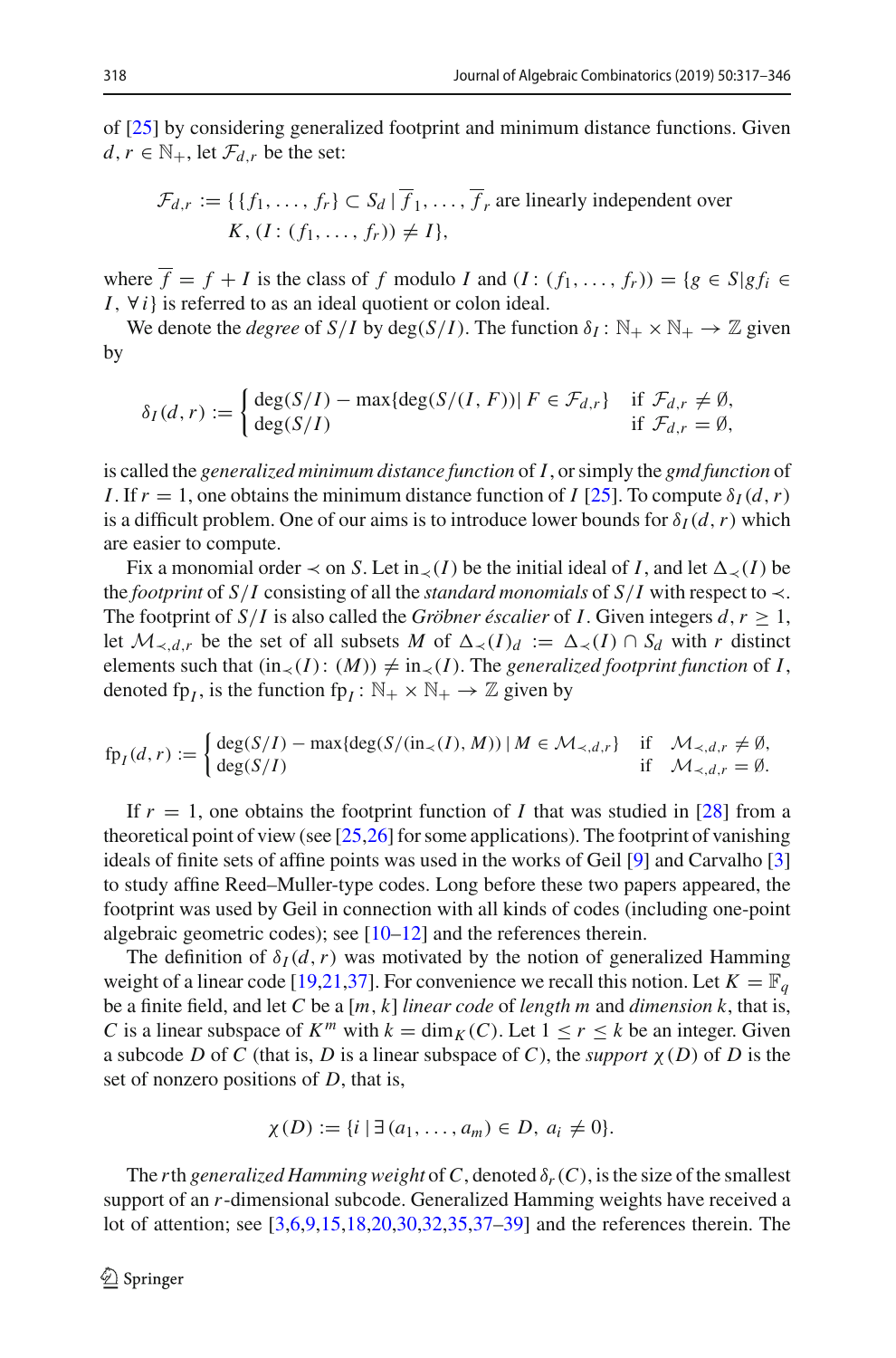of [\[25\]](#page-28-0) by considering generalized footprint and minimum distance functions. Given *d*, *r* ∈  $\mathbb{N}_+$ , let  $\mathcal{F}_{d,r}$  be the set:

$$
\mathcal{F}_{d,r} := \{ \{f_1, \ldots, f_r\} \subset S_d \mid \overline{f}_1, \ldots, \overline{f}_r \text{ are linearly independent over } K, (I: (f_1, \ldots, f_r)) \neq I \},\
$$

where  $\overline{f} = f + I$  is the class of *f* modulo *I* and  $(I: (f_1, ..., f_r)) = \{g \in S | g f_i \in I\}$ *I*, ∀*i*} is referred to as an ideal quotient or colon ideal.

We denote the *degree* of *S*/*I* by deg(*S*/*I*). The function  $\delta_I : \mathbb{N}_+ \times \mathbb{N}_+ \to \mathbb{Z}$  given by

$$
\delta_I(d, r) := \begin{cases} \deg(S/I) - \max\{\deg(S/(I, F)) | F \in \mathcal{F}_{d,r}\} & \text{if } \mathcal{F}_{d,r} \neq \emptyset, \\ \deg(S/I) & \text{if } \mathcal{F}_{d,r} = \emptyset, \end{cases}
$$

is called the *generalized minimum distance function* of *I*, or simply the *gmd function* of *I*. If  $r = 1$ , one obtains the minimum distance function of *I* [\[25\]](#page-28-0). To compute  $\delta_I(d, r)$ is a difficult problem. One of our aims is to introduce lower bounds for  $\delta_I(d, r)$  which are easier to compute.

Fix a monomial order  $\prec$  on *S*. Let in $\prec$  *(I)* be the initial ideal of *I*, and let  $\Delta_{\prec}$  *(I)* be the *footprint* of *S*/*I* consisting of all the *standard monomials* of *S*/*I* with respect to  $\prec$ . The footprint of *S*/*I* is also called the *Gröbner éscalier* of *I*. Given integers  $d, r \geq 1$ , let  $M_{\prec d,r}$  be the set of all subsets *M* of  $\Delta_{\prec}(I)_d := \Delta_{\prec}(I) \cap S_d$  with *r* distinct elements such that  $(in_{\prec}(I):(M)) \neq in_{\prec}(I)$ . The *generalized footprint function* of *I*, denoted fp<sub>*I*</sub>, is the function fp<sub>*I*</sub>:  $\mathbb{N}_+ \times \mathbb{N}_+ \rightarrow \mathbb{Z}$  given by

$$
\text{fp}_I(d, r) := \begin{cases} \deg(S/I) - \max\{\deg(S/(\text{in}_{\prec}(I), M)) \mid M \in \mathcal{M}_{\prec, d, r}\} & \text{if } \mathcal{M}_{\prec, d, r} \neq \emptyset, \\ \deg(S/I) & \text{if } \mathcal{M}_{\prec, d, r} = \emptyset. \end{cases}
$$

If  $r = 1$ , one obtains the footprint function of *I* that was studied in [\[28\]](#page-28-1) from a theoretical point of view (see [\[25](#page-28-0)[,26](#page-28-2)] for some applications). The footprint of vanishing ideals of finite sets of affine points was used in the works of Geil [\[9\]](#page-28-3) and Carvalho [\[3\]](#page-27-0) to study affine Reed–Muller-type codes. Long before these two papers appeared, the footprint was used by Geil in connection with all kinds of codes (including one-point algebraic geometric codes); see [\[10](#page-28-4)[–12\]](#page-28-5) and the references therein.

The definition of  $\delta_I(d, r)$  was motivated by the notion of generalized Hamming weight of a linear code [\[19](#page-28-6)[,21](#page-28-7)[,37\]](#page-28-8). For convenience we recall this notion. Let  $K = \mathbb{F}_q$ be a finite field, and let *C* be a [*m*, *k*] *linear code* of *length m* and *dimension k*, that is, *C* is a linear subspace of  $K^m$  with  $k = \dim_K(C)$ . Let  $1 \le r \le k$  be an integer. Given a subcode *D* of *C* (that is, *D* is a linear subspace of *C*), the *support*  $\chi$  (*D*) of *D* is the set of nonzero positions of *D*, that is,

$$
\chi(D) := \{i \mid \exists (a_1, \ldots, a_m) \in D, a_i \neq 0\}.
$$

The *r*th generalized Hamming weight of C, denoted  $\delta_r(C)$ , is the size of the smallest support of an *r*-dimensional subcode. Generalized Hamming weights have received a lot of attention; see [\[3](#page-27-0)[,6](#page-27-1)[,9](#page-28-3)[,15](#page-28-9)[,18](#page-28-10)[,20](#page-28-11)[,30](#page-28-12)[,32](#page-28-13)[,35](#page-28-14)[,37](#page-28-8)[–39\]](#page-29-0) and the references therein. The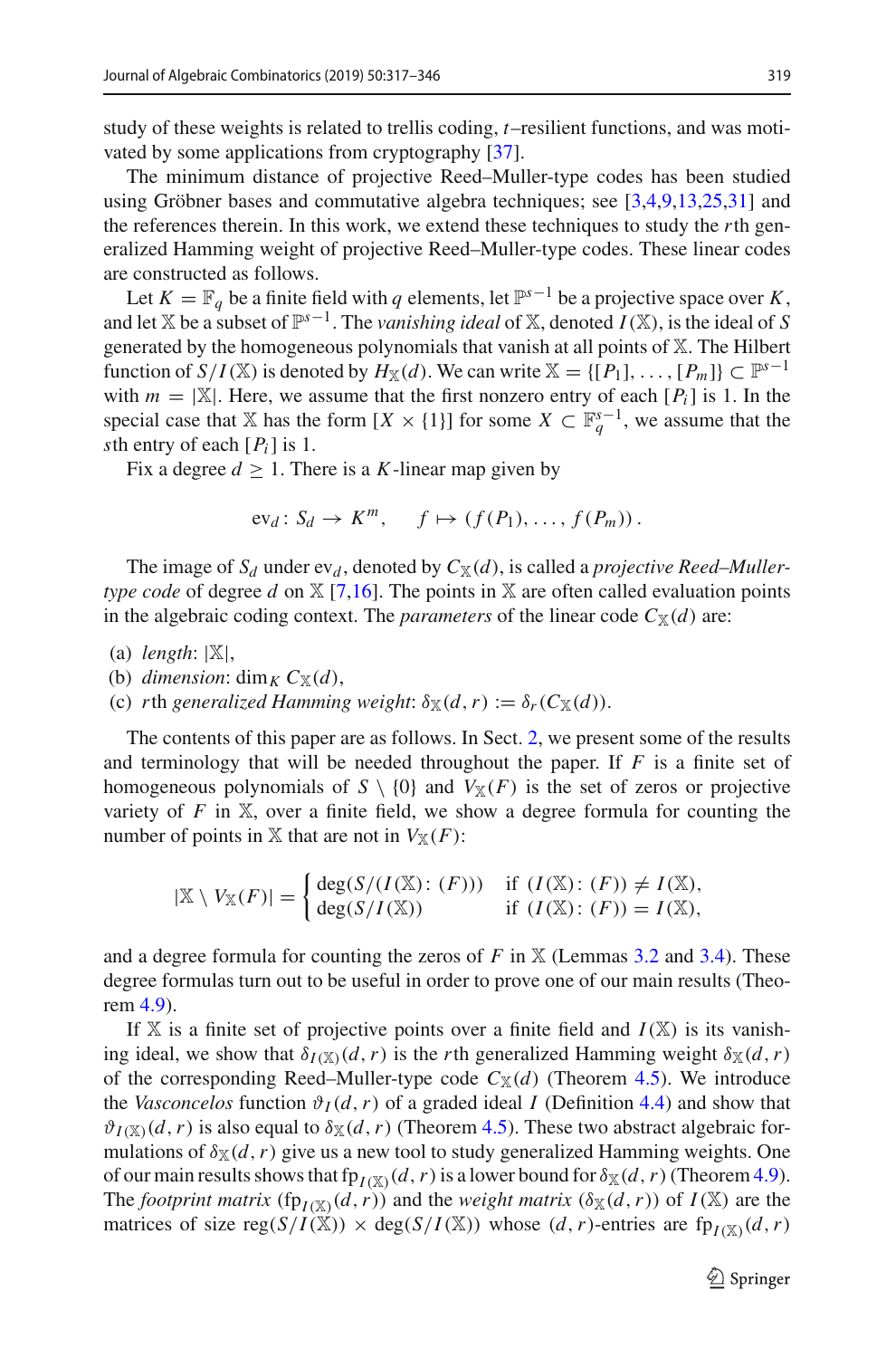study of these weights is related to trellis coding, *t*–resilient functions, and was motivated by some applications from cryptography [\[37\]](#page-28-8).

The minimum distance of projective Reed–Muller-type codes has been studied using Gröbner bases and commutative algebra techniques; see [\[3](#page-27-0)[,4](#page-27-2)[,9](#page-28-3)[,13](#page-28-15)[,25](#page-28-0)[,31](#page-28-16)] and the references therein. In this work, we extend these techniques to study the *r*th generalized Hamming weight of projective Reed–Muller-type codes. These linear codes are constructed as follows.

Let  $K = \mathbb{F}_q$  be a finite field with *q* elements, let  $\mathbb{P}^{s-1}$  be a projective space over *K*, and let X be a subset of  $\mathbb{P}^{s-1}$ . The *vanishing ideal* of X, denoted *I*(X), is the ideal of *S* generated by the homogeneous polynomials that vanish at all points of X. The Hilbert function of *S*/*I*(X) is denoted by  $H_X(d)$ . We can write  $X = \{[P_1], \ldots, [P_m]\} \subset \mathbb{P}^{s-1}$ with  $m = |\mathbb{X}|$ . Here, we assume that the first nonzero entry of each  $[P_i]$  is 1. In the special case that X has the form  $[X \times \{1\}]$  for some  $X \subset \mathbb{F}_q^{s-1}$ , we assume that the *s*th entry of each [*Pi*] is 1.

Fix a degree  $d \geq 1$ . There is a K-linear map given by

$$
ev_d\colon S_d\to K^m, \quad f\mapsto (f(P_1),\ldots,f(P_m)).
$$

The image of  $S_d$  under  $ev_d$ , denoted by  $C_{\mathbb{X}}(d)$ , is called a *projective Reed–Mullertype code* of degree *d* on  $X$  [\[7](#page-27-3)[,16](#page-28-17)]. The points in X are often called evaluation points in the algebraic coding context. The *parameters* of the linear code  $C_{\mathbb{X}}(d)$  are:

- (a) *length*:  $|\mathbb{X}|$ ,
- (b) *dimension*: dim<sub>*K*</sub>  $C_{\mathbb{X}}(d)$ ,
- (c) *r*th *generalized Hamming weight*:  $\delta_{\mathbb{X}}(d, r) := \delta_r(C_{\mathbb{X}}(d)).$

The contents of this paper are as follows. In Sect. [2,](#page-4-0) we present some of the results and terminology that will be needed throughout the paper. If *F* is a finite set of homogeneous polynomials of  $S \setminus \{0\}$  and  $V_X(F)$  is the set of zeros or projective variety of  $F$  in  $X$ , over a finite field, we show a degree formula for counting the number of points in  $X$  that are not in  $V_X(F)$ :

$$
|\mathbb{X} \setminus V_{\mathbb{X}}(F)| = \begin{cases} \deg(S/(I(\mathbb{X}):\mathbb{(F}))) & \text{if } (I(\mathbb{X}):\mathbb{(F})) \neq I(\mathbb{X}), \\ \deg(S/I(\mathbb{X})) & \text{if } (I(\mathbb{X}):\mathbb{(F})) = I(\mathbb{X}), \end{cases}
$$

and a degree formula for counting the zeros of  $F$  in  $X$  (Lemmas [3.2](#page-7-0) and [3.4\)](#page-8-0). These degree formulas turn out to be useful in order to prove one of our main results (Theorem [4.9\)](#page-13-0).

If  $X$  is a finite set of projective points over a finite field and  $I(X)$  is its vanishing ideal, we show that  $\delta_{I(\mathbb{X})}(d, r)$  is the *r*th generalized Hamming weight  $\delta_{\mathbb{X}}(d, r)$ of the corresponding Reed–Muller-type code  $C_{\mathbb{X}}(d)$  (Theorem [4.5\)](#page-11-0). We introduce the *Vasconcelos* function  $\vartheta_I(d, r)$  of a graded ideal *I* (Definition [4.4\)](#page-11-1) and show that  $\vartheta_{I(\mathbb{X})}(d,r)$  is also equal to  $\delta_{\mathbb{X}}(d,r)$  (Theorem [4.5\)](#page-11-0). These two abstract algebraic formulations of  $\delta_{\mathbb{X}}(d, r)$  give us a new tool to study generalized Hamming weights. One of our main results shows that fp<sub>I(X)</sub>(*d*, *r*) is a lower bound for  $\delta$ <sub>X</sub>(*d*, *r*)(Theorem [4.9\)](#page-13-0). The *footprint matrix* (fp<sub>*I*( $\mathbb{X}$ )</sub>(*d*,*r*)) and the *weight matrix* ( $\delta \mathbb{X}(d,r)$ ) of *I*( $\mathbb{X}$ ) are the matrices of size reg( $S/I(\mathbb{X}) \times \text{deg}(S/I(\mathbb{X}))$  whose  $(d, r)$ -entries are fp<sub>*I*( $\mathbb{X}$ )</sub> $(d, r)$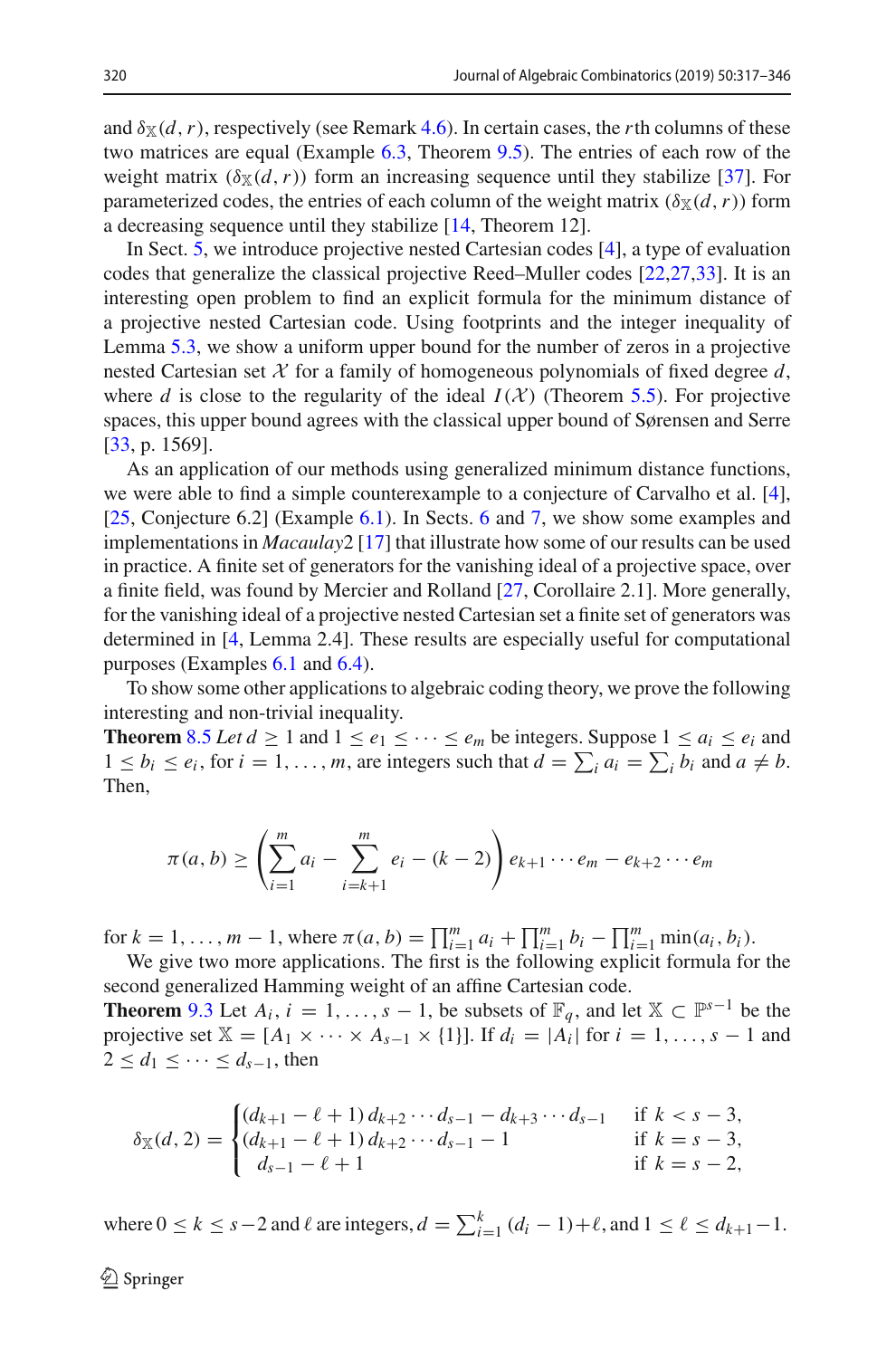and  $\delta_{\mathbb{X}}(d, r)$ , respectively (see Remark [4.6\)](#page-11-2). In certain cases, the *r*th columns of these two matrices are equal (Example [6.3,](#page-16-0) Theorem [9.5\)](#page-27-4). The entries of each row of the weight matrix  $(\delta_{\mathbb{X}}(d, r))$  form an increasing sequence until they stabilize [\[37](#page-28-8)]. For parameterized codes, the entries of each column of the weight matrix  $(\delta_{\mathbb{X}}(d, r))$  form a decreasing sequence until they stabilize [\[14,](#page-28-18) Theorem 12].

In Sect. [5,](#page-13-1) we introduce projective nested Cartesian codes [\[4\]](#page-27-2), a type of evaluation codes that generalize the classical projective Reed–Muller codes [\[22](#page-28-19)[,27](#page-28-20)[,33](#page-28-21)]. It is an interesting open problem to find an explicit formula for the minimum distance of a projective nested Cartesian code. Using footprints and the integer inequality of Lemma [5.3,](#page-14-0) we show a uniform upper bound for the number of zeros in a projective nested Cartesian set  $X$  for a family of homogeneous polynomials of fixed degree  $d$ , where *d* is close to the regularity of the ideal  $I(X)$  (Theorem [5.5\)](#page-15-0). For projective spaces, this upper bound agrees with the classical upper bound of Sørensen and Serre [\[33](#page-28-21), p. 1569].

As an application of our methods using generalized minimum distance functions, we were able to find a simple counterexample to a conjecture of Carvalho et al. [\[4](#page-27-2)], [\[25](#page-28-0), Conjecture 6.2] (Example [6.1\)](#page-15-1). In Sects. [6](#page-15-2) and [7,](#page-17-0) we show some examples and implementations in *Macaulay*2 [\[17\]](#page-28-22) that illustrate how some of our results can be used in practice. A finite set of generators for the vanishing ideal of a projective space, over a finite field, was found by Mercier and Rolland [\[27,](#page-28-20) Corollaire 2.1]. More generally, for the vanishing ideal of a projective nested Cartesian set a finite set of generators was determined in [\[4](#page-27-2), Lemma 2.4]. These results are especially useful for computational purposes (Examples [6.1](#page-15-1) and [6.4\)](#page-17-1).

To show some other applications to algebraic coding theory, we prove the following interesting and non-trivial inequality.

**Theorem** [8.5](#page-22-0) *Let*  $d \ge 1$  and  $1 \le e_1 \le \cdots \le e_m$  be integers. Suppose  $1 \le a_i \le e_i$  and  $1 \le b_i \le e_i$ , for  $i = 1, ..., m$ , are integers such that  $d = \sum_i a_i = \sum_i b_i$  and  $a \ne b$ . Then,

$$
\pi(a, b) \ge \left(\sum_{i=1}^m a_i - \sum_{i=k+1}^m e_i - (k-2)\right) e_{k+1} \cdots e_m - e_{k+2} \cdots e_m
$$

for  $k = 1, ..., m - 1$ , where  $\pi(a, b) = \prod_{i=1}^{m} a_i + \prod_{i=1}^{m} b_i - \prod_{i=1}^{m} \min(a_i, b_i)$ .

We give two more applications. The first is the following explicit formula for the second generalized Hamming weight of an affine Cartesian code.

**Theorem** [9.3](#page-25-0) Let  $A_i$ ,  $i = 1, ..., s - 1$ , be subsets of  $\mathbb{F}_q$ , and let  $\mathbb{X} \subset \mathbb{P}^{s-1}$  be the projective set  $\mathbb{X} = [A_1 \times \cdots \times A_{s-1} \times \{1\}]$ . If  $d_i = |A_i|$  for  $i = 1, \ldots, s-1$  and  $2 \leq d_1 \leq \cdots \leq d_{s-1}$ , then

$$
\delta_{\mathbb{X}}(d,2) = \begin{cases}\n(d_{k+1} - \ell + 1) d_{k+2} \cdots d_{s-1} - d_{k+3} \cdots d_{s-1} & \text{if } k < s - 3, \\
(d_{k+1} - \ell + 1) d_{k+2} \cdots d_{s-1} - 1 & \text{if } k = s - 3, \\
d_{s-1} - \ell + 1 & \text{if } k = s - 2,\n\end{cases}
$$

where  $0 \le k \le s-2$  and  $\ell$  are integers,  $d = \sum_{i=1}^{k} (d_i - 1) + \ell$ , and  $1 \le \ell \le d_{k+1} - 1$ .

 $\textcircled{2}$  Springer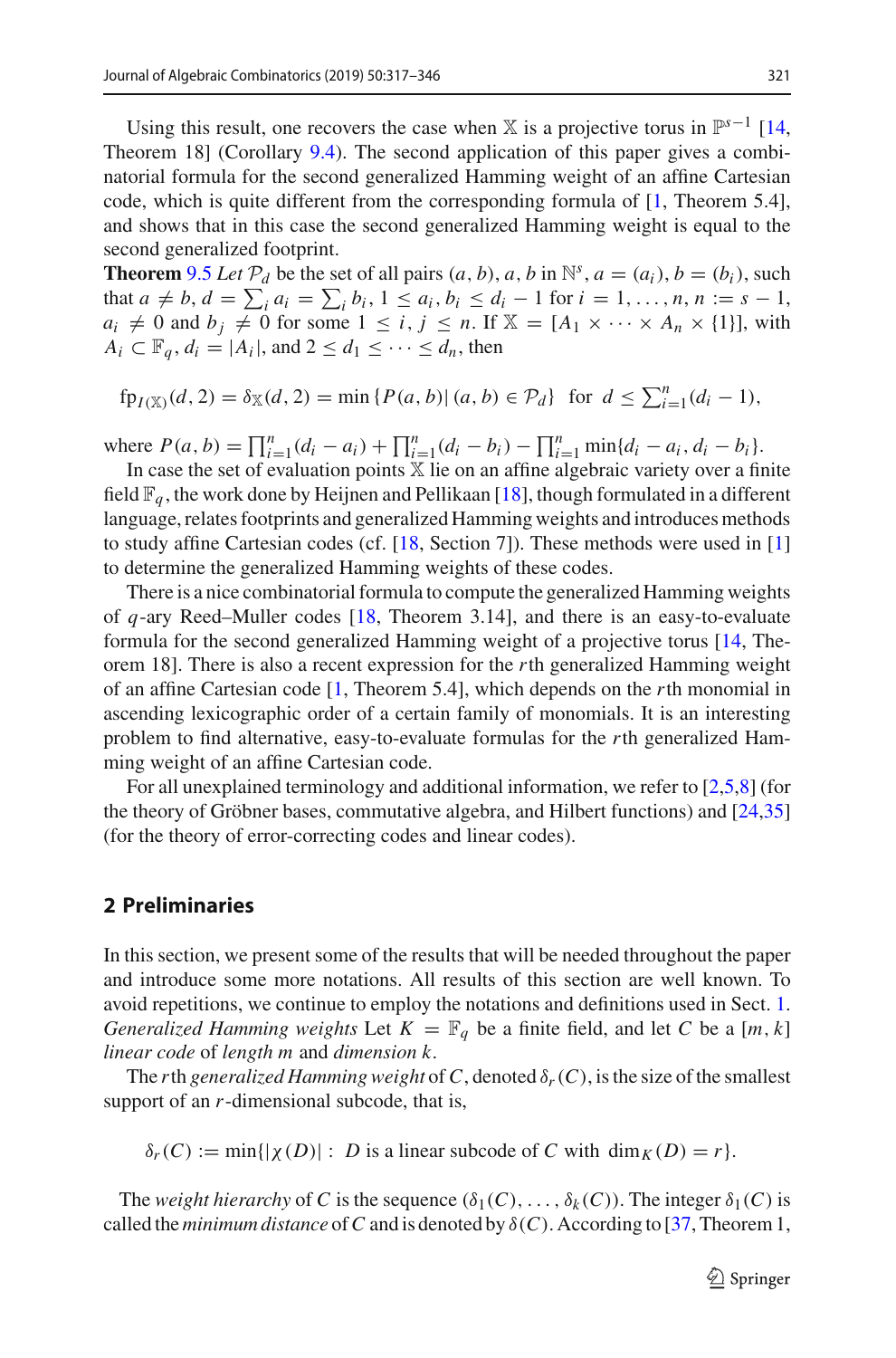Using this result, one recovers the case when X is a projective torus in  $\mathbb{P}^{s-1}$  [\[14,](#page-28-18) Theorem 18] (Corollary [9.4\)](#page-26-0). The second application of this paper gives a combinatorial formula for the second generalized Hamming weight of an affine Cartesian code, which is quite different from the corresponding formula of [\[1](#page-27-5), Theorem 5.4], and shows that in this case the second generalized Hamming weight is equal to the second generalized footprint.

**Theorem** [9.5](#page-27-4) *Let*  $\mathcal{P}_d$  be the set of all pairs  $(a, b)$ ,  $a, b$  in  $\mathbb{N}^s$ ,  $a = (a_i)$ ,  $b = (b_i)$ , such that  $a \neq b$ ,  $d = \sum_i a_i = \sum_i b_i$ ,  $1 \leq a_i, b_i \leq d_i - 1$  for  $i = 1, ..., n$ ,  $n := s - 1$ ,  $a_i \neq 0$  and  $b_j \neq 0$  for some  $1 \leq i, j \leq n$ . If  $\mathbb{X} = [A_1 \times \cdots \times A_n \times \{1\}]$ , with  $A_i \subset \mathbb{F}_q$ ,  $d_i = |A_i|$ , and  $2 \leq d_1 \leq \cdots \leq d_n$ , then

$$
fp_{I(\mathbb{X})}(d,2) = \delta_{\mathbb{X}}(d,2) = \min\{P(a,b) | (a,b) \in \mathcal{P}_d\} \text{ for } d \le \sum_{i=1}^n (d_i - 1),
$$

where  $P(a, b) = \prod_{i=1}^{n} (d_i - a_i) + \prod_{i=1}^{n} (d_i - b_i) - \prod_{i=1}^{n} \min\{d_i - a_i, d_i - b_i\}$ 

In case the set of evaluation points  $X$  lie on an affine algebraic variety over a finite field  $\mathbb{F}_q$ , the work done by Heijnen and Pellikaan [\[18\]](#page-28-10), though formulated in a different language, relates footprints and generalized Hamming weights and introduces methods to study affine Cartesian codes (cf. [\[18,](#page-28-10) Section 7]). These methods were used in [\[1\]](#page-27-5) to determine the generalized Hamming weights of these codes.

There is a nice combinatorial formula to compute the generalized Hamming weights of *q*-ary Reed–Muller codes [\[18,](#page-28-10) Theorem 3.14], and there is an easy-to-evaluate formula for the second generalized Hamming weight of a projective torus [\[14,](#page-28-18) Theorem 18]. There is also a recent expression for the *r*th generalized Hamming weight of an affine Cartesian code [\[1](#page-27-5), Theorem 5.4], which depends on the *r*th monomial in ascending lexicographic order of a certain family of monomials. It is an interesting problem to find alternative, easy-to-evaluate formulas for the *r*th generalized Hamming weight of an affine Cartesian code.

For all unexplained terminology and additional information, we refer to [\[2](#page-27-6)[,5](#page-27-7)[,8\]](#page-28-23) (for the theory of Gröbner bases, commutative algebra, and Hilbert functions) and [\[24](#page-28-24)[,35\]](#page-28-14) (for the theory of error-correcting codes and linear codes).

#### <span id="page-4-0"></span>**2 Preliminaries**

In this section, we present some of the results that will be needed throughout the paper and introduce some more notations. All results of this section are well known. To avoid repetitions, we continue to employ the notations and definitions used in Sect. [1.](#page-0-0) *Generalized Hamming weights* Let  $K = \mathbb{F}_q$  be a finite field, and let *C* be a [*m*, *k*] *linear code* of *length m* and *dimension k*.

The *r*th generalized Hamming weight of C, denoted  $\delta_r(C)$ , is the size of the smallest support of an *r*-dimensional subcode, that is,

 $\delta_r(C) := \min\{|\chi(D)| : D \text{ is a linear subcode of } C \text{ with } \dim_K(D) = r\}.$ 

The *weight hierarchy* of *C* is the sequence  $(\delta_1(C), \ldots, \delta_k(C))$ . The integer  $\delta_1(C)$  is called the *minimum distance* of C and is denoted by  $\delta(C)$ . According to [\[37](#page-28-8), Theorem 1,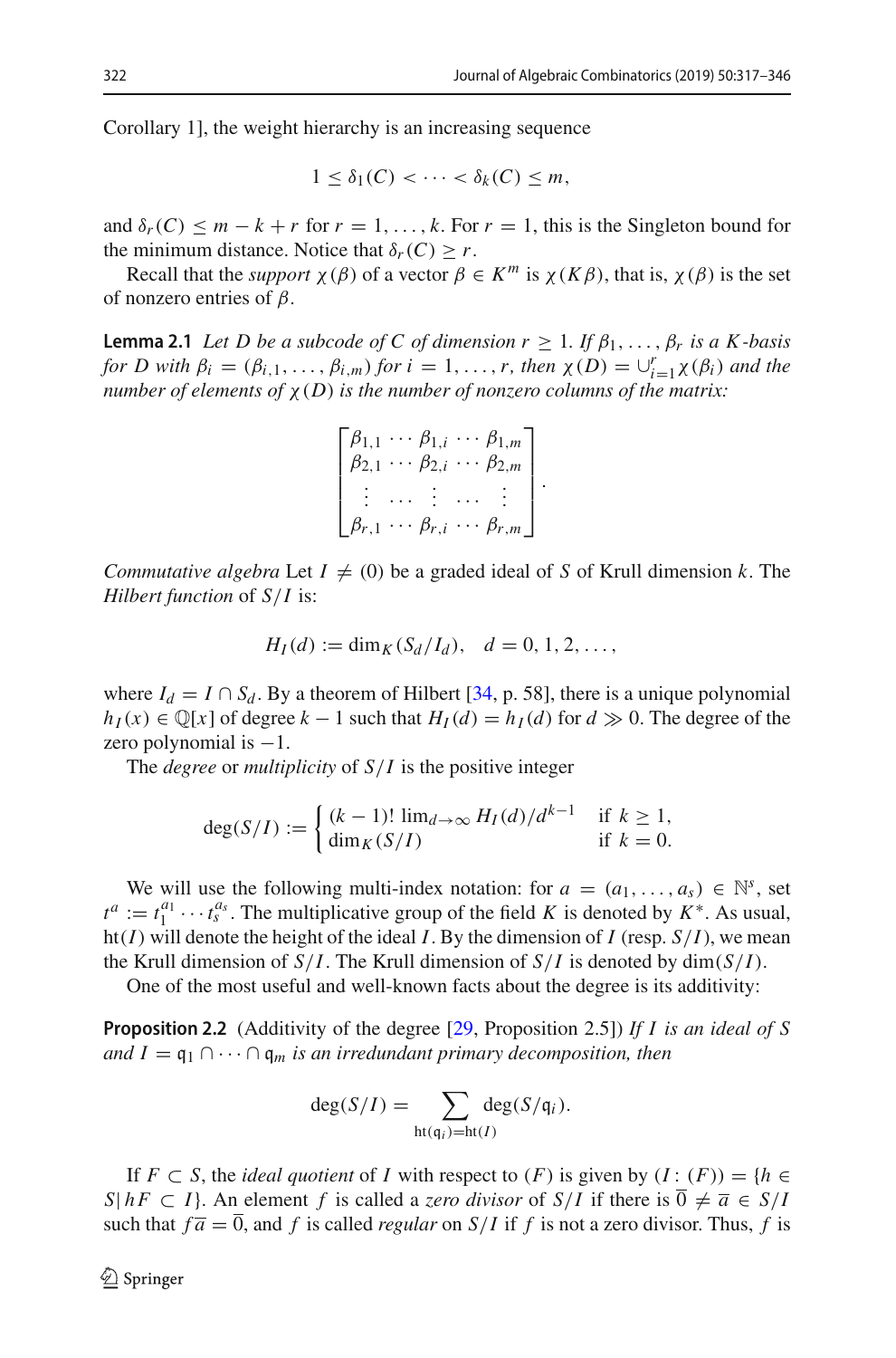Corollary 1], the weight hierarchy is an increasing sequence

$$
1 \leq \delta_1(C) < \cdots < \delta_k(C) \leq m,
$$

and  $\delta_r(C) \leq m - k + r$  for  $r = 1, \ldots, k$ . For  $r = 1$ , this is the Singleton bound for the minimum distance. Notice that  $\delta_r(C) \geq r$ .

<span id="page-5-1"></span>Recall that the *support*  $\chi(\beta)$  of a vector  $\beta \in K^m$  is  $\chi(K\beta)$ , that is,  $\chi(\beta)$  is the set of nonzero entries of  $\beta$ .

**Lemma 2.1** *Let D be a subcode of C of dimension*  $r \ge 1$ *. If*  $\beta_1, \ldots, \beta_r$  *is a K-basis for D with*  $\beta_i = (\beta_{i,1}, \ldots, \beta_{i,m})$  *for*  $i = 1, \ldots, r$ *, then*  $\chi(D) = \bigcup_{i=1}^r \chi(\beta_i)$  *and the number of elements of* χ (*D*) *is the number of nonzero columns of the matrix:*

$$
\begin{bmatrix}\n\beta_{1,1} \cdots \beta_{1,i} \cdots \beta_{1,m} \\
\beta_{2,1} \cdots \beta_{2,i} \cdots \beta_{2,m} \\
\vdots \cdots \vdots \cdots \vdots \\
\beta_{r,1} \cdots \beta_{r,i} \cdots \beta_{r,m}\n\end{bmatrix}.
$$

*Commutative algebra* Let  $I \neq (0)$  be a graded ideal of *S* of Krull dimension *k*. The *Hilbert function* of *S*/*I* is:

$$
H_I(d) := \dim_K(S_d/I_d), \quad d = 0, 1, 2, \dots,
$$

where  $I_d = I \cap S_d$ . By a theorem of Hilbert [\[34,](#page-28-25) p. 58], there is a unique polynomial *h<sub>I</sub>*(*x*) ∈  $\mathbb{Q}[x]$  of degree *k* − 1 such that *H<sub>I</sub>*(*d*) = *h<sub>I</sub>*(*d*) for *d*  $\gg$  0. The degree of the zero polynomial is  $-1$ .

The *degree* or *multiplicity* of *S*/*I* is the positive integer

$$
\deg(S/I) := \begin{cases} (k-1)! \lim_{d \to \infty} H_I(d)/d^{k-1} & \text{if } k \ge 1, \\ \dim_K(S/I) & \text{if } k = 0. \end{cases}
$$

We will use the following multi-index notation: for  $a = (a_1, \ldots, a_s) \in \mathbb{N}^s$ , set  $t^a := t_1^{a_1} \cdots t_s^{a_s}$ . The multiplicative group of the field *K* is denoted by  $K^*$ . As usual, ht(*I*) will denote the height of the ideal *I*. By the dimension of *I* (resp. *S*/*I*), we mean the Krull dimension of  $S/I$ . The Krull dimension of  $S/I$  is denoted by dim( $S/I$ ).

<span id="page-5-0"></span>One of the most useful and well-known facts about the degree is its additivity:

**Proposition 2.2** (Additivity of the degree [\[29](#page-28-26), Proposition 2.5]) *If I is an ideal of S and*  $I = q_1 \cap \cdots \cap q_m$  *is an irredundant primary decomposition, then* 

$$
\deg(S/I) = \sum_{\text{ht}(\mathfrak{q}_i) = \text{ht}(I)} \deg(S/\mathfrak{q}_i).
$$

If  $F \subset S$ , the *ideal quotient* of *I* with respect to  $(F)$  is given by  $(I : (F)) = \{h \in$ *S*| *hF*  $\subset$  *I*}. An element *f* is called a *zero divisor* of *S*/*I* if there is  $\overline{0} \neq \overline{a} \in S/I$ such that  $f\bar{a} = \bar{0}$ , and f is called *regular* on  $S/I$  if f is not a zero divisor. Thus, f is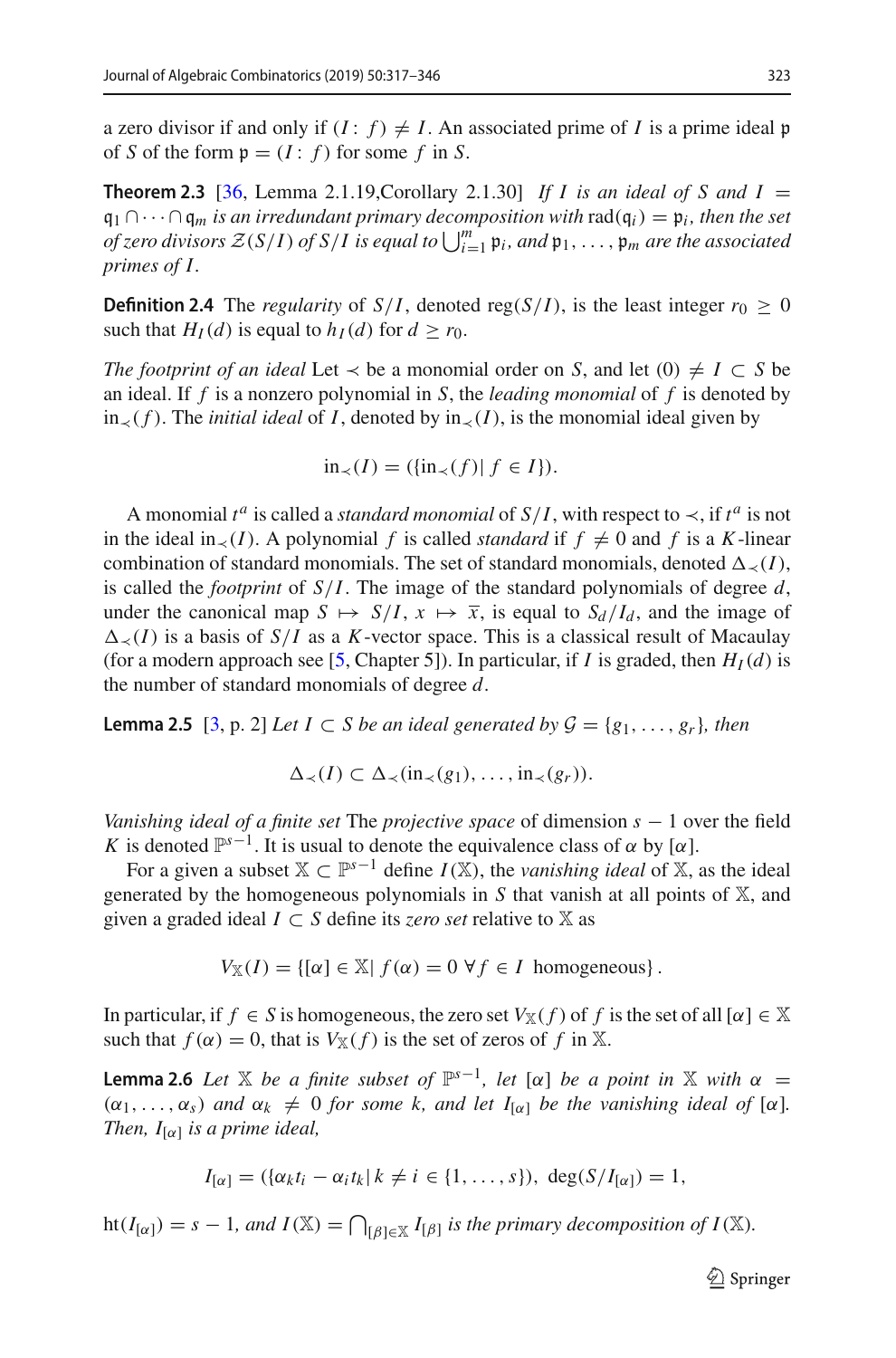<span id="page-6-1"></span>a zero divisor if and only if  $(I : f) \neq I$ . An associated prime of *I* is a prime ideal p of *S* of the form  $p = (I : f)$  for some *f* in *S*.

**Theorem 2.3** [\[36](#page-28-27), Lemma 2.1.19, Corollary 2.1.30] If I is an ideal of S and I =  $q_1 \cap \cdots \cap q_m$  *is an irredundant primary decomposition with*  $rad(q_i) = p_i$ *, then the set of zero divisors*  $\mathcal{Z}(S/I)$  *of*  $S/I$  *is equal to*  $\bigcup_{i=1}^{m} \mathfrak{p}_i$ *, and*  $\mathfrak{p}_1, \ldots, \mathfrak{p}_m$  *are the associated primes of I .*

**Definition 2.4** The *regularity* of *S*/*I*, denoted reg(*S*/*I*), is the least integer  $r_0 \ge 0$ such that  $H_I(d)$  is equal to  $h_I(d)$  for  $d \ge r_0$ .

*The footprint of an ideal* Let  $\prec$  be a monomial order on *S*, and let  $(0) \neq I \subset S$  be an ideal. If *f* is a nonzero polynomial in *S*, the *leading monomial* of *f* is denoted by in $\langle f \rangle$ . The *initial ideal* of *I*, denoted by in $\langle I \rangle$ , is the monomial ideal given by

$$
\text{in}_{\prec}(I) = (\{\text{in}_{\prec}(f) \mid f \in I\}).
$$

A monomial  $t^a$  is called a *standard monomial* of  $S/I$ , with respect to  $\prec$ , if  $t^a$  is not in the ideal in<sub>≺</sub>(*I*). A polynomial *f* is called *standard* if  $f ≠ 0$  and *f* is a *K*-linear combination of standard monomials. The set of standard monomials, denoted  $\Delta_{\prec}(I)$ , is called the *footprint* of *S*/*I*. The image of the standard polynomials of degree *d*, under the canonical map  $S \mapsto S/I$ ,  $x \mapsto \overline{x}$ , is equal to  $S_d/I_d$ , and the image of  $\Delta_{\prec}(I)$  is a basis of *S*/*I* as a *K*-vector space. This is a classical result of Macaulay (for a modern approach see [\[5](#page-27-7), Chapter 5]). In particular, if *I* is graded, then  $H<sub>I</sub>(d)$  is the number of standard monomials of degree *d*.

<span id="page-6-2"></span>**Lemma 2.5** [\[3,](#page-27-0) p. 2] *Let I* ⊂ *S be an ideal generated by*  $G = \{g_1, \ldots, g_r\}$ *, then* 

$$
\Delta_{\prec}(I) \subset \Delta_{\prec}(\text{in}_{\prec}(g_1), \ldots, \text{in}_{\prec}(g_r)).
$$

*Vanishing ideal of a finite set* The *projective space* of dimension *s* − 1 over the field *K* is denoted  $\mathbb{P}^{s-1}$ . It is usual to denote the equivalence class of  $\alpha$  by [ $\alpha$ ].

For a given a subset  $X \subset \mathbb{P}^{s-1}$  define  $I(X)$ , the *vanishing ideal* of X, as the ideal generated by the homogeneous polynomials in *S* that vanish at all points of X, and given a graded ideal  $I \subset S$  define its *zero set* relative to  $X$  as

$$
V_{\mathbb{X}}(I) = \{ [\alpha] \in \mathbb{X} | f(\alpha) = 0 \,\,\forall f \in I \,\,\text{homogeneous} \}.
$$

<span id="page-6-0"></span>In particular, if  $f \in S$  is homogeneous, the zero set  $V_{\mathbb{X}}(f)$  of f is the set of all  $[\alpha] \in \mathbb{X}$ such that  $f(\alpha) = 0$ , that is  $V_{\mathbb{X}}(f)$  is the set of zeros of f in X.

**Lemma 2.6** *Let*  $\mathbb{X}$  *be a finite subset of*  $\mathbb{P}^{s-1}$ *, let* [ $\alpha$ ] *be a point in*  $\mathbb{X}$  *with*  $\alpha =$  $(\alpha_1, \ldots, \alpha_s)$  *and*  $\alpha_k \neq 0$  *for some k, and let*  $I_{\alpha}$  *be the vanishing ideal of* [ $\alpha$ ]*. Then,*  $I_{\lbrack \alpha \rbrack}$  *is a prime ideal,* 

$$
I_{[\alpha]} = (\{\alpha_k t_i - \alpha_i t_k | k \neq i \in \{1, ..., s\}), \deg(S/I_{[\alpha]}) = 1,
$$

 $\text{ht}(I_{[\alpha]}) = s - 1$ , and  $I(\mathbb{X}) = \bigcap_{[\beta] \in \mathbb{X}} I_{[\beta]}$  *is the primary decomposition of*  $I(\mathbb{X})$ *.*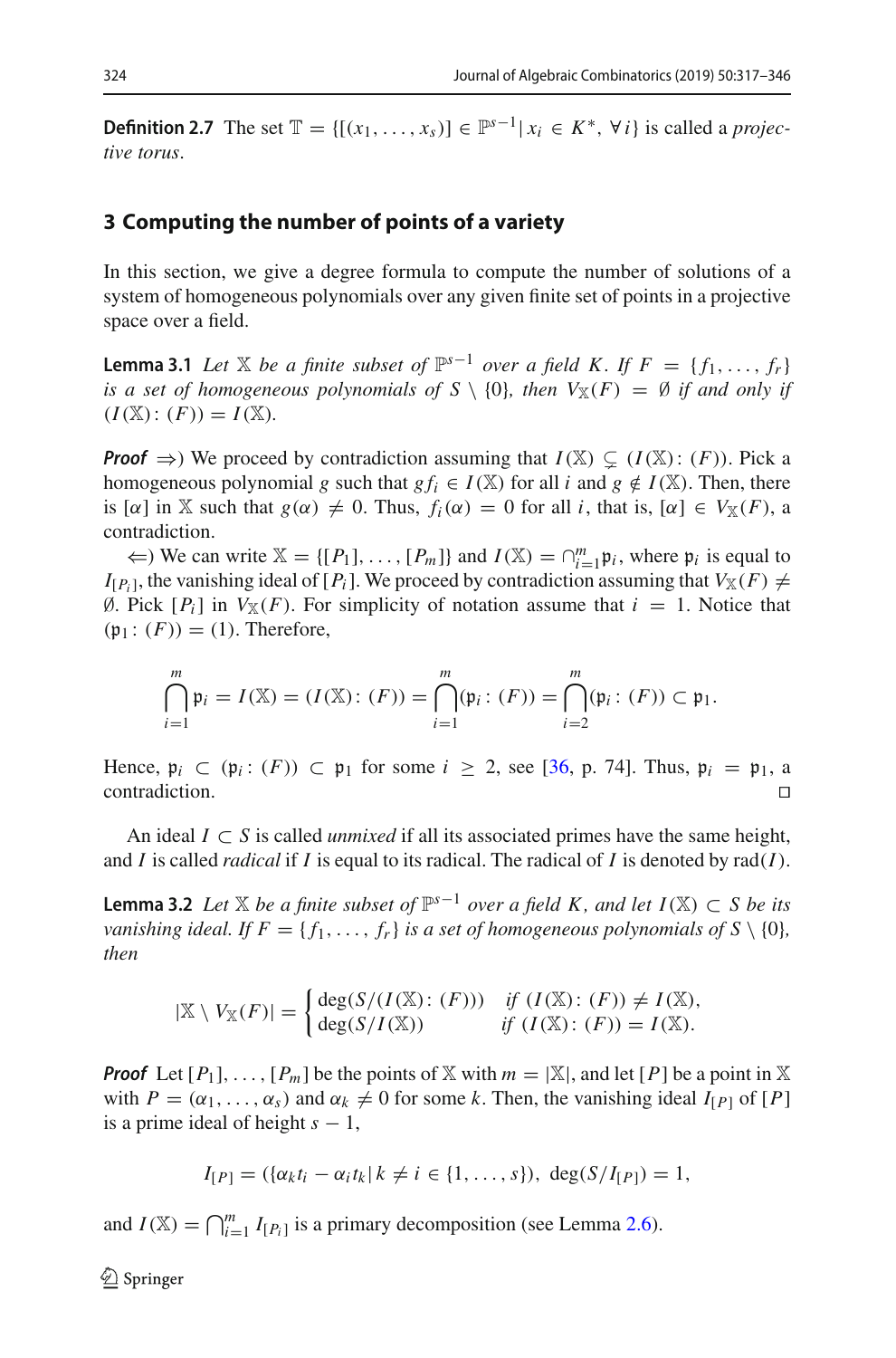**Definition 2.7** The set  $\mathbb{T} = \{[(x_1, \ldots, x_s)] \in \mathbb{P}^{s-1} | x_i \in K^* , \forall i \}$  is called a *projective torus*.

#### **3 Computing the number of points of a variety**

In this section, we give a degree formula to compute the number of solutions of a system of homogeneous polynomials over any given finite set of points in a projective space over a field.

<span id="page-7-1"></span>**Lemma 3.1** *Let*  $\mathbb{X}$  *be a finite subset of*  $\mathbb{P}^{s-1}$  *over a field K. If*  $F = \{f_1, \ldots, f_r\}$ *is a set of homogeneous polynomials of*  $S \setminus \{0\}$ *, then*  $V_{\mathbb{X}}(F) = \emptyset$  *if and only if*  $(I(\mathbb{X})$ :  $(F)$ ) =  $I(\mathbb{X})$ .

*Proof*  $\Rightarrow$ ) We proceed by contradiction assuming that  $I(\mathbb{X}) \subsetneq (I(\mathbb{X}):\mathbb{F})$ . Pick a homogeneous polynomial *g* such that  $gf_i \in I(\mathbb{X})$  for all *i* and  $g \notin I(\mathbb{X})$ . Then, there is  $[\alpha]$  in X such that  $g(\alpha) \neq 0$ . Thus,  $f_i(\alpha) = 0$  for all *i*, that is,  $[\alpha] \in V_{\mathbb{X}}(F)$ , a contradiction.

 $\Leftarrow$ ) We can write  $\mathbb{X} = \{[P_1], \ldots, [P_m]\}$  and  $I(\mathbb{X}) = \bigcap_{i=1}^m \mathfrak{p}_i$ , where  $\mathfrak{p}_i$  is equal to the minimization is the left  $I(\sqrt{n})$ .  $I_{[P_i]}$ , the vanishing ideal of  $[P_i]$ . We proceed by contradiction assuming that  $V_{\mathbb{X}}(F) \neq$ Ø. Pick  $[P_i]$  in  $V_\mathbb{X}(F)$ . For simplicity of notation assume that  $i = 1$ . Notice that  $(\mathfrak{p}_1 : (F)) = (1)$ . Therefore,

$$
\bigcap_{i=1}^{m} \mathfrak{p}_{i} = I(\mathbb{X}) = (I(\mathbb{X}) : (F)) = \bigcap_{i=1}^{m} (\mathfrak{p}_{i} : (F)) = \bigcap_{i=2}^{m} (\mathfrak{p}_{i} : (F)) \subset \mathfrak{p}_{1}.
$$

Hence,  $\mathfrak{p}_i \subset (\mathfrak{p}_i : (F)) \subset \mathfrak{p}_1$  for some  $i \geq 2$ , see [\[36](#page-28-27), p. 74]. Thus,  $\mathfrak{p}_i = \mathfrak{p}_1$ , a contradiction. contradiction.

<span id="page-7-0"></span>An ideal  $I \subset S$  is called *unmixed* if all its associated primes have the same height, and *I* is called *radical* if *I* is equal to its radical. The radical of *I* is denoted by rad(*I*).

**Lemma 3.2** *Let*  $\mathbb{X}$  *be a finite subset of*  $\mathbb{P}^{s-1}$  *over a field K, and let*  $I(\mathbb{X}) \subset S$  *be its vanishing ideal. If*  $F = \{f_1, \ldots, f_r\}$  *is a set of homogeneous polynomials of*  $S \setminus \{0\}$ *, then*

$$
|\mathbb{X} \setminus V_{\mathbb{X}}(F)| = \begin{cases} \deg(S/(I(\mathbb{X}):(F))) & \text{if } (I(\mathbb{X}):(F)) \neq I(\mathbb{X}), \\ \deg(S/I(\mathbb{X})) & \text{if } (I(\mathbb{X}):(F)) = I(\mathbb{X}). \end{cases}
$$

**Proof** Let  $[P_1], \ldots, [P_m]$  be the points of X with  $m = |\mathbb{X}|$ , and let  $[P]$  be a point in X with  $P = (\alpha_1, \ldots, \alpha_s)$  and  $\alpha_k \neq 0$  for some *k*. Then, the vanishing ideal  $I_{[P]}$  of  $[P]$ is a prime ideal of height  $s - 1$ ,

$$
I_{[P]} = (\{\alpha_k t_i - \alpha_i t_k | k \neq i \in \{1, ..., s\}), \deg(S/I_{[P]}) = 1,
$$

and  $I(\mathbb{X}) = \bigcap_{i=1}^{m} I_{[P_i]}$  is a primary decomposition (see Lemma [2.6\)](#page-6-0).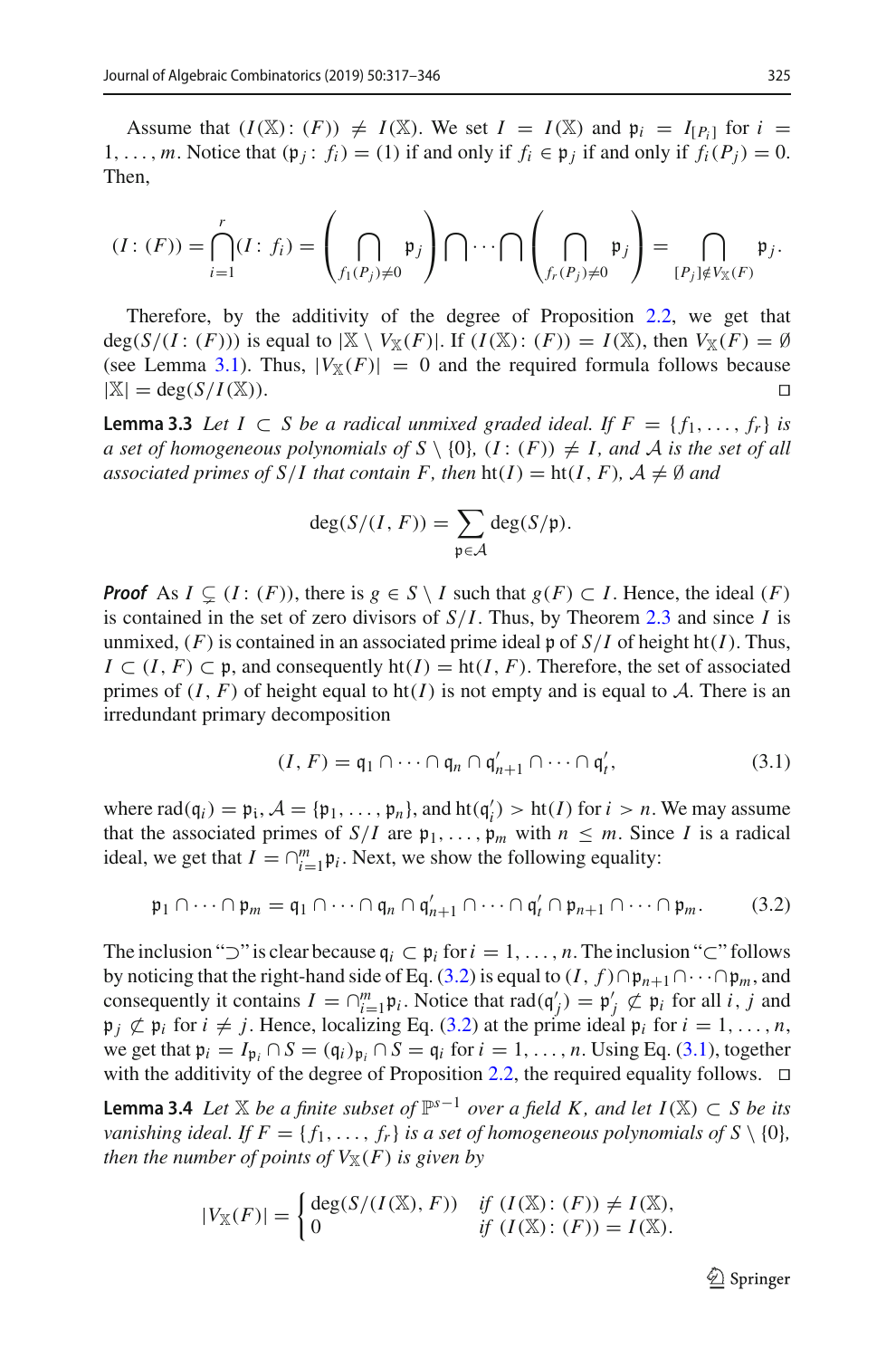Assume that  $(I(\mathbb{X}):(F)) \neq I(\mathbb{X})$ . We set  $I = I(\mathbb{X})$  and  $\mathfrak{p}_i = I_{[P_i]}$  for  $i =$ 1,..., *m*. Notice that  $(\mathfrak{p}_i : f_i) = (1)$  if and only if  $f_i \in \mathfrak{p}_i$  if and only if  $f_i(P_i) = 0$ . Then,

$$
(I:(F)) = \bigcap_{i=1}^r (I: f_i) = \left(\bigcap_{f_1(P_j) \neq 0} \mathfrak{p}_j\right) \bigcap \cdots \bigcap \left(\bigcap_{f_r(P_j) \neq 0} \mathfrak{p}_j\right) = \bigcap_{[P_j] \notin V_{\mathbb{X}}(F)} \mathfrak{p}_j.
$$

Therefore, by the additivity of the degree of Proposition [2.2,](#page-5-0) we get that deg( $S/(I : (F))$ ) is equal to  $|\mathbb{X} \setminus V_{\mathbb{X}}(F)|$ . If  $(I(\mathbb{X} : (F)) = I(\mathbb{X})$ , then  $V_{\mathbb{X}}(F) = \emptyset$ (see Lemma [3.1\)](#page-7-1). Thus,  $|V_{\mathbb{X}}(F)| = 0$  and the required formula follows because  $|\mathbb{X}| = \text{deg}(S/I(\mathbb{X}))$  $|\mathbb{X}| = \deg(S/I(\mathbb{X})).$ 

<span id="page-8-3"></span>**Lemma 3.3** *Let I* ⊂ *S be a radical unmixed graded ideal. If*  $F = \{f_1, \ldots, f_r\}$  *is a set of homogeneous polynomials of*  $S \setminus \{0\}$ ,  $(I: (F)) \neq I$ , and A is the set of all *associated primes of S/I that contain F, then*  $\text{ht}(I) = \text{ht}(I, F)$ *,*  $A \neq \emptyset$  *and* 

$$
\deg(S/(I, F)) = \sum_{\mathfrak{p} \in \mathcal{A}} \deg(S/\mathfrak{p}).
$$

*Proof* As  $I \subsetneq (I : (F))$ , there is  $g \in S \setminus I$  such that  $g(F) \subset I$ . Hence, the ideal  $(F)$ is contained in the set of zero divisors of *S*/*I*. Thus, by Theorem [2.3](#page-6-1) and since *I* is unmixed,  $(F)$  is contained in an associated prime ideal  $\mathfrak{p}$  of  $S/I$  of height ht $(I)$ . Thus,  $I \subset (I, F) \subset \mathfrak{p}$ , and consequently ht(*I*) = ht(*I*, *F*). Therefore, the set of associated primes of  $(I, F)$  of height equal to  $ht(I)$  is not empty and is equal to  $A$ . There is an irredundant primary decomposition

<span id="page-8-2"></span>
$$
(I, F) = \mathfrak{q}_1 \cap \dots \cap \mathfrak{q}_n \cap \mathfrak{q}'_{n+1} \cap \dots \cap \mathfrak{q}'_t,\tag{3.1}
$$

where  $rad(q_i) = p_i$ ,  $A = \{p_1, \ldots, p_n\}$ , and  $ht(q'_i) > ht(I)$  for  $i > n$ . We may assume that the associated primes of  $S/I$  are  $\mathfrak{p}_1, \ldots, \mathfrak{p}_m$  with  $n \leq m$ . Since *I* is a radical ideal, we get that  $I = \bigcap_{i=1}^{m} \mathfrak{p}_i$ . Next, we show the following equality:

<span id="page-8-1"></span>
$$
\mathfrak{p}_1 \cap \cdots \cap \mathfrak{p}_m = \mathfrak{q}_1 \cap \cdots \cap \mathfrak{q}_n \cap \mathfrak{q}'_{n+1} \cap \cdots \cap \mathfrak{q}'_t \cap \mathfrak{p}_{n+1} \cap \cdots \cap \mathfrak{p}_m. \tag{3.2}
$$

The inclusion "⊃" is clear because  $q_i \subset p_i$  for  $i = 1, \ldots, n$ . The inclusion "⊂" follows by noticing that the right-hand side of Eq. [\(3.2\)](#page-8-1) is equal to  $(I, f) \cap p_{n+1} \cap \cdots \cap p_m$ , and consequently it contains  $I = \bigcap_{i=1}^{m} \mathfrak{p}_i$ . Notice that  $\text{rad}(\mathfrak{q}'_j) = \mathfrak{p}'_j \not\subset \mathfrak{p}_i$  for all *i*, *j* and  $\mathfrak{p}_i \not\subset \mathfrak{p}_i$  for  $i \neq j$ . Hence, localizing Eq. [\(3.2\)](#page-8-1) at the prime ideal  $\mathfrak{p}_i$  for  $i = 1, \ldots, n$ , we get that  $\mathfrak{p}_i = I_{\mathfrak{p}_i} \cap S = (\mathfrak{q}_i)_{\mathfrak{p}_i} \cap S = \mathfrak{q}_i$  for  $i = 1, \ldots, n$ . Using Eq. [\(3.1\)](#page-8-2), together with the additivity of the degree of Proposition [2.2,](#page-5-0) the required equality follows.  $\Box$ 

<span id="page-8-0"></span>**Lemma 3.4** *Let*  $\mathbb{X}$  *be a finite subset of*  $\mathbb{P}^{s-1}$  *over a field K, and let*  $I(\mathbb{X}) \subset S$  *be its vanishing ideal. If*  $F = \{f_1, \ldots, f_r\}$  *is a set of homogeneous polynomials of*  $S \setminus \{0\}$ *, then the number of points of*  $V_{\mathbb{X}}(F)$  *is given by* 

$$
|V_{\mathbb{X}}(F)| = \begin{cases} \deg(S/(I(\mathbb{X}), F)) & \text{if } (I(\mathbb{X}):\, (F)) \neq I(\mathbb{X}), \\ 0 & \text{if } (I(\mathbb{X}):\, (F)) = I(\mathbb{X}). \end{cases}
$$

 $\mathcal{D}$  Springer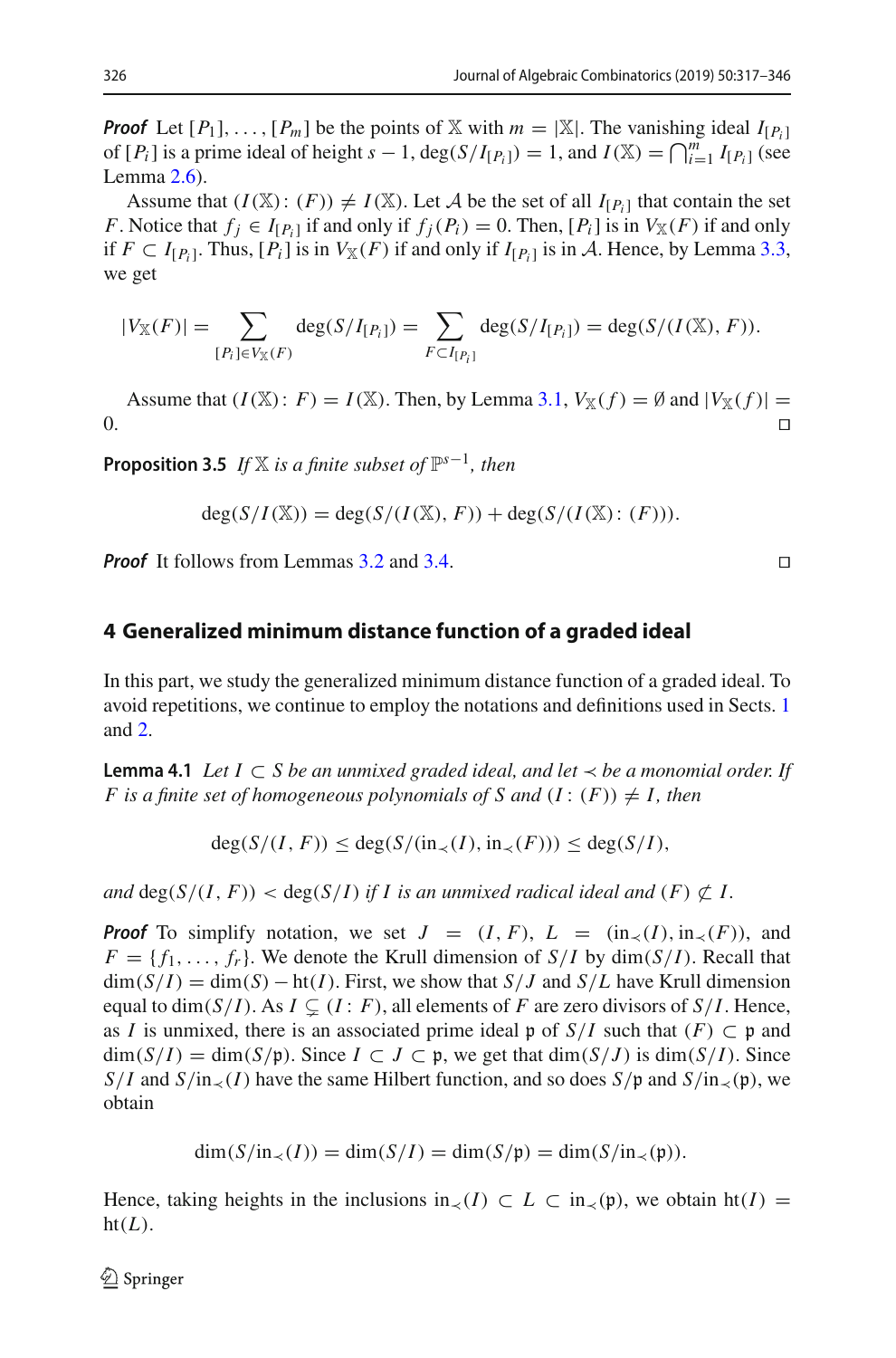*Proof* Let  $[P_1], \ldots, [P_m]$  be the points of X with  $m = |X|$ . The vanishing ideal  $I_{[P_i]}$ of  $[P_i]$  is a prime ideal of height  $s - 1$ ,  $\deg(S/I_{[P_i]}) = 1$ , and  $I(\mathbb{X}) = \bigcap_{i=1}^{m} I_{[P_i]}$  (see Lemma  $2.6$ ).

Assume that  $(I(\mathbb{X}): (F)) \neq I(\mathbb{X})$ . Let A be the set of all  $I_{[P_i]}$  that contain the set *F*. Notice that  $f_i \in I_{[P_i]}$  if and only if  $f_i(P_i) = 0$ . Then,  $[P_i]$  is in  $V_{\mathbb{X}}(F)$  if and only if  $F \subset I_{[P_i]}$ . Thus,  $[P_i]$  is in  $V_{\mathbb{X}}(F)$  if and only if  $I_{[P_i]}$  is in A. Hence, by Lemma [3.3,](#page-8-3) we get

$$
|V_{\mathbb{X}}(F)| = \sum_{[P_i] \in V_{\mathbb{X}}(F)} \deg(S/I_{[P_i]}) = \sum_{F \subset I_{[P_i]}} \deg(S/I_{[P_i]}) = \deg(S/(I(\mathbb{X}), F)).
$$

Assume that  $(I(\mathbb{X}): F) = I(\mathbb{X})$ . Then, by Lemma [3.1,](#page-7-1)  $V_{\mathbb{X}}(f) = \emptyset$  and  $|V_{\mathbb{X}}(f)| = \square$  $\Box$ 

**Proposition 3.5** *If*  $X$  *is a finite subset of*  $\mathbb{P}^{s-1}$ *, then* 

$$
\deg(S/I(\mathbb{X})) = \deg(S/(I(\mathbb{X}), F)) + \deg(S/(I(\mathbb{X}):(F))).
$$

*Proof* It follows from Lemmas [3.2](#page-7-0) and [3.4.](#page-8-0)

#### **4 Generalized minimum distance function of a graded ideal**

In this part, we study the generalized minimum distance function of a graded ideal. To avoid repetitions, we continue to employ the notations and definitions used in Sects. [1](#page-0-0) and [2.](#page-4-0)

<span id="page-9-0"></span>**Lemma 4.1** *Let*  $I ⊂ S$  *be an unmixed graded ideal, and let*  $\prec$  *be a monomial order. If F* is a finite set of homogeneous polynomials of *S* and  $(I: (F)) \neq I$ , then

$$
\deg(S/(I, F)) \le \deg(S/(\text{in}_{\prec}(I), \text{in}_{\prec}(F))) \le \deg(S/I),
$$

*and*  $\deg(S/(I, F)) < \deg(S/I)$  *if I is an unmixed radical ideal and*  $(F) \not\subset I$ .

*Proof* To simplify notation, we set  $J = (I, F), L = (\text{in}_{\prec}(I), \text{in}_{\prec}(F)),$  and  $F = \{f_1, \ldots, f_r\}$ . We denote the Krull dimension of  $S/I$  by dim( $S/I$ ). Recall that  $\dim(S/I) = \dim(S) - \text{ht}(I)$ . First, we show that *S/J* and *S/L* have Krull dimension equal to dim( $S/I$ ). As  $I \subsetneq (I : F)$ , all elements of *F* are zero divisors of  $S/I$ . Hence, as *I* is unmixed, there is an associated prime ideal p of  $S/I$  such that  $(F) \subset p$  and dim(*S*/*I*) = dim(*S*/ $\uparrow$ ). Since *I* ⊂ *J* ⊂  $\uparrow$ , we get that dim(*S*/*J*) is dim(*S*/*I*). Since *S*/*I* and *S*/in<sub>≺</sub>(*I*) have the same Hilbert function, and so does *S*/p and *S*/in<sub>≺</sub>(p), we obtain

$$
\dim(S/\text{in}_{\prec}(I)) = \dim(S/I) = \dim(S/\mathfrak{p}) = \dim(S/\text{in}_{\prec}(\mathfrak{p})).
$$

Hence, taking heights in the inclusions in<sub> $\prec$ </sub>(*I*) ⊂ *L* ⊂ in<sub> $\prec$ </sub>( $\uparrow$ ), we obtain ht(*I*) =  $ht(L).$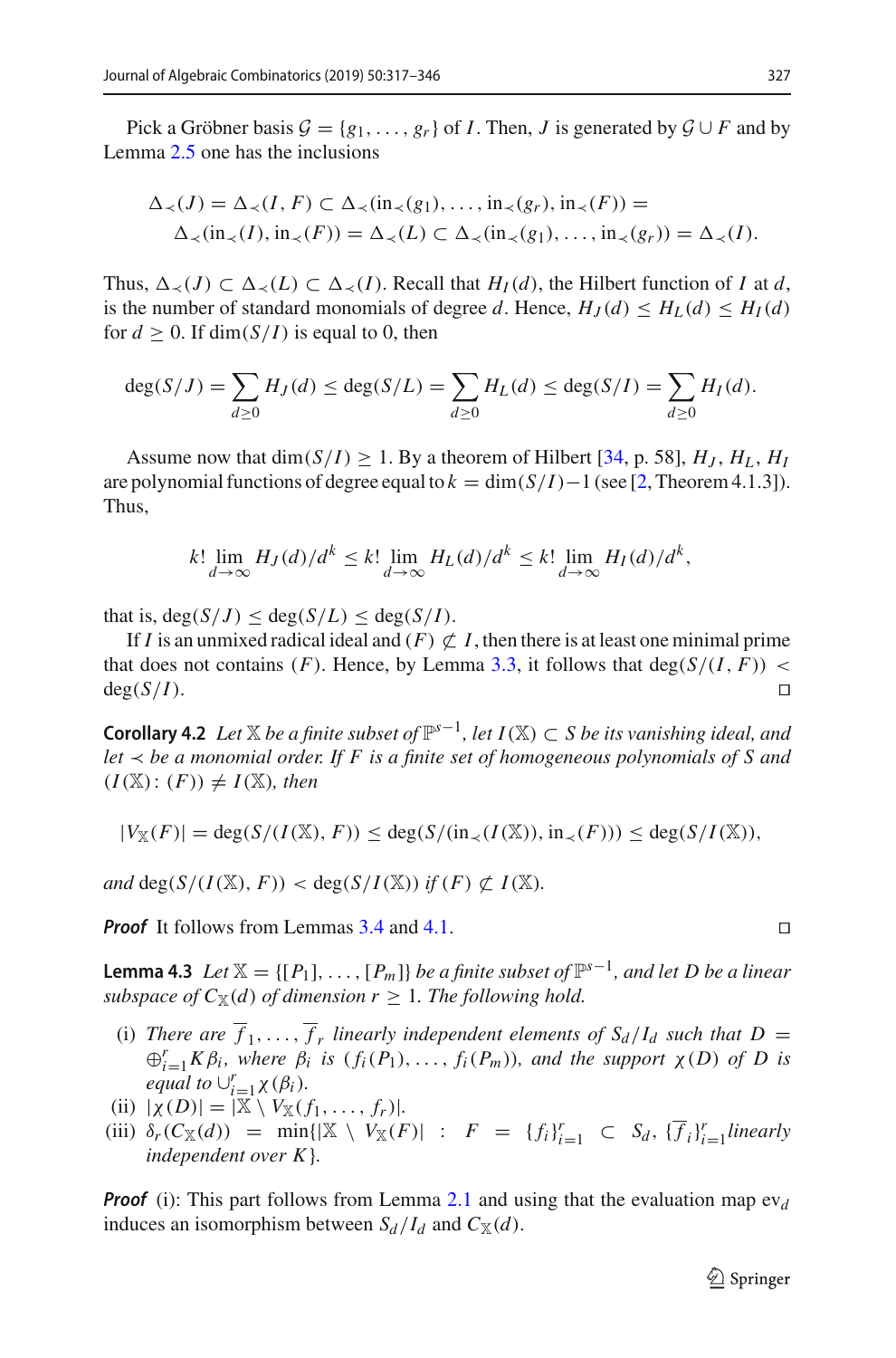Pick a Gröbner basis  $G = \{g_1, \ldots, g_r\}$  of *I*. Then, *J* is generated by  $G \cup F$  and by Lemma [2.5](#page-6-2) one has the inclusions

$$
\Delta_{\prec}(J) = \Delta_{\prec}(I, F) \subset \Delta_{\prec}(\text{in}_{\prec}(g_1), \dots, \text{in}_{\prec}(g_r), \text{in}_{\prec}(F)) =
$$
  

$$
\Delta_{\prec}(\text{in}_{\prec}(I), \text{in}_{\prec}(F)) = \Delta_{\prec}(L) \subset \Delta_{\prec}(\text{in}_{\prec}(g_1), \dots, \text{in}_{\prec}(g_r)) = \Delta_{\prec}(I).
$$

Thus,  $\Delta_{\prec}(I) \subset \Delta_{\prec}(I) \subset \Delta_{\prec}(I)$ . Recall that  $H_I(d)$ , the Hilbert function of *I* at *d*, is the number of standard monomials of degree *d*. Hence,  $H<sub>I</sub>(d) \leq H<sub>I</sub>(d) \leq H<sub>I</sub>(d)$ for  $d > 0$ . If dim( $S/I$ ) is equal to 0, then

$$
\deg(S/J) = \sum_{d \ge 0} H_J(d) \le \deg(S/L) = \sum_{d \ge 0} H_L(d) \le \deg(S/I) = \sum_{d \ge 0} H_I(d).
$$

Assume now that  $\dim(S/I) \geq 1$ . By a theorem of Hilbert [\[34](#page-28-25), p. 58],  $H_J$ ,  $H_L$ ,  $H_I$ are polynomial functions of degree equal to  $k = \dim(S/I) - 1$  (see [\[2,](#page-27-6) Theorem 4.1.3]). Thus,

$$
k!\lim_{d\to\infty}H_J(d)/d^k\leq k!\lim_{d\to\infty}H_L(d)/d^k\leq k!\lim_{d\to\infty}H_I(d)/d^k,
$$

that is,  $deg(S/J) \leq deg(S/L) \leq deg(S/I)$ .

If *I* is an unmixed radical ideal and  $(F) \not\subset I$ , then there is at least one minimal prime that does not contains (*F*). Hence, by Lemma [3.3,](#page-8-3) it follows that deg( $S/(I, F)$ ) <  $deg(S/I)$ .

**Corollary 4.2** *Let*  $\mathbb{X}$  *be a finite subset of*  $\mathbb{P}^{s-1}$ *, let I*( $\mathbb{X}$ ) ⊂ *S be its vanishing ideal, and let* ≺ *be a monomial order. If F is a finite set of homogeneous polynomials of S and*  $(I(X): (F)) \neq I(X)$ *, then* 

$$
|V_{\mathbb{X}}(F)| = \deg(S/(I(\mathbb{X}), F)) \leq \deg(S/(\text{in}_{\prec}(I(\mathbb{X})), \text{in}_{\prec}(F))) \leq \deg(S/I(\mathbb{X})),
$$

*and*  $\deg(S/(I(X), F)) < \deg(S/I(X))$  *if*  $(F) \not\subset I(X)$ *.* 

<span id="page-10-0"></span>*Proof* It follows from Lemmas [3.4](#page-8-0) and [4.1.](#page-9-0)

**Lemma 4.3** *Let*  $\mathbb{X} = \{ [P_1], \ldots, [P_m] \}$  *be a finite subset of*  $\mathbb{P}^{s-1}$ *, and let D be a linear subspace of*  $C_{\mathbb{X}}(d)$  *of dimension*  $r \geq 1$ *. The following hold.* 

- (i) *There are*  $\overline{f}_1, \ldots, \overline{f}_r$  *linearly independent elements of*  $S_d/I_d$  *such that*  $D =$  $\bigoplus_{i=1}^{r} K \beta_i$ , where  $\beta_i$  *is*  $(f_i(P_1), \ldots, f_i(P_m))$ *, and the support*  $\chi(D)$  *of D is equal to*  $\cup_{i=1}^r \chi(\beta_i)$ .
- (ii)  $|\chi(D)| = |\mathbb{X} \setminus V_{\mathbb{X}}(f_1, ..., f_r)|$ .
- (iii)  $\delta_r(C_{\mathbb{X}}(d)) = \min\{|\mathbb{X} \setminus V_{\mathbb{X}}(F)| : F = \{f_i\}_{i=1}^r \subset S_d, \{\overline{f}_i\}_{i=1}^r$ *linearly independent over K*}*.*

*Proof* (i): This part follows from Lemma [2.1](#page-5-1) and using that the evaluation map  $ev_d$ induces an isomorphism between  $S_d/I_d$  and  $C_{\mathbb{X}}(d)$ .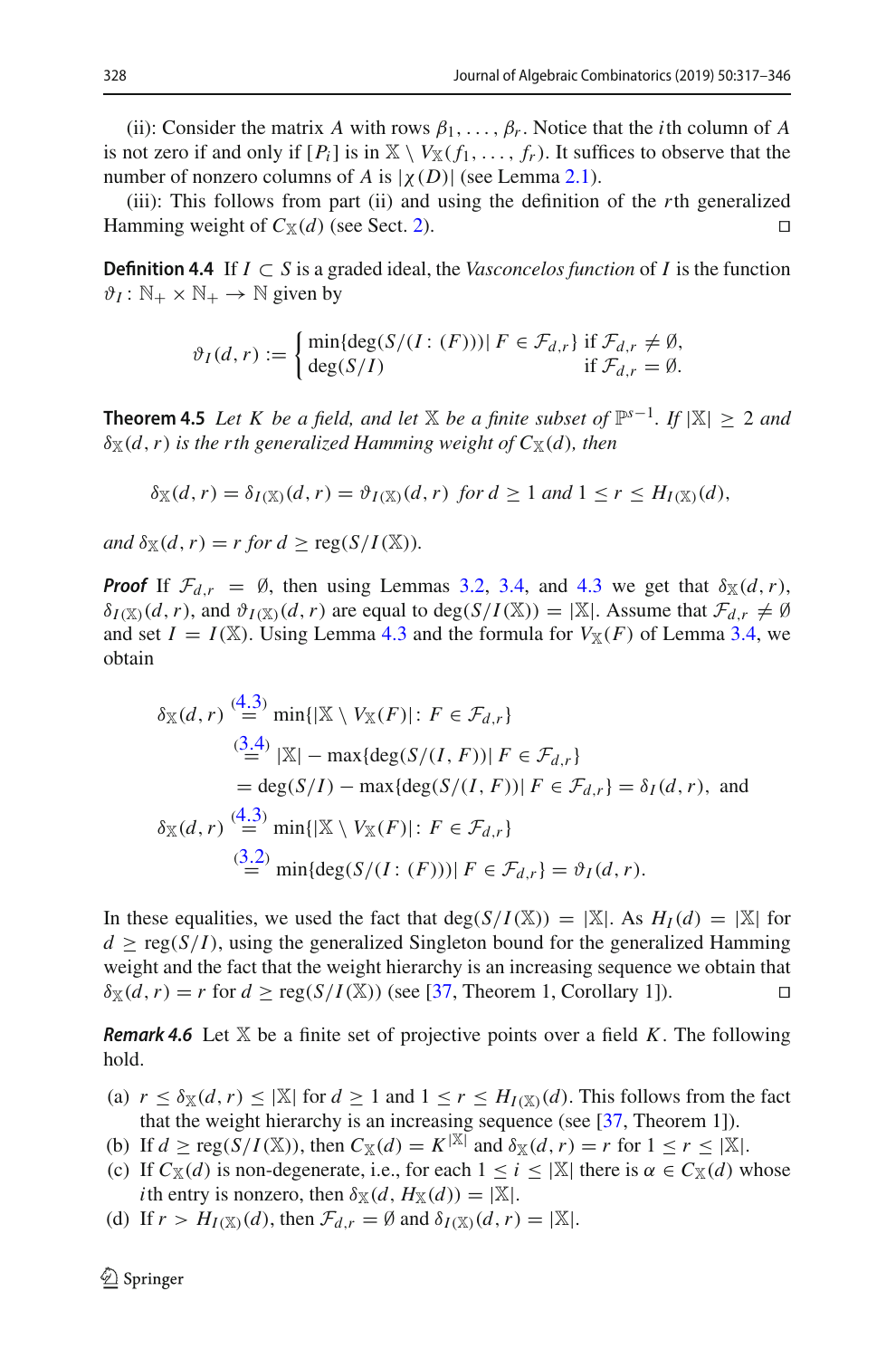(ii): Consider the matrix *A* with rows  $\beta_1, \ldots, \beta_r$ . Notice that the *i*th column of *A* is not zero if and only if  $[P_i]$  is in  $X \setminus V_X(f_1,\ldots,f_r)$ . It suffices to observe that the number of nonzero columns of *A* is  $|\chi(D)|$  (see Lemma [2.1\)](#page-5-1).

(iii): This follows from part (ii) and using the definition of the *r*th generalized Hamming weight of  $C_{\mathbb{X}}(d)$  (see Sect. [2\)](#page-4-0).

<span id="page-11-1"></span>**Definition 4.4** If *I* ⊂ *S* is a graded ideal, the *Vasconcelos function* of *I* is the function  $\vartheta_I : \mathbb{N}_+ \times \mathbb{N}_+ \to \mathbb{N}$  given by

$$
\vartheta_I(d,r) := \begin{cases} \min\{\deg(S/(I:(F))) \mid F \in \mathcal{F}_{d,r}\} & \text{if } \mathcal{F}_{d,r} \neq \emptyset, \\ \deg(S/I) & \text{if } \mathcal{F}_{d,r} = \emptyset. \end{cases}
$$

<span id="page-11-0"></span>**Theorem 4.5** *Let K be a field, and let*  $X$  *be a finite subset of*  $\mathbb{P}^{s-1}$ *. If*  $|X| \geq 2$  *and*  $\delta_{\mathbb{X}}(d,r)$  *is the rth generalized Hamming weight of*  $C_{\mathbb{X}}(d)$ *, then* 

$$
\delta_{\mathbb{X}}(d,r) = \delta_{I(\mathbb{X})}(d,r) = \vartheta_{I(\mathbb{X})}(d,r) \text{ for } d \ge 1 \text{ and } 1 \le r \le H_{I(\mathbb{X})}(d),
$$

*and*  $\delta$ <sub>X</sub></sub> $(d, r) = r$  *for*  $d \geq \text{reg}(S/I(\mathbb{X}))$ *.* 

*Proof* If  $\mathcal{F}_{d,r} = \emptyset$ , then using Lemmas [3.2,](#page-7-0) [3.4,](#page-8-0) and [4.3](#page-10-0) we get that  $\delta_{\mathbb{X}}(d,r)$ ,  $\delta_{I(\mathbb{X})}(d, r)$ , and  $\vartheta_{I(\mathbb{X})}(d, r)$  are equal to deg(*S*/*I*(X)) = |X|. Assume that  $\mathcal{F}_{d,r} \neq \emptyset$ and set  $I = I(\mathbb{X})$ . Using Lemma [4.3](#page-10-0) and the formula for  $V_{\mathbb{X}}(F)$  of Lemma [3.4,](#page-8-0) we obtain

$$
\delta_{\mathbb{X}}(d,r) \stackrel{(4.3)}{=} \min\{|\mathbb{X} \setminus V_{\mathbb{X}}(F)|: F \in \mathcal{F}_{d,r}\}
$$
  
\n
$$
\stackrel{(3.4)}{=} |\mathbb{X}| - \max\{\deg(S/(I, F))| F \in \mathcal{F}_{d,r}\}
$$
  
\n
$$
= \deg(S/I) - \max\{\deg(S/(I, F))| F \in \mathcal{F}_{d,r}\} = \delta_I(d, r), \text{ and}
$$
  
\n
$$
\delta_{\mathbb{X}}(d,r) \stackrel{(4.3)}{=} \min\{|\mathbb{X} \setminus V_{\mathbb{X}}(F)|: F \in \mathcal{F}_{d,r}\}
$$
  
\n
$$
\stackrel{(3.2)}{=} \min\{\deg(S/(I: (F)))| F \in \mathcal{F}_{d,r}\} = \vartheta_I(d, r).
$$

In these equalities, we used the fact that  $\deg(S/I(\mathbb{X})) = |\mathbb{X}|$ . As  $H_I(d) = |\mathbb{X}|$  for  $d \geq \text{reg}(S/I)$ , using the generalized Singleton bound for the generalized Hamming weight and the fact that the weight hierarchy is an increasing sequence we obtain that  $\delta_{\mathbb{X}}(d, r) = r$  for  $d \geq \text{reg}(S/I(\mathbb{X}))$  (see [\[37](#page-28-8), Theorem 1, Corollary 1]).

<span id="page-11-2"></span>*Remark 4.6* Let X be a finite set of projective points over a field *K*. The following hold.

- (a)  $r \leq \delta_{\mathbb{X}}(d, r) \leq |\mathbb{X}|$  for  $d \geq 1$  and  $1 \leq r \leq H_{I(\mathbb{X})}(d)$ . This follows from the fact that the weight hierarchy is an increasing sequence (see [\[37,](#page-28-8) Theorem 1]).
- (b) If  $d \geq \text{reg}(S/I(\mathbb{X}))$ , then  $C_{\mathbb{X}}(d) = K^{|\mathbb{X}|}$  and  $\delta_{\mathbb{X}}(d, r) = r$  for  $1 \leq r \leq |\mathbb{X}|$ .
- (c) If  $C_{\mathbb{X}}(d)$  is non-degenerate, i.e., for each  $1 \leq i \leq |\mathbb{X}|$  there is  $\alpha \in C_{\mathbb{X}}(d)$  whose *i*th entry is nonzero, then  $\delta_{\mathbb{X}}(d, H_{\mathbb{X}}(d)) = |\mathbb{X}|$ .
- <span id="page-11-3"></span>(d) If  $r > H_I(\mathbb{X})(d)$ , then  $\mathcal{F}_{d,r} = \emptyset$  and  $\delta_I(\mathbb{X})(d,r) = |\mathbb{X}|$ .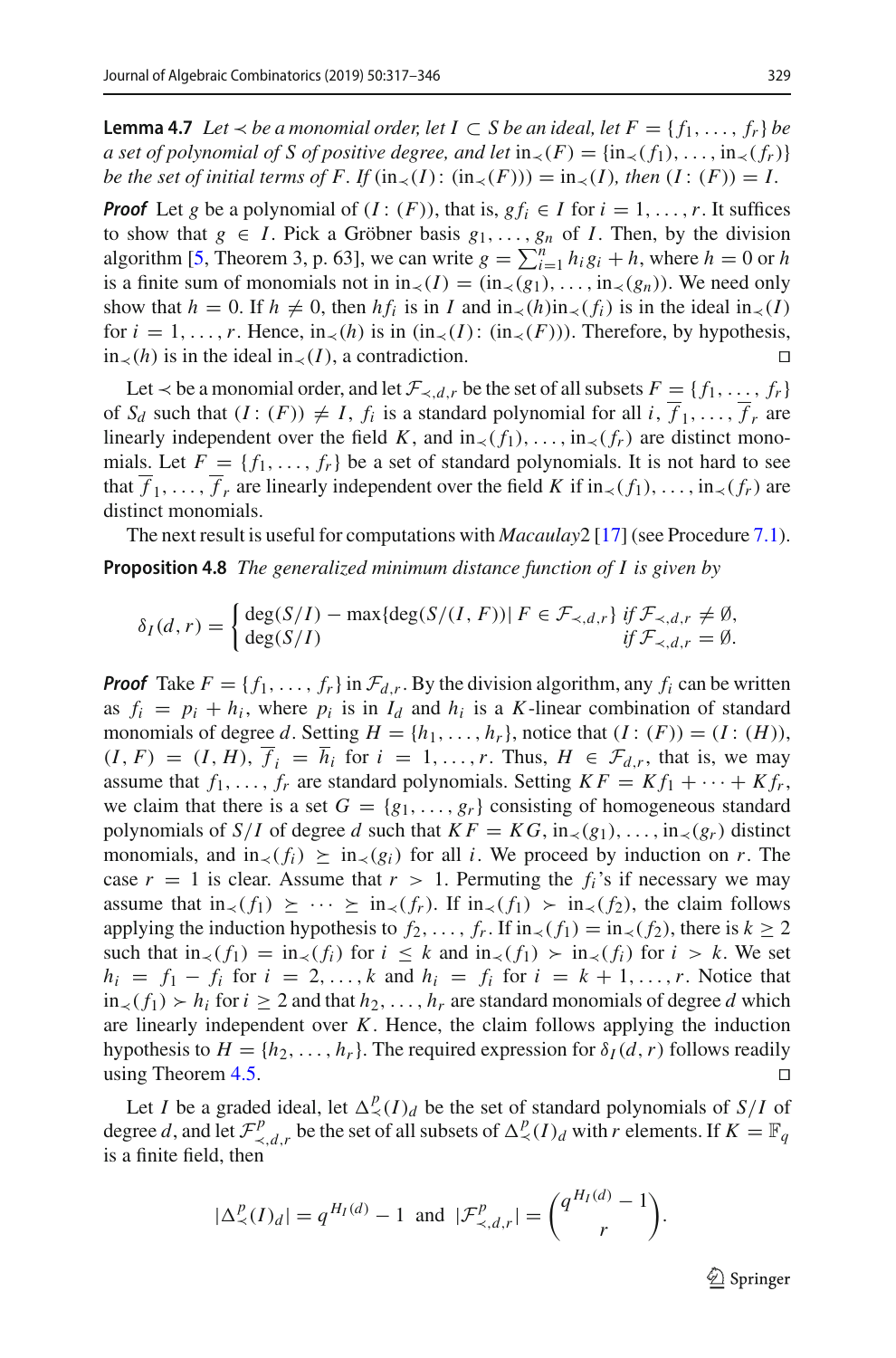**Lemma 4.7** *Let*  $\prec$  *be a monomial order, let I* ⊂ *S be an ideal, let*  $F = \{f_1, \ldots, f_r\}$  *be a set of polynomial of S of positive degree, and let*  $\text{in}_{\prec}(F) = \{\text{in}_{\prec}(f_1), \ldots, \text{in}_{\prec}(f_r)\}\$ *be the set of initial terms of F. If*  $(in_{\prec}(I): (in_{\prec}(F))) = in_{\prec}(I)$ *, then*  $(I: (F)) = I$ *.* 

*Proof* Let *g* be a polynomial of  $(I:(F))$ , that is,  $gf_i \in I$  for  $i = 1, \ldots, r$ . It suffices to show that  $g \in I$ . Pick a Gröbner basis  $g_1, \ldots, g_n$  of *I*. Then, by the division algorithm [\[5](#page-27-7), Theorem 3, p. 63], we can write  $g = \sum_{i=1}^{n} h_i g_i + h$ , where  $h = 0$  or *h* is a finite sum of monomials not in in<sub> $\prec$ </sub>(*I*) = (in<sub> $\prec$ </sub>(*g*<sub>1</sub>), . . . , in<sub> $\prec$ </sub>(*g<sub>n</sub>*)). We need only show that *h* = 0. If *h*  $\neq$  0, then *hf<sub>i</sub>* is in *I* and in<sub> $\lt$ </sub>(*h*)in<sub> $\lt$ </sub>(*f<sub>i</sub>*) is in the ideal in<sub> $\lt$ </sub>(*I*) for *i* = 1, ..., *r*. Hence, in<sub> $\lt l$ </sub>(*h*) is in (in $\lt l$ (*I*): (in $\lt l$ (*F*))). Therefore, by hypothesis, in  $\lt l$ (*h*) is in the ideal in  $\lt l$ (*I*), a contradiction. in<sub> $≤$ </sub>(*h*) is in the ideal in<sub> $≤$ </sub>(*I*), a contradiction.

Let ≺ be a monomial order, and let  $\mathcal{F}_{\prec, d, r}$  be the set of all subsets  $F = \{f_1, \ldots, f_r\}$ of  $S_d$  such that  $(I: (F)) \neq I$ ,  $f_i$  is a standard polynomial for all  $i, \overline{f}_1, \ldots, \overline{f}_r$  are linearly independent over the field *K*, and in<sub>≺</sub>( $f_1$ ), ..., in<sub>≺</sub>( $f_r$ ) are distinct monomials. Let  $F = \{f_1, \ldots, f_r\}$  be a set of standard polynomials. It is not hard to see that  $\overline{f}_1,\ldots,\overline{f}_r$  are linearly independent over the field *K* if  $\text{in}_{\prec}(f_1),\ldots,\text{in}_{\prec}(f_r)$  are distinct monomials.

<span id="page-12-0"></span>The next result is useful for computations with *Macaulay*2 [\[17\]](#page-28-22) (see Procedure [7.1\)](#page-17-2). **Proposition 4.8** *The generalized minimum distance function of I is given by*

$$
\delta_I(d,r) = \begin{cases} \deg(S/I) - \max\{\deg(S/(I,F)) | F \in \mathcal{F}_{\prec,d,r}\} & \text{if } \mathcal{F}_{\prec,d,r} \neq \emptyset, \\ \deg(S/I) & \text{if } \mathcal{F}_{\prec,d,r} = \emptyset. \end{cases}
$$

*Proof* Take  $F = \{f_1, \ldots, f_r\}$  in  $\mathcal{F}_{d,r}$ . By the division algorithm, any  $f_i$  can be written as  $f_i = p_i + h_i$ , where  $p_i$  is in  $I_d$  and  $h_i$  is a *K*-linear combination of standard monomials of degree *d*. Setting  $H = \{h_1, \ldots, h_r\}$ , notice that  $(I: (F)) = (I: (H))$ ,  $(I, F) = (I, H), f_i = h_i$  for  $i = 1, \ldots, r$ . Thus,  $H \in \mathcal{F}_{d,r}$ , that is, we may assume that  $f_1, \ldots, f_r$  are standard polynomials. Setting  $KF = Kf_1 + \cdots + Kf_r$ , we claim that there is a set  $G = \{g_1, \ldots, g_r\}$  consisting of homogeneous standard polynomials of *S*/*I* of degree *d* such that  $KF = KG$ , in<sub> $\prec$ </sub>(*g*<sub>1</sub>), . . . , in<sub> $\prec$ </sub>(*g<sub>r</sub>*) distinct monomials, and  $\text{in}_{\le}(f_i) \ge \text{in}_{\le}(g_i)$  for all *i*. We proceed by induction on *r*. The case  $r = 1$  is clear. Assume that  $r > 1$ . Permuting the  $f_i$ 's if necessary we may assume that in<sub>≺</sub>( $f_1$ )  $\geq \cdots \geq$  in<sub>≺</sub>( $f_r$ ). If in<sub>≺</sub>( $f_1$ )  $>$  in<sub>≺</sub>( $f_2$ ), the claim follows applying the induction hypothesis to  $f_2, \ldots, f_r$ . If in<sub> $\prec$ </sub>( $f_1$ ) = in $\prec$ ( $f_2$ ), there is  $k \geq 2$ such that  $\text{in}_{\prec}(f_1) = \text{in}_{\prec}(f_i)$  for  $i \leq k$  and  $\text{in}_{\prec}(f_1) > \text{in}_{\prec}(f_i)$  for  $i > k$ . We set  $h_i = f_1 - f_i$  for  $i = 2, \ldots, k$  and  $h_i = f_i$  for  $i = k + 1, \ldots, r$ . Notice that  $in_{\prec}(f_1)$  ≻  $h_i$  for  $i \geq 2$  and that  $h_2, \ldots, h_r$  are standard monomials of degree *d* which are linearly independent over *K*. Hence, the claim follows applying the induction hypothesis to  $H = \{h_2, \ldots, h_r\}$ . The required expression for  $\delta_I(d, r)$  follows readily using Theorem [4.5.](#page-11-0)  $\Box$ 

Let *I* be a graded ideal, let  $\Delta^p_<(I)_d$  be the set of standard polynomials of *S*/*I* of degree *d*, and let  $\mathcal{F}^p_{\prec,d,r}$  be the set of all subsets of  $\Delta^p_{\prec}(I)_d$  with *r* elements. If  $K = \mathbb{F}_q$ is a finite field, then

$$
|\Delta^p_{\prec}(I)_d| = q^{H_I(d)} - 1
$$
 and  $|\mathcal{F}^p_{\prec,d,r}| = {q^{H_I(d)} - 1 \choose r}$ .

 $\mathcal{L}$  Springer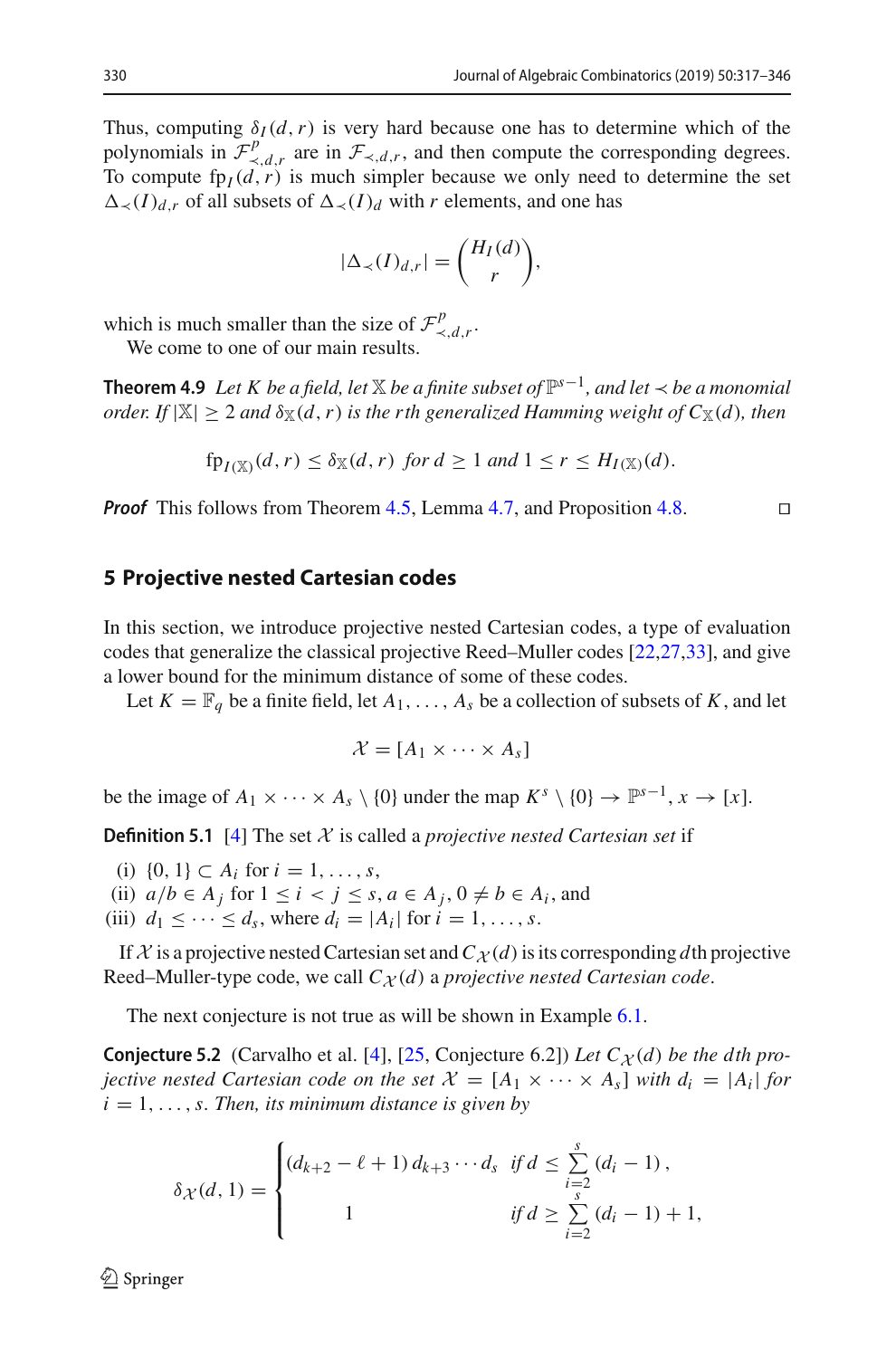Thus, computing  $\delta_I(d, r)$  is very hard because one has to determine which of the polynomials in  $\mathcal{F}^p_{\prec,d,r}$  are in  $\mathcal{F}_{\prec,d,r}$ , and then compute the corresponding degrees. To compute  $fp_I(d, r)$  is much simpler because we only need to determine the set  $\Delta$  < (*I*)<sub>*d*,*r*</sub> of all subsets of  $\Delta$  < (*I*)<sub>*d*</sub> with *r* elements, and one has

$$
|\Delta_{\prec}(I)_{d,r}| = \binom{H_I(d)}{r},
$$

which is much smaller than the size of  $\mathcal{F}^p_{\prec, d, r}$ .

<span id="page-13-0"></span>We come to one of our main results.

**Theorem 4.9** *Let K be a field, let*  $\mathbb{X}$  *be a finite subset of*  $\mathbb{P}^{s-1}$ *, and let*  $\prec$  *be a monomial order.* If  $|\mathbb{X}| \geq 2$  *and*  $\delta_{\mathbb{X}}(d, r)$  *is the rth generalized Hamming weight of*  $C_{\mathbb{X}}(d)$ *, then* 

$$
\text{fp}_{I(\mathbb{X})}(d,r) \leq \delta_{\mathbb{X}}(d,r) \text{ for } d \geq 1 \text{ and } 1 \leq r \leq H_{I(\mathbb{X})}(d).
$$

*Proof* This follows from Theorem [4.5,](#page-11-0) Lemma [4.7,](#page-11-3) and Proposition [4.8.](#page-12-0) □

#### <span id="page-13-1"></span>**5 Projective nested Cartesian codes**

In this section, we introduce projective nested Cartesian codes, a type of evaluation codes that generalize the classical projective Reed–Muller codes [\[22](#page-28-19)[,27](#page-28-20)[,33\]](#page-28-21), and give a lower bound for the minimum distance of some of these codes.

Let  $K = \mathbb{F}_q$  be a finite field, let  $A_1, \ldots, A_s$  be a collection of subsets of K, and let

$$
\mathcal{X} = [A_1 \times \cdots \times A_s]
$$

be the image of  $A_1 \times \cdots \times A_s \setminus \{0\}$  under the map  $K^s \setminus \{0\} \to \mathbb{P}^{s-1}, x \to [x]$ .

**Definition 5.1** [\[4](#page-27-2)] The set *X* is called a *projective nested Cartesian set* if

(i) {0, 1} ⊂  $A_i$  for  $i = 1, ..., s$ ,

(ii)  $a/b \in A_j$  for  $1 \le i < j \le s$ ,  $a \in A_j$ ,  $0 \ne b \in A_i$ , and

(iii)  $d_1 \leq \cdots \leq d_s$ , where  $d_i = |A_i|$  for  $i = 1, ..., s$ .

If  $X$  is a projective nested Cartesian set and  $C_X(d)$  is its corresponding dth projective Reed–Muller-type code, we call  $C_{\mathcal{X}}(d)$  a *projective nested Cartesian code*.

<span id="page-13-2"></span>The next conjecture is not true as will be shown in Example [6.1.](#page-15-1)

**Conjecture 5.2** (Carvalho et al. [\[4\]](#page-27-2), [\[25](#page-28-0), Conjecture 6.2]) Let  $C_{\mathcal{X}}(d)$  be the dth pro*jective nested Cartesian code on the set*  $\mathcal{X} = [A_1 \times \cdots \times A_s]$  *with*  $d_i = |A_i|$  for  $i = 1, \ldots, s$ . Then, its minimum distance is given by

$$
\delta_{\mathcal{X}}(d,1) = \begin{cases} (d_{k+2} - \ell + 1) d_{k+3} \cdots d_s & \text{if } d \leq \sum_{i=2}^s (d_i - 1), \\ 1 & \text{if } d \geq \sum_{i=2}^s (d_i - 1) + 1, \end{cases}
$$

 $\textcircled{2}$  Springer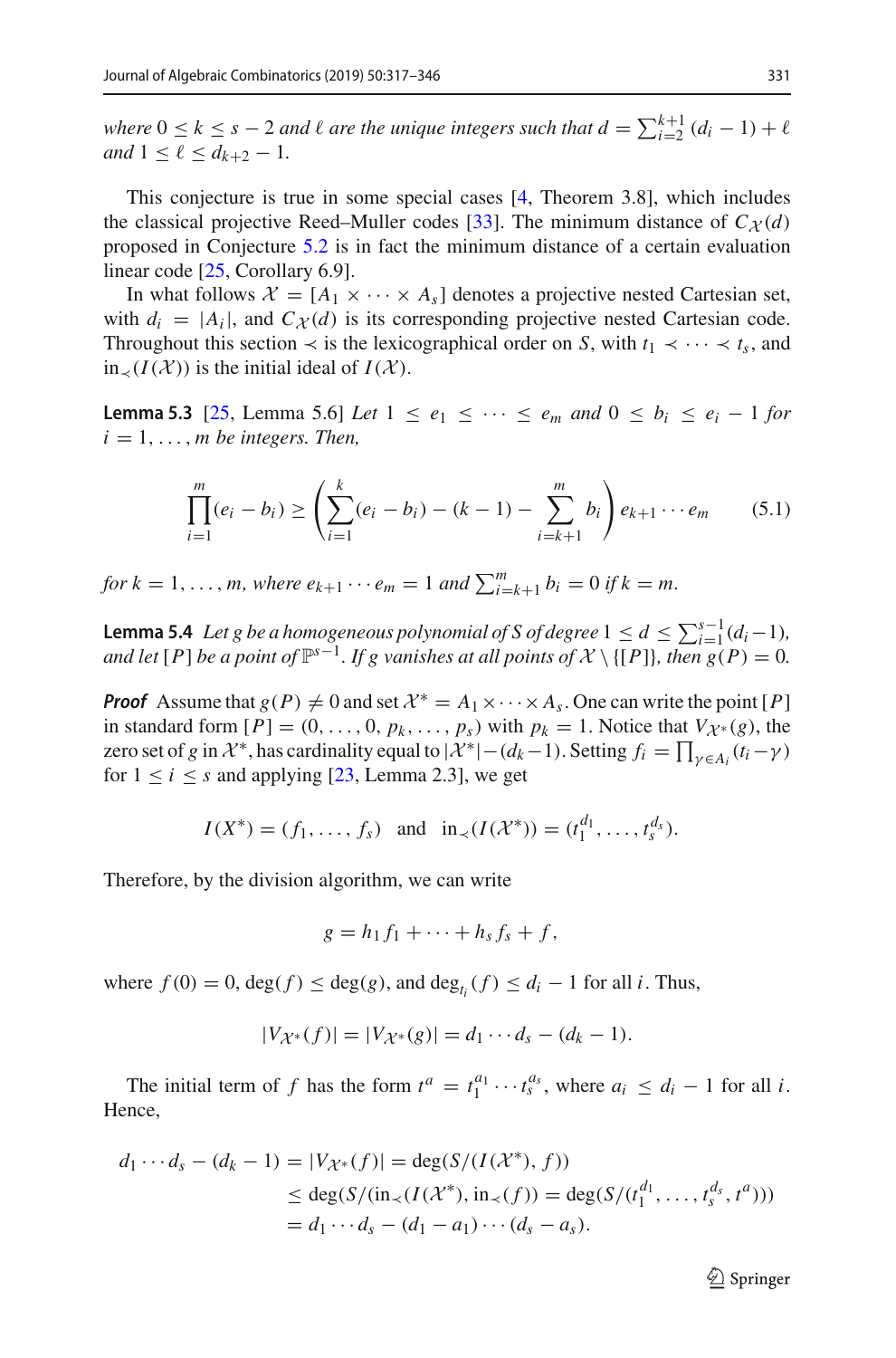*where*  $0 \le k \le s - 2$  *and*  $\ell$  *are the unique integers such that*  $d = \sum_{i=2}^{k+1} (d_i - 1) + \ell$ *and*  $1 \leq \ell \leq d_{k+2} - 1$ *.* 

This conjecture is true in some special cases [\[4,](#page-27-2) Theorem 3.8], which includes the classical projective Reed–Muller codes [\[33\]](#page-28-21). The minimum distance of  $C_{\mathcal{X}}(d)$ proposed in Conjecture [5.2](#page-13-2) is in fact the minimum distance of a certain evaluation linear code [\[25](#page-28-0), Corollary 6.9].

In what follows  $\mathcal{X} = [A_1 \times \cdots \times A_s]$  denotes a projective nested Cartesian set, with  $d_i = |A_i|$ , and  $C_{\mathcal{X}}(d)$  is its corresponding projective nested Cartesian code. Throughout this section  $\prec$  is the lexicographical order on *S*, with  $t_1 \prec \cdots \prec t_s$ , and in<sub>≺</sub>(*I*(*X*)) is the initial ideal of *I*(*X*).

<span id="page-14-0"></span>**Lemma 5.3** [\[25,](#page-28-0) Lemma 5.6] *Let* 1 ≤  $e_1$  ≤  $\cdots$  ≤  $e_m$  *and* 0 ≤  $b_i$  ≤  $e_i$  − 1 *for*  $i = 1, \ldots, m$  be integers. Then,

$$
\prod_{i=1}^{m} (e_i - b_i) \ge \left( \sum_{i=1}^{k} (e_i - b_i) - (k-1) - \sum_{i=k+1}^{m} b_i \right) e_{k+1} \cdots e_m \tag{5.1}
$$

*for*  $k = 1, ..., m$ , where  $e_{k+1} \cdots e_m = 1$  and  $\sum_{i=k+1}^{m} b_i = 0$  if  $k = m$ .

<span id="page-14-1"></span>**Lemma 5.4** *Let g be a homogeneous polynomial of S of degree*  $1 \le d \le \sum_{i=1}^{s-1} (d_i - 1)$ , *and let*  $[P]$  *be a point of*  $\mathbb{P}^{s-1}$ *. If g vanishes at all points of*  $\mathcal{X} \setminus \{[P]\}$ *, then*  $g(P) = 0$ *.* 

*Proof* Assume that  $g(P) \neq 0$  and set  $\mathcal{X}^* = A_1 \times \cdots \times A_s$ . One can write the point [*P*] in standard form  $[P] = (0, \ldots, 0, p_k, \ldots, p_s)$  with  $p_k = 1$ . Notice that  $V_{\mathcal{X}^*}(g)$ , the zero set of *g* in  $\mathcal{X}^*$ , has cardinality equal to  $|\mathcal{X}^*| - (d_k - 1)$ . Setting  $f_i = \prod_{\gamma \in A_i} (t_i - \gamma)$ for  $1 \le i \le s$  and applying [\[23](#page-28-28), Lemma 2.3], we get

$$
I(X^*) = (f_1, ..., f_s)
$$
 and  $in_{\prec}(I(X^*)) = (t_1^{d_1}, ..., t_s^{d_s}).$ 

Therefore, by the division algorithm, we can write

$$
g=h_1f_1+\cdots+h_sf_s+f,
$$

where  $f(0) = 0$ ,  $deg(f) \leq deg(g)$ , and  $deg_{t_i}(f) \leq d_i - 1$  for all *i*. Thus,

$$
|V_{\mathcal{X}^*}(f)| = |V_{\mathcal{X}^*}(g)| = d_1 \cdots d_s - (d_k - 1).
$$

The initial term of *f* has the form  $t^a = t_1^{a_1} \cdots t_s^{a_s}$ , where  $a_i \leq d_i - 1$  for all *i*. Hence,

$$
d_1 \cdots d_s - (d_k - 1) = |V_{\mathcal{X}^*}(f)| = \deg(S/(I(\mathcal{X}^*), f))
$$
  
\n
$$
\leq \deg(S/(\text{in}_{\prec}(I(\mathcal{X}^*), \text{in}_{\prec}(f)) = \deg(S/(t_1^{d_1}, \dots, t_s^{d_s}, t^a)))
$$
  
\n
$$
= d_1 \cdots d_s - (d_1 - a_1) \cdots (d_s - a_s).
$$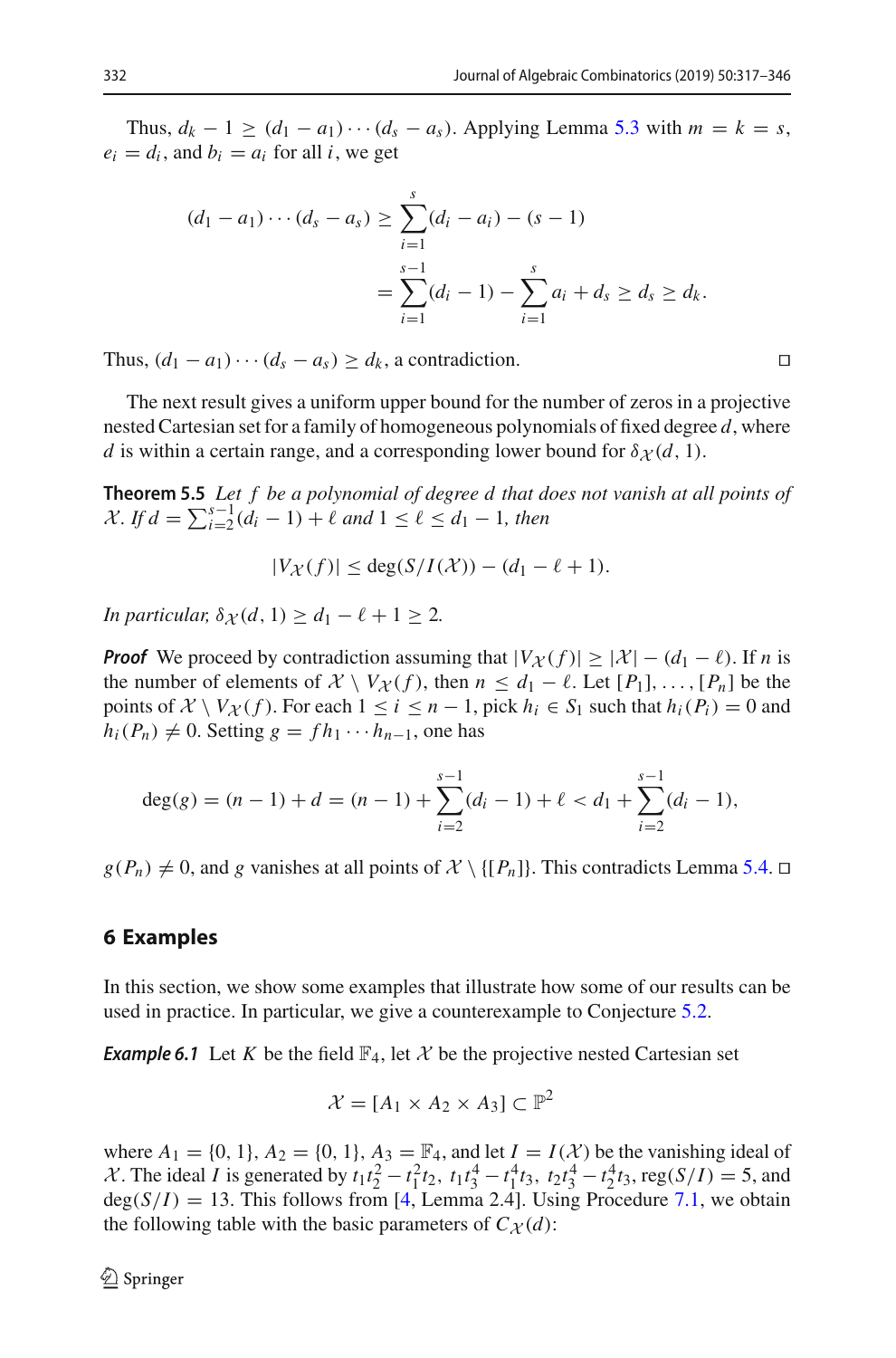Thus,  $d_k - 1 \ge (d_1 - a_1) \cdots (d_s - a_s)$ . Applying Lemma [5.3](#page-14-0) with  $m = k = s$ ,  $e_i = d_i$ , and  $b_i = a_i$  for all *i*, we get

$$
(d_1 - a_1) \cdots (d_s - a_s) \ge \sum_{i=1}^s (d_i - a_i) - (s - 1)
$$
  
= 
$$
\sum_{i=1}^{s-1} (d_i - 1) - \sum_{i=1}^s a_i + d_s \ge d_s \ge d_k.
$$

Thus,  $(d_1 - a_1) \cdots (d_s - a_s) \ge d_k$ , a contradiction.

The next result gives a uniform upper bound for the number of zeros in a projective nested Cartesian set for a family of homogeneous polynomials of fixed degree *d*, where *d* is within a certain range, and a corresponding lower bound for  $\delta \chi(d, 1)$ .

<span id="page-15-0"></span>**Theorem 5.5** *Let f be a polynomial of degree d that does not vanish at all points of X. If d* =  $\sum_{i=2}^{s-1} (d_i - 1) + \ell$  *and* 1 ≤  $\ell$  ≤ *d*<sub>1</sub> − 1*, then* 

$$
|V_{\mathcal{X}}(f)| \leq \deg(S/I(\mathcal{X})) - (d_1 - \ell + 1).
$$

*In particular,*  $\delta \chi(d, 1) > d_1 - \ell + 1 > 2$ .

*Proof* We proceed by contradiction assuming that  $|V_{\mathcal{X}}(f)| \geq |\mathcal{X}| - (d_1 - \ell)$ . If *n* is the number of elements of  $\mathcal{X} \setminus V_{\mathcal{X}}(f)$ , then  $n \leq d_1 - \ell$ . Let  $[P_1], \ldots, [P_n]$  be the points of  $X \setminus V_X(f)$ . For each  $1 \le i \le n-1$ , pick  $h_i \in S_1$  such that  $h_i(P_i) = 0$  and  $h_i(P_n) \neq 0$ . Setting  $g = fh_1 \cdots h_{n-1}$ , one has

$$
deg(g) = (n - 1) + d = (n - 1) + \sum_{i=2}^{s-1} (d_i - 1) + \ell < d_1 + \sum_{i=2}^{s-1} (d_i - 1),
$$

 $g(P_n) \neq 0$ , and *g* vanishes at all points of  $\mathcal{X} \setminus \{[P_n]\}$ . This contradicts Lemma [5.4.](#page-14-1)  $\Box$ 

#### <span id="page-15-2"></span>**6 Examples**

<span id="page-15-1"></span>In this section, we show some examples that illustrate how some of our results can be used in practice. In particular, we give a counterexample to Conjecture [5.2.](#page-13-2)

**Example 6.1** Let K be the field  $\mathbb{F}_4$ , let X be the projective nested Cartesian set

$$
\mathcal{X} = [A_1 \times A_2 \times A_3] \subset \mathbb{P}^2
$$

where  $A_1 = \{0, 1\}, A_2 = \{0, 1\}, A_3 = \mathbb{F}_4$ , and let  $I = I(\mathcal{X})$  be the vanishing ideal of *X*. The ideal *I* is generated by  $t_1 t_2^2 - t_1^2 t_2$ ,  $t_1 t_3^4 - t_1^4 t_3$ ,  $t_2 t_3^4 - t_2^4 t_3$ , reg(*S*/*I*) = 5, and  $deg(S/I) = 13$ . This follows from [\[4,](#page-27-2) Lemma 2.4]. Using Procedure [7.1,](#page-17-2) we obtain the following table with the basic parameters of  $C_{\mathcal{X}}(d)$ :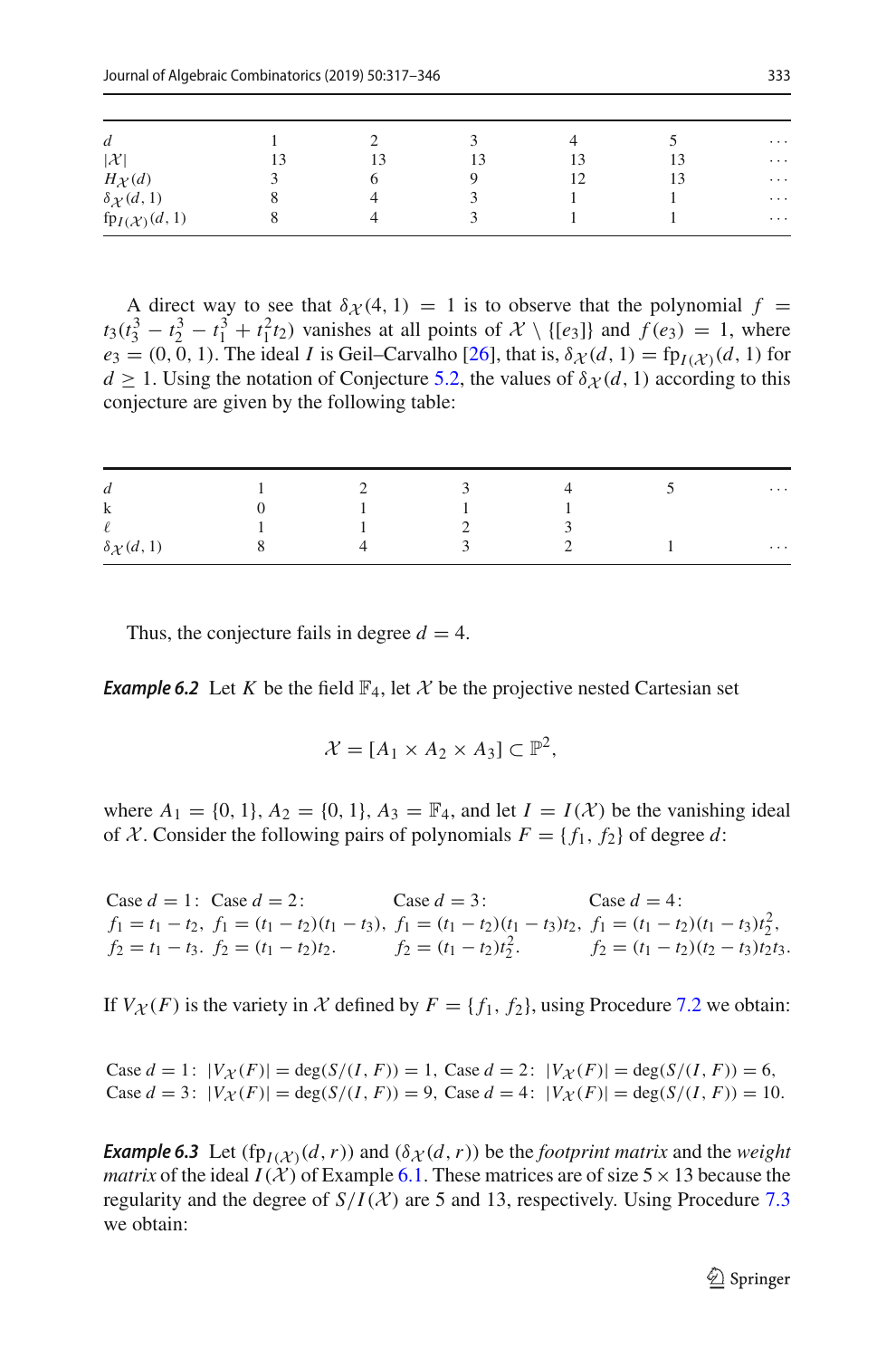| $\boldsymbol{d}$             |    |                 | $\cdots$ |
|------------------------------|----|-----------------|----------|
| $ \mathcal{X} $              | 13 |                 | $\cdots$ |
| $H_{\mathcal{X}}(d)$         |    | $\overline{12}$ | $\cdots$ |
| $\delta \chi(d,1)$           |    |                 | $\cdots$ |
| $fp_I(\mathcal{X})$ $(d, 1)$ |    |                 | $\cdots$ |

A direct way to see that  $\delta \chi(4, 1) = 1$  is to observe that the polynomial  $f =$  $t_3(t_3^3 - t_2^3 - t_1^3 + t_1^2t_2)$  vanishes at all points of  $\mathcal{X} \setminus \{[e_3]\}$  and  $f(e_3) = 1$ , where  $e_3 = (0, 0, 1)$ . The ideal *I* is Geil–Carvalho [\[26](#page-28-2)], that is,  $\delta \chi(d, 1) = f p_{I(\mathcal{X})}(d, 1)$  for  $d \geq 1$ . Using the notation of Conjecture [5.2,](#page-13-2) the values of  $\delta \chi(d, 1)$  according to this conjecture are given by the following table:

| d                   |  |  | $\cdots$ |
|---------------------|--|--|----------|
| k                   |  |  |          |
| $\ell$              |  |  |          |
| $\delta \chi(d, 1)$ |  |  | $\cdots$ |

<span id="page-16-1"></span>Thus, the conjecture fails in degree  $d = 4$ .

**Example 6.2** Let *K* be the field  $\mathbb{F}_4$ , let *X* be the projective nested Cartesian set

$$
\mathcal{X} = [A_1 \times A_2 \times A_3] \subset \mathbb{P}^2
$$

where  $A_1 = \{0, 1\}, A_2 = \{0, 1\}, A_3 = \mathbb{F}_4$ , and let  $I = I(\mathcal{X})$  be the vanishing ideal of *X*. Consider the following pairs of polynomials  $F = \{f_1, f_2\}$  of degree *d*:

Case  $d = 1$ : Case  $d = 2$ : Case  $d = 3$ : Case  $d = 4$ :  $f_1 = t_1 - t_2$ ,  $f_1 = (t_1 - t_2)(t_1 - t_3)$ ,  $f_1 = (t_1 - t_2)(t_1 - t_3)t_2$ ,  $f_1 = (t_1 - t_2)(t_1 - t_3)t_2^2$ ,  $f_2 = t_1 - t_3$ .  $f_2 = (t_1 - t_2)t_2$ .  $f_2 = (t_1 - t_2)t_2^2$ .  $f_2 = (t_1 - t_2)(t_2 - t_3)t_2t_3$ .

If  $V_X(F)$  is the variety in *X* defined by  $F = \{f_1, f_2\}$ , using Procedure [7.2](#page-18-0) we obtain:

Case  $d = 1$ :  $|V_{\mathcal{X}}(F)| = \deg(S/(I, F)) = 1$ , Case  $d = 2$ :  $|V_{\mathcal{X}}(F)| = \deg(S/(I, F)) = 6$ , Case  $d = 3$ :  $|V_\mathcal{X}(F)| = \deg(S/(I, F)) = 9$ , Case  $d = 4$ :  $|V_\mathcal{X}(F)| = \deg(S/(I, F)) = 10$ .

<span id="page-16-0"></span>*Example 6.3* Let  $(fp_{I(X)}(d, r))$  and  $(\delta_X(d, r))$  be the *footprint matrix* and the *weight matrix* of the ideal  $I(X)$  of Example [6.1.](#page-15-1) These matrices are of size  $5 \times 13$  because the regularity and the degree of  $S/I(X)$  are 5 and 13, respectively. Using Procedure [7.3](#page-18-1) we obtain: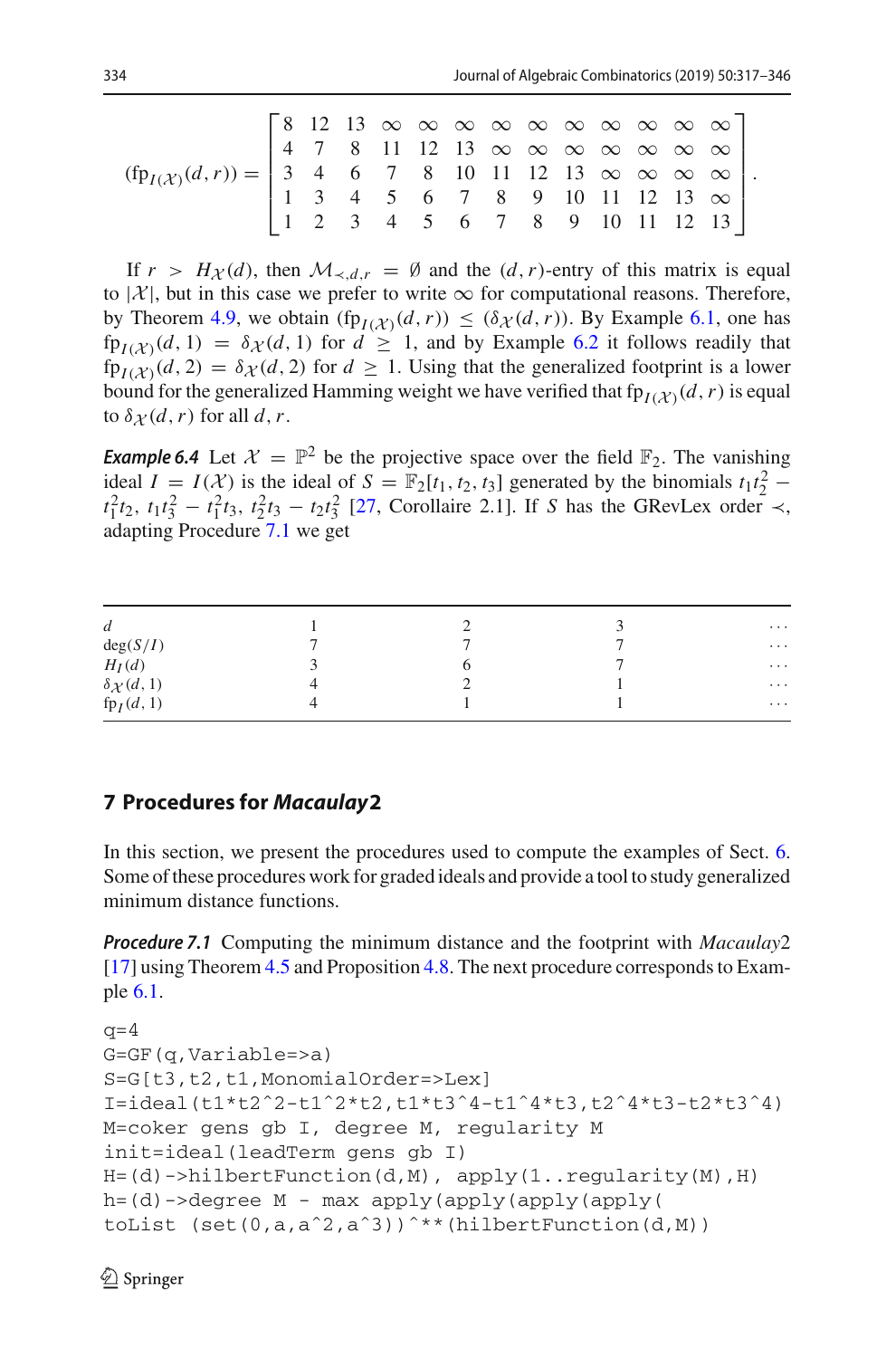If  $r > H_X(d)$ , then  $M_{\prec, d,r} = \emptyset$  and the  $(d, r)$ -entry of this matrix is equal to  $|\mathcal{X}|$ , but in this case we prefer to write  $\infty$  for computational reasons. Therefore, by Theorem [4.9,](#page-13-0) we obtain  $(fp_{I(X)}(d, r)) \le (\delta_{\mathcal{X}}(d, r))$ . By Example [6.1,](#page-15-1) one has  $f(p_{I(X)}(d, 1) = \delta_X(d, 1)$  for  $d \geq 1$ , and by Example [6.2](#page-16-1) it follows readily that  $f_{\text{P}_{I}(\mathcal{X})}(d, 2) = \delta_{\mathcal{X}}(d, 2)$  for  $d \ge 1$ . Using that the generalized footprint is a lower bound for the generalized Hamming weight we have verified that  $fp_{I(X)}(d, r)$  is equal to  $\delta_{\mathcal{X}}(d,r)$  for all d, r.

<span id="page-17-1"></span>**Example 6.4** Let  $\mathcal{X} = \mathbb{P}^2$  be the projective space over the field  $\mathbb{F}_2$ . The vanishing ideal  $I = I(\mathcal{X})$  is the ideal of  $S = \mathbb{F}_2[t_1, t_2, t_3]$  generated by the binomials  $t_1 t_2^2$  – *t*<sup>2</sup><sub>1</sub><sup>*t*</sup><sub>2</sub>, *t*<sub>1</sub>*t*<sup>2</sup><sub>3</sub> − *t*<sup>2</sup><sub>1</sub>*t*<sub>3</sub>, *t*<sup>2</sup><sub>2</sub>*t*<sub>3</sub> − *t*<sub>2</sub>*t*<sub>3</sub><sup>2</sup><sub>3</sub> [\[27,](#page-28-20) Corollaire 2.1]. If *S* has the GRevLex order ≺, adapting Procedure [7.1](#page-17-2) we get

| $\overline{d}$      |  | $\cdots$ |
|---------------------|--|----------|
| deg(S/I)            |  | $\cdots$ |
| $H_I(d)$            |  | $\ldots$ |
| $\delta \chi(d, 1)$ |  | $\cdots$ |
| $fp_I(d, 1)$        |  | $\cdots$ |

#### <span id="page-17-0"></span>**7 Procedures for** *Macaulay***2**

In this section, we present the procedures used to compute the examples of Sect. [6.](#page-15-2) Some of these procedures work for graded ideals and provide a tool to study generalized minimum distance functions.

<span id="page-17-2"></span>*Procedure 7.1* Computing the minimum distance and the footprint with *Macaulay*2 [\[17](#page-28-22)] using Theorem [4.5](#page-11-0) and Proposition [4.8.](#page-12-0) The next procedure corresponds to Example [6.1.](#page-15-1)

```
q=4G=GF(q,Variable=>a)
S=G[t3,t2,t1,MonomialOrder=>Lex]
I=ideal(t1*t2ˆ2-t1ˆ2*t2,t1*t3ˆ4-t1ˆ4*t3,t2ˆ4*t3-t2*t3ˆ4)
M=coker gens gb I, degree M, regularity M
init=ideal(leadTerm gens gb I)
H=(d)->hilbertFunction(d,M), apply(1..regularity(M),H)
h=(d)->degree M - max apply(apply(apply(apply(
toList (set(0,a,aˆ2,aˆ3))ˆ**(hilbertFunction(d,M))
```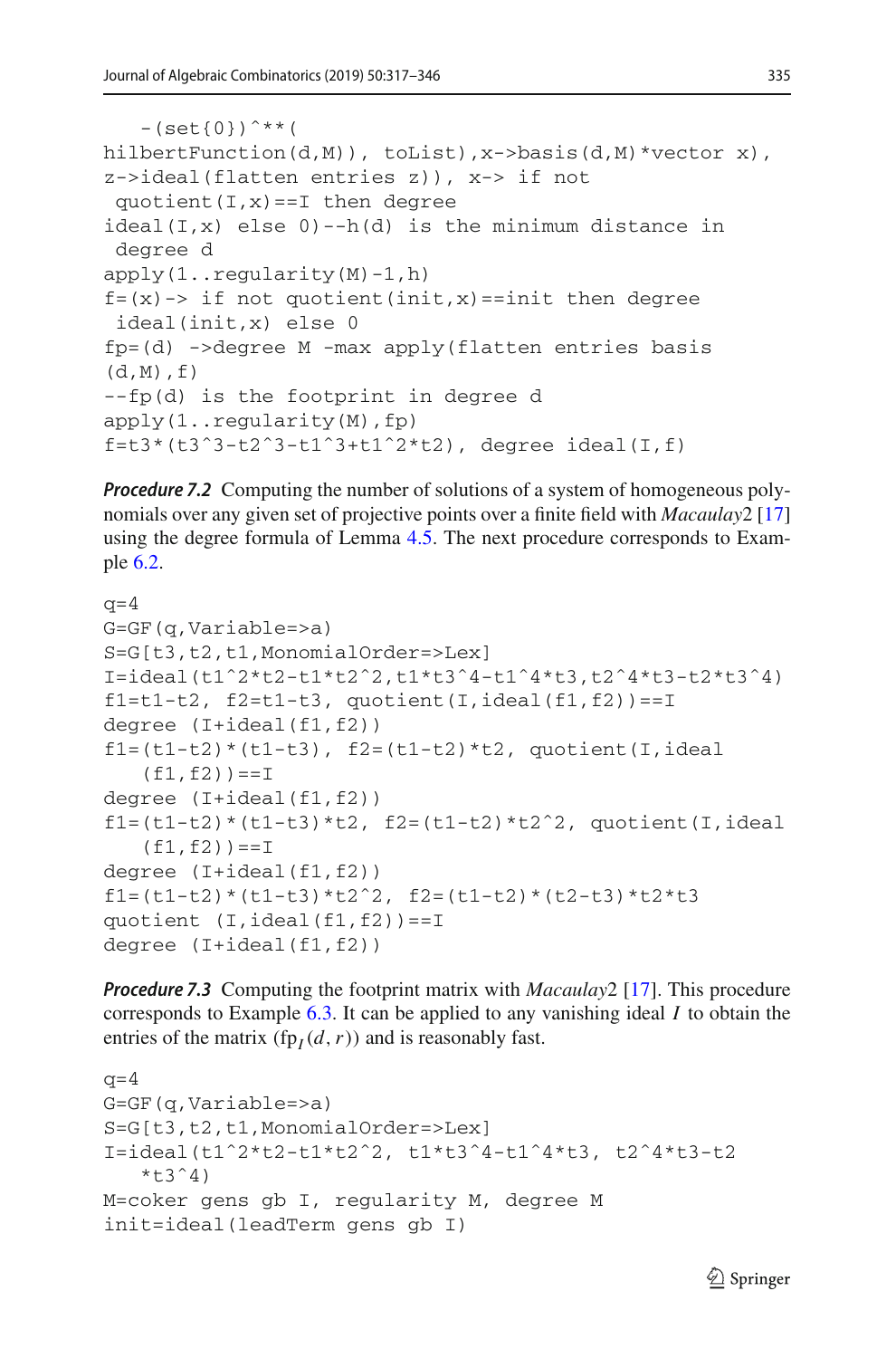```
-(set\{0\})<sup>^**</sup>(
hilbertFunction(d,M)), toList), x->basis(d,M)*vector x),
z->ideal(flatten entries z)), x-> if not
 quotient(I, x) == I then degree
ideal(I,x) else 0)--h(d) is the minimum distance in
 degree d
apply(1..regularity(M)-1,h)
f=(x) \rightarrow if not quotient(init, x) ==init then degree
 ideal(init,x) else 0
fp=(d) ->degree M -max apply(flatten entries basis
(d,M), f)
--fp(d) is the footprint in degree d
apply(1..regularity(M),fp)
f=t3*(t3^3-t2^3-t1^3+t1^2*t2), degree ideal(I,f)
```
<span id="page-18-0"></span>*Procedure 7.2* Computing the number of solutions of a system of homogeneous polynomials over any given set of projective points over a finite field with *Macaulay*2 [\[17\]](#page-28-22) using the degree formula of Lemma [4.5.](#page-11-0) The next procedure corresponds to Example [6.2.](#page-16-1)

```
q=4G=GF(q,Variable=>a)
S=G[t3,t2,t1,MonomialOrder=>Lex]
I=ideal(t1^2*t2-t1*t2^2,t1*t3^4-t1^4*t3,t2^4*t3-t2*t3^4)f1=t1-t2, f2=t1-t3, quotient(I,ideal(f1,f2)) ==I
degree (I+ideal(f1,f2))
f1=(t1-t2)*(t1-t3), f2=(t1-t2)*t2, quotient(I, ideal
   (f1, f2)) ==I
degree (I+ideal(f1,f2))
f1=(t1-t2)*(t1-t3)*t2, f2=(t1-t2)*t2^2, quotient(I,ideal
   (f1, f2)) ==I
degree (I+ideal(f1,f2))
f1=(t1-t2)*(t1-t3)*t2^2, f2=(t1-t2)*(t2-t3)*t2*t3
quotient (I, ideal(f1, f2)) == Idegree (I+ideal(f1,f2))
```
<span id="page-18-1"></span>*Procedure 7.3* Computing the footprint matrix with *Macaulay*2 [\[17](#page-28-22)]. This procedure corresponds to Example [6.3.](#page-16-0) It can be applied to any vanishing ideal *I* to obtain the entries of the matrix  $(fp<sub>I</sub>(d, r))$  and is reasonably fast.

```
q=4G=GF(q,Variable=>a)
S=G[t3,t2,t1,MonomialOrder=>Lex]
I=ideal(t1ˆ2*t2-t1*t2ˆ2, t1*t3ˆ4-t1ˆ4*t3, t2ˆ4*t3-t2
   *t3^{\wedge}4)
M=coker gens gb I, regularity M, degree M
init=ideal(leadTerm gens gb I)
```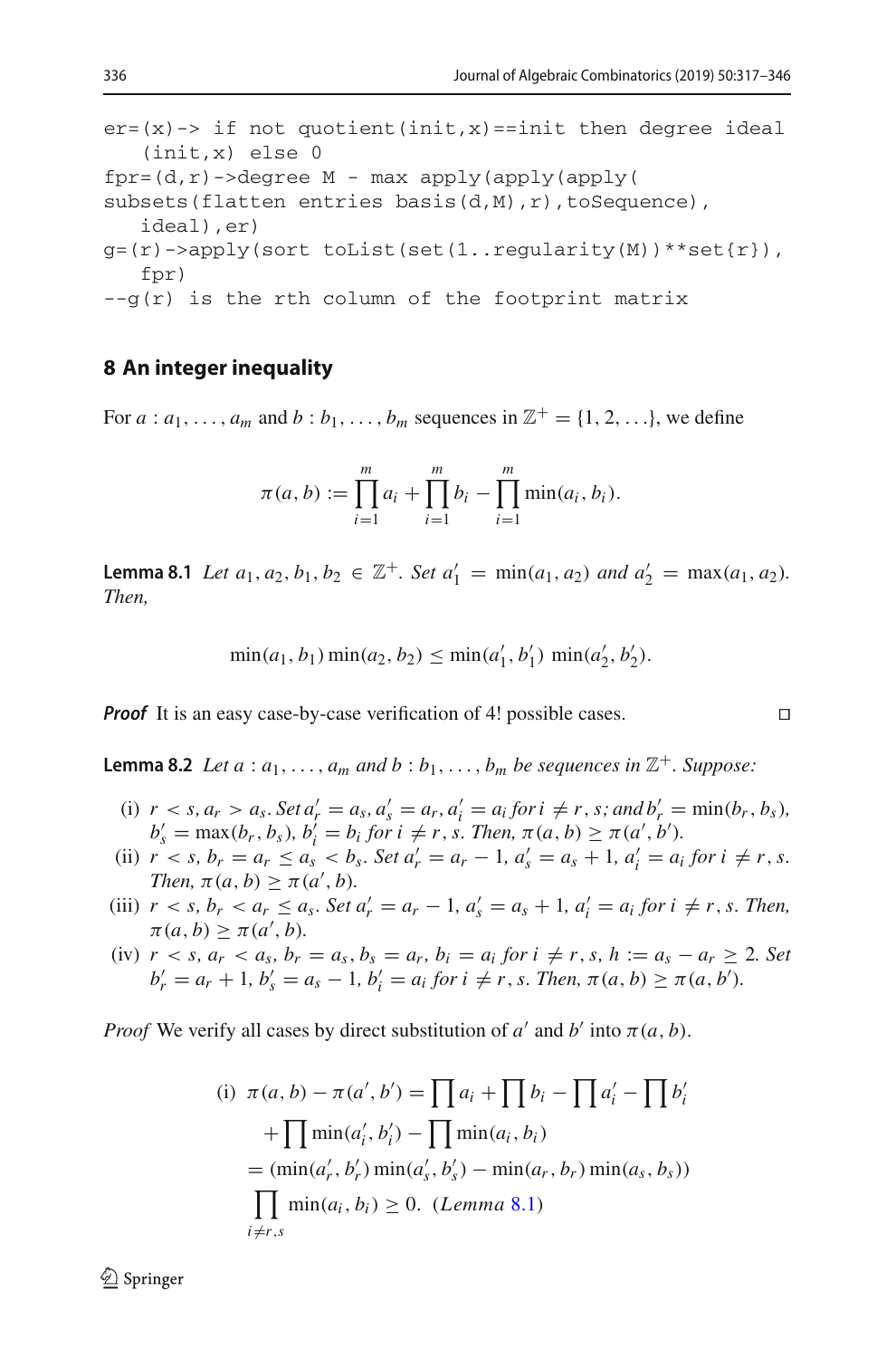$er=(x) \rightarrow if$  not quotient(init,x)==init then degree ideal (init,x) else 0  $fpr=(d,r)$ ->degree M - max apply(apply(apply( subsets(flatten entries basis(d, M), r), to Sequence), ideal),er)  $g=(r)$ ->apply(sort toList(set(1..regularity(M))\*\*set{r}), fpr)  $-g(r)$  is the rth column of the footprint matrix

#### **8 An integer inequality**

For  $a : a_1, \ldots, a_m$  and  $b : b_1, \ldots, b_m$  sequences in  $\mathbb{Z}^+ = \{1, 2, \ldots\}$ , we define

$$
\pi(a, b) := \prod_{i=1}^{m} a_i + \prod_{i=1}^{m} b_i - \prod_{i=1}^{m} \min(a_i, b_i).
$$

<span id="page-19-0"></span>**Lemma 8.1** *Let*  $a_1, a_2, b_1, b_2 \in \mathbb{Z}^+$ *. Set*  $a'_1 = \min(a_1, a_2)$  *and*  $a'_2 = \max(a_1, a_2)$ *. Then,*

$$
\min(a_1, b_1) \min(a_2, b_2) \le \min(a'_1, b'_1) \min(a'_2, b'_2).
$$

*Proof* It is an easy case-by-case verification of 4! possible cases.

<span id="page-19-1"></span>**Lemma 8.2** *Let a* :  $a_1, \ldots, a_m$  *and*  $b : b_1, \ldots, b_m$  *be sequences in*  $\mathbb{Z}^+$ *. Suppose:* 

- (i)  $r < s$ ,  $a_r > a_s$ . Set  $a'_r = a_s$ ,  $a'_s = a_r$ ,  $a'_i = a_i$  for  $i \neq r$ ,  $s$ ; and  $b'_r = \min(b_r, b_s)$ ,  $b'_s = \max(b_r, b_s), b'_i = b_i$  for  $i \neq r$ , *s.* Then,  $\pi(a, b) \geq \pi(a', b')$ .
- (ii)  $r < s$ ,  $b_r = a_r \le a_s < b_s$ . Set  $a'_r = a_r 1$ ,  $a'_s = a_s + 1$ ,  $a'_i = a_i$  for  $i \ne r$ , s. *Then,*  $\pi(a, b) \geq \pi(a', b)$ *.*
- (iii)  $r < s$ ,  $b_r < a_r \le a_s$ . Set  $a'_r = a_r 1$ ,  $a'_s = a_s + 1$ ,  $a'_i = a_i$  for  $i \ne r$ , s. Then,  $\pi(a, b) \geq \pi(a', b).$
- (iv)  $r < s$ ,  $a_r < a_s$ ,  $b_r = a_s$ ,  $b_s = a_r$ ,  $b_i = a_i$  for  $i \neq r$ ,  $s$ ,  $h := a_s a_r \geq 2$ . Set  $b'_r = a_r + 1$ ,  $b'_s = a_s - 1$ ,  $b'_i = a_i$  for  $i \neq r$ , *s. Then*,  $\pi(a, b) \geq \pi(a, b')$ .

*Proof* We verify all cases by direct substitution of *a'* and *b'* into  $\pi(a, b)$ .

(i) 
$$
\pi(a, b) - \pi(a', b') = \prod a_i + \prod b_i - \prod a'_i - \prod b'_i
$$
  
+  $\prod \min(a'_i, b'_i) - \prod \min(a_i, b_i)$   
=  $(\min(a'_r, b'_r) \min(a'_s, b'_s) - \min(a_r, b_r) \min(a_s, b_s))$   
 $\prod_{i \neq r,s} \min(a_i, b_i) \ge 0$ . (*Lemma* 8.1)

 $\mathcal{D}$  Springer

$$
\Box
$$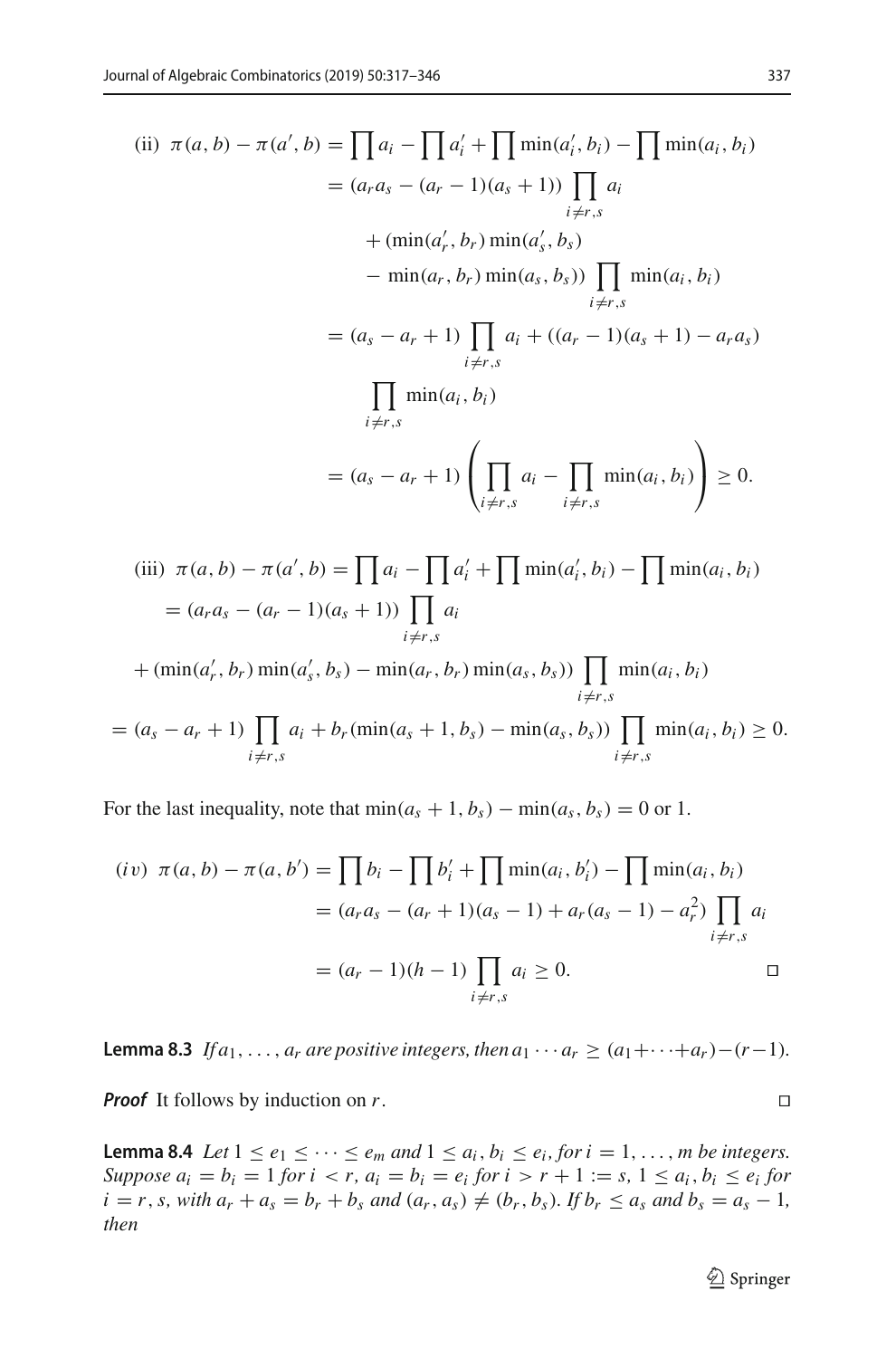(ii) 
$$
\pi(a, b) - \pi(a', b) = \prod a_i - \prod a'_i + \prod \min(a'_i, b_i) - \prod \min(a_i, b_i)
$$
  
\n
$$
= (a_r a_s - (a_r - 1)(a_s + 1)) \prod_{\substack{i \neq r, s}} a_i
$$
\n
$$
+ (\min(a'_r, b_r) \min(a'_s, b_s))
$$
\n
$$
- \min(a_r, b_r) \min(a_s, b_s)) \prod_{\substack{i \neq r, s}} \min(a_i, b_i)
$$
\n
$$
= (a_s - a_r + 1) \prod_{\substack{i \neq r, s}} a_i + ((a_r - 1)(a_s + 1) - a_r a_s)
$$
\n
$$
\prod_{\substack{i \neq r, s}} \min(a_i, b_i)
$$
\n
$$
= (a_s - a_r + 1) \left( \prod_{\substack{i \neq r, s}} a_i - \prod_{\substack{i \neq r, s}} \min(a_i, b_i) \right) \ge 0.
$$
\n(iii)  $\pi(a, b) - \pi(a', b) = \prod a_i - \prod a'_i + \prod \min(a'_i, b_i) - \prod \min(a_i, b_i)$   
\n
$$
= (a_r a_s - (a_r - 1)(a_s + 1)) \prod_{\substack{i \neq r, s}} a_i
$$
\n
$$
+ (\min(a'_r, b_r) \min(a'_s, b_s) - \min(a_r, b_r) \min(a_s, b_s)) \prod \min(a_i, b_i)
$$

$$
= (a_s - a_r + 1) \prod_{i \neq r, s} a_i + b_r (\min(a_s + 1, b_s) - \min(a_s, b_s)) \prod_{i \neq r, s} \min(a_i, b_i) \ge 0.
$$

For the last inequality, note that  $\min(a_s + 1, b_s) - \min(a_s, b_s) = 0$  or 1.

$$
(iv) \ \pi(a, b) - \pi(a, b') = \prod b_i - \prod b'_i + \prod \min(a_i, b'_i) - \prod \min(a_i, b_i)
$$

$$
= (a_r a_s - (a_r + 1)(a_s - 1) + a_r (a_s - 1) - a_r^2) \prod_{i \neq r, s} a_i
$$

$$
= (a_r - 1)(h - 1) \prod_{i \neq r, s} a_i \ge 0.
$$

<span id="page-20-0"></span>**Lemma 8.3** *If*  $a_1, \ldots, a_r$  *are positive integers, then*  $a_1 \cdots a_r \geq (a_1 + \cdots + a_r) - (r-1)$ *.* 

*Proof* It follows by induction on *r*. □

<span id="page-20-1"></span>**Lemma 8.4** *Let*  $1 \leq e_1 \leq \cdots \leq e_m$  *and*  $1 \leq a_i, b_i \leq e_i$ , *for*  $i = 1, \ldots, m$  *be integers. Suppose*  $a_i = b_i = 1$  *for*  $i < r$ ,  $a_i = b_i = e_i$  *for*  $i > r + 1 := s$ ,  $1 \le a_i$ ,  $b_i \le e_i$  *for*  $i = r, s$ , with  $a_r + a_s = b_r + b_s$  and  $(a_r, a_s) \neq (b_r, b_s)$ . If  $b_r \leq a_s$  and  $b_s = a_s - 1$ , *then*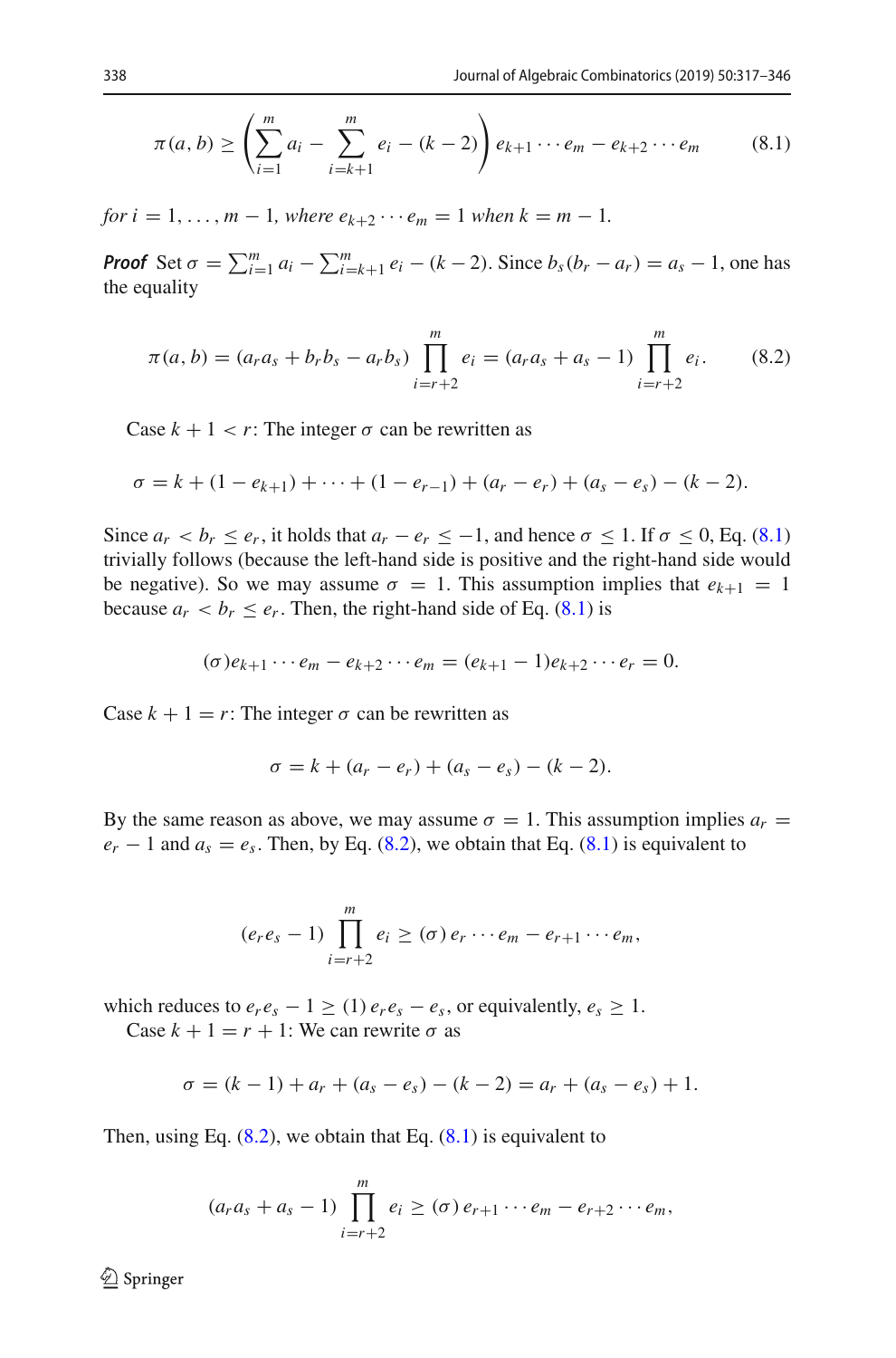<span id="page-21-0"></span>
$$
\pi(a, b) \ge \left(\sum_{i=1}^{m} a_i - \sum_{i=k+1}^{m} e_i - (k-2)\right) e_{k+1} \cdots e_m - e_{k+2} \cdots e_m \tag{8.1}
$$

*for*  $i = 1, ..., m - 1$ *, where*  $e_{k+2} \cdots e_m = 1$  *when*  $k = m - 1$ *.* 

*Proof* Set  $\sigma = \sum_{i=1}^{m} a_i - \sum_{i=k+1}^{m} e_i - (k-2)$ . Since  $b_s(b_r - a_r) = a_s - 1$ , one has the equality

<span id="page-21-1"></span>
$$
\pi(a,b) = (a_r a_s + b_r b_s - a_r b_s) \prod_{i=r+2}^{m} e_i = (a_r a_s + a_s - 1) \prod_{i=r+2}^{m} e_i.
$$
 (8.2)

Case  $k + 1 < r$ : The integer  $\sigma$  can be rewritten as

$$
\sigma = k + (1 - e_{k+1}) + \cdots + (1 - e_{r-1}) + (a_r - e_r) + (a_s - e_s) - (k-2).
$$

Since  $a_r < b_r \le e_r$ , it holds that  $a_r - e_r \le -1$ , and hence  $\sigma \le 1$ . If  $\sigma \le 0$ , Eq. [\(8.1\)](#page-21-0) trivially follows (because the left-hand side is positive and the right-hand side would be negative). So we may assume  $\sigma = 1$ . This assumption implies that  $e_{k+1} = 1$ because  $a_r < b_r \le e_r$ . Then, the right-hand side of Eq. [\(8.1\)](#page-21-0) is

$$
(\sigma)e_{k+1}\cdots e_m - e_{k+2}\cdots e_m = (e_{k+1}-1)e_{k+2}\cdots e_r = 0.
$$

Case  $k + 1 = r$ : The integer  $\sigma$  can be rewritten as

$$
\sigma = k + (a_r - e_r) + (a_s - e_s) - (k - 2).
$$

By the same reason as above, we may assume  $\sigma = 1$ . This assumption implies  $a_r =$  $e_r - 1$  and  $a_s = e_s$ . Then, by Eq. [\(8.2\)](#page-21-1), we obtain that Eq. [\(8.1\)](#page-21-0) is equivalent to

$$
(e_r e_s - 1) \prod_{i=r+2}^m e_i \geq (\sigma) e_r \cdots e_m - e_{r+1} \cdots e_m,
$$

which reduces to  $e_r e_s - 1 \ge (1) e_r e_s - e_s$ , or equivalently,  $e_s \ge 1$ .

Case  $k + 1 = r + 1$ : We can rewrite  $\sigma$  as

$$
\sigma = (k - 1) + a_r + (a_s - e_s) - (k - 2) = a_r + (a_s - e_s) + 1.
$$

Then, using Eq.  $(8.2)$ , we obtain that Eq.  $(8.1)$  is equivalent to

$$
(a_r a_s + a_s - 1) \prod_{i=r+2}^m e_i \geq (\sigma) e_{r+1} \cdots e_m - e_{r+2} \cdots e_m,
$$

 $\mathcal{D}$  Springer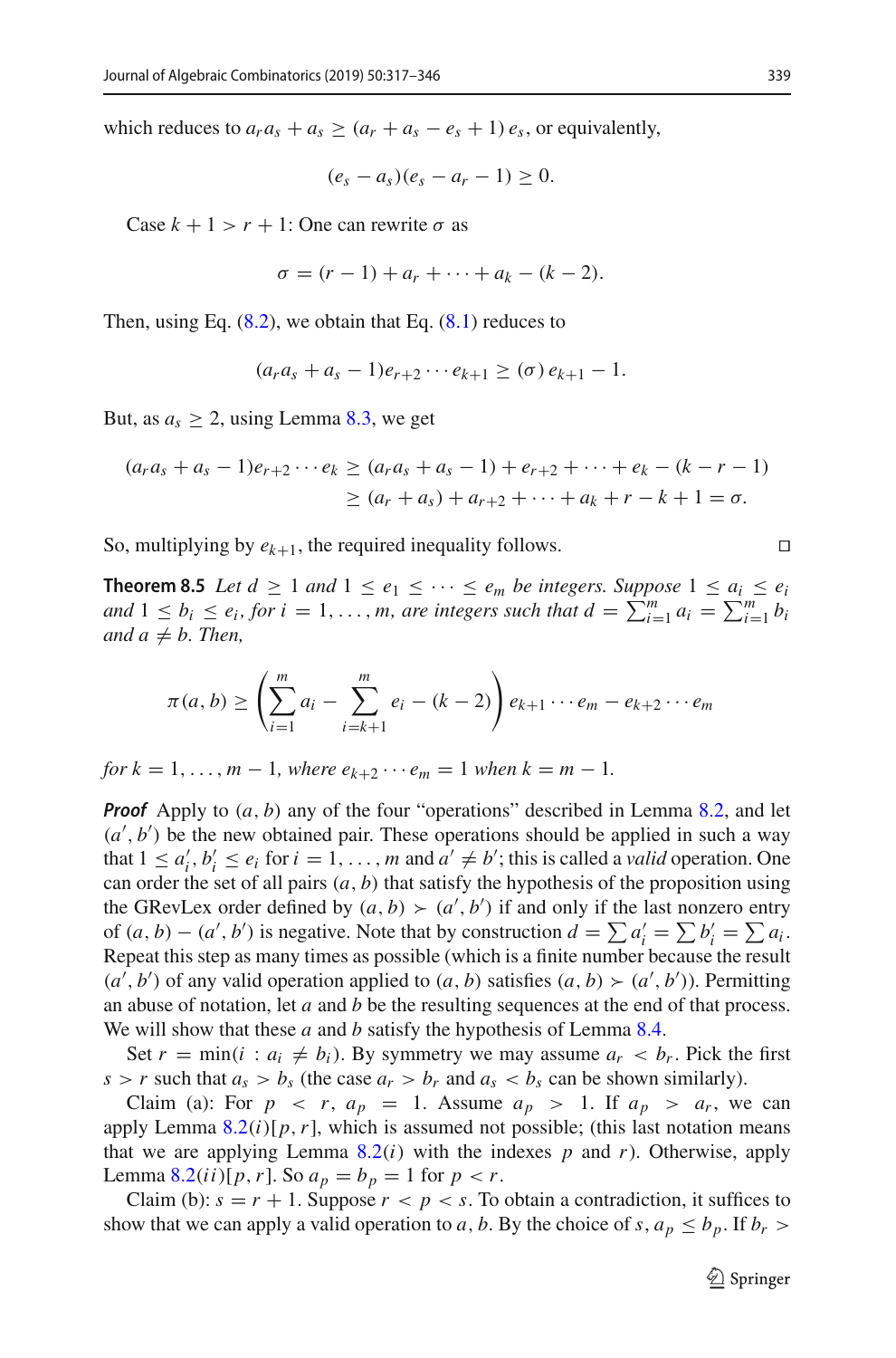which reduces to  $a_r a_s + a_s \ge (a_r + a_s - e_s + 1) e_s$ , or equivalently,

$$
(e_s-a_s)(e_s-a_r-1)\geq 0.
$$

Case  $k + 1 > r + 1$ : One can rewrite  $\sigma$  as

$$
\sigma = (r - 1) + a_r + \dots + a_k - (k - 2).
$$

Then, using Eq.  $(8.2)$ , we obtain that Eq.  $(8.1)$  reduces to

$$
(a_r a_s + a_s - 1)e_{r+2} \cdots e_{k+1} \geq (\sigma) e_{k+1} - 1.
$$

But, as  $a_s \geq 2$ , using Lemma [8.3,](#page-20-0) we get

$$
(a_r a_s + a_s - 1)e_{r+2} \cdots e_k \ge (a_r a_s + a_s - 1) + e_{r+2} + \cdots + e_k - (k - r - 1)
$$
  
 
$$
\ge (a_r + a_s) + a_{r+2} + \cdots + a_k + r - k + 1 = \sigma.
$$

<span id="page-22-0"></span>So, multiplying by  $e_{k+1}$ , the required inequality follows.

**Theorem 8.5** *Let*  $d \geq 1$  *and*  $1 \leq e_1 \leq \cdots \leq e_m$  *be integers. Suppose*  $1 \leq a_i \leq e_i$ *and*  $1 \leq b_i \leq e_i$ , for  $i = 1, \ldots, m$ , are integers such that  $d = \sum_{i=1}^{m} a_i = \sum_{i=1}^{m} b_i$ *and*  $a \neq b$ *. Then,* 

$$
\pi(a, b) \ge \left(\sum_{i=1}^m a_i - \sum_{i=k+1}^m e_i - (k-2)\right) e_{k+1} \cdots e_m - e_{k+2} \cdots e_m
$$

*for*  $k = 1, ..., m - 1$ *, where*  $e_{k+2} \cdots e_m = 1$  *when*  $k = m - 1$ *.* 

*Proof* Apply to  $(a, b)$  any of the four "operations" described in Lemma [8.2,](#page-19-1) and let  $(a', b')$  be the new obtained pair. These operations should be applied in such a way that  $1 \le a'_i, b'_i \le e_i$  for  $i = 1, ..., m$  and  $a' \ne b'$ ; this is called a *valid* operation. One can order the set of all pairs  $(a, b)$  that satisfy the hypothesis of the proposition using the GRevLex order defined by  $(a, b) \succ (a', b')$  if and only if the last nonzero entry of  $(a, b) - (a', b')$  is negative. Note that by construction  $d = \sum a'_i = \sum b'_i = \sum a_i$ . Repeat this step as many times as possible (which is a finite number because the result  $(a', b')$  of any valid operation applied to  $(a, b)$  satisfies  $(a, b) \succ (a', b')$ ). Permitting an abuse of notation, let *a* and *b* be the resulting sequences at the end of that process. We will show that these *a* and *b* satisfy the hypothesis of Lemma [8.4.](#page-20-1)

Set  $r = \min(i : a_i \neq b_i)$ . By symmetry we may assume  $a_r < b_r$ . Pick the first  $s > r$  such that  $a_s > b_s$  (the case  $a_r > b_r$  and  $a_s < b_s$  can be shown similarly).

Claim (a): For  $p \le r$ ,  $a_p = 1$ . Assume  $a_p > 1$ . If  $a_p > a_r$ , we can apply Lemma  $8.2(i)[p, r]$  $8.2(i)[p, r]$ , which is assumed not possible; (this last notation means that we are applying Lemma  $8.2(i)$  $8.2(i)$  with the indexes  $p$  and  $r$ ). Otherwise, apply Lemma [8.2](#page-19-1)(*ii*)[*p*,*r*]. So  $a_p = b_p = 1$  for  $p < r$ .

Claim (b):  $s = r + 1$ . Suppose  $r < p < s$ . To obtain a contradiction, it suffices to show that we can apply a valid operation to *a*, *b*. By the choice of *s*,  $a_p \leq b_p$ . If  $b_r >$ 

$$
\Box
$$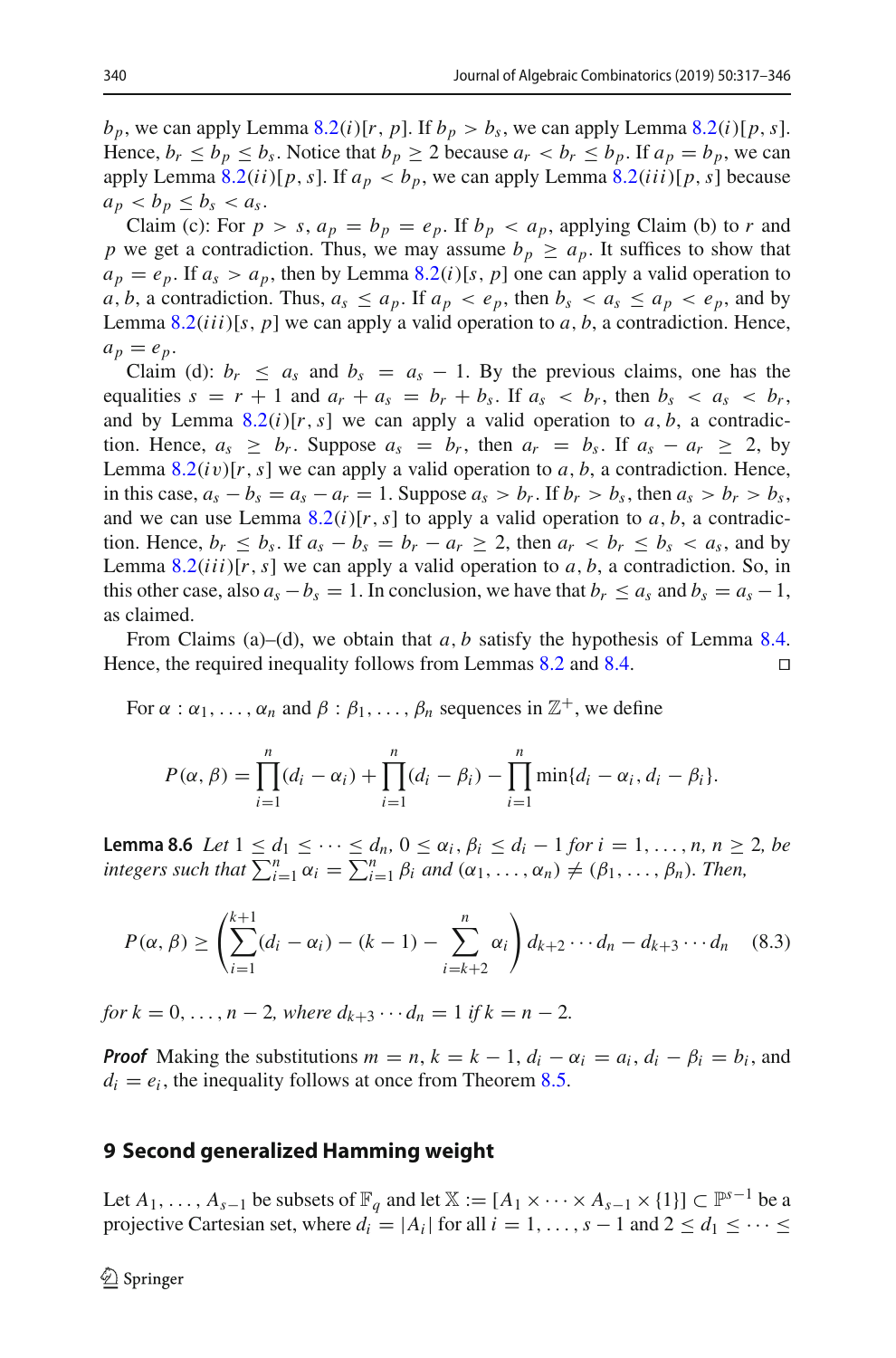$b_p$ , we can apply Lemma [8.2](#page-19-1)(*i*)[*r*, *p*]. If  $b_p > b_s$ , we can apply Lemma 8.2(*i*)[*p*, *s*]. Hence,  $b_r \leq b_p \leq b_s$ . Notice that  $b_p \geq 2$  because  $a_r < b_r \leq b_p$ . If  $a_p = b_p$ , we can apply Lemma  $8.2(ii)[p, s]$  $8.2(ii)[p, s]$ . If  $a_p < b_p$ , we can apply Lemma  $8.2(iii)[p, s]$  because  $a_p < b_p \le b_s < a_s$ .

Claim (c): For  $p > s$ ,  $a_p = b_p = e_p$ . If  $b_p < a_p$ , applying Claim (b) to *r* and *p* we get a contradiction. Thus, we may assume  $b_p \ge a_p$ . It suffices to show that  $a_p = e_p$ . If  $a_s > a_p$ , then by Lemma [8.2](#page-19-1)(*i*)[*s*, *p*] one can apply a valid operation to *a*, *b*, a contradiction. Thus,  $a_s \le a_p$ . If  $a_p \le e_p$ , then  $b_s \le a_s \le a_p \le e_p$ , and by Lemma [8.2](#page-19-1)(*iii*)[*s*, *p*] we can apply a valid operation to *a*, *b*, a contradiction. Hence,  $a_p = e_p$ .

Claim (d):  $b_r \le a_s$  and  $b_s = a_s - 1$ . By the previous claims, one has the equalities  $s = r + 1$  and  $a_r + a_s = b_r + b_s$ . If  $a_s < b_r$ , then  $b_s < a_s < b_r$ , and by Lemma  $8.2(i)[r, s]$  $8.2(i)[r, s]$  we can apply a valid operation to  $a, b$ , a contradiction. Hence,  $a_s \geq b_r$ . Suppose  $a_s = b_r$ , then  $a_r = b_s$ . If  $a_s - a_r \geq 2$ , by Lemma  $8.2(iv)[r, s]$  $8.2(iv)[r, s]$  we can apply a valid operation to *a*, *b*, a contradiction. Hence, in this case,  $a_s - b_s = a_s - a_r = 1$ . Suppose  $a_s > b_r$ . If  $b_r > b_s$ , then  $a_s > b_r > b_s$ , and we can use Lemma  $8.2(i)[r, s]$  $8.2(i)[r, s]$  to apply a valid operation to a, b, a contradiction. Hence,  $b_r \leq b_s$ . If  $a_s - b_s = b_r - a_r \geq 2$ , then  $a_r < b_r \leq b_s < a_s$ , and by Lemma  $8.2(iii)$  $8.2(iii)$ [ $r, s$ ] we can apply a valid operation to  $a, b$ , a contradiction. So, in this other case, also  $a_s - b_s = 1$ . In conclusion, we have that  $b_r \le a_s$  and  $b_s = a_s - 1$ , as claimed.

From Claims (a)–(d), we obtain that *a*, *b* satisfy the hypothesis of Lemma [8.4.](#page-20-1) Hence, the required inequality follows from Lemmas  $8.2$  and  $8.4$ .

For  $\alpha : \alpha_1, \ldots, \alpha_n$  and  $\beta : \beta_1, \ldots, \beta_n$  sequences in  $\mathbb{Z}^+$ , we define

$$
P(\alpha, \beta) = \prod_{i=1}^{n} (d_i - \alpha_i) + \prod_{i=1}^{n} (d_i - \beta_i) - \prod_{i=1}^{n} \min\{d_i - \alpha_i, d_i - \beta_i\}.
$$

<span id="page-23-0"></span>**Lemma 8.6** *Let*  $1 \le d_1 \le \cdots \le d_n$ ,  $0 \le \alpha_i$ ,  $\beta_i \le d_i - 1$  *for*  $i = 1, \ldots, n$ ,  $n \ge 2$ , *be integers such that*  $\sum_{i=1}^{n} \alpha_i = \sum_{i=1}^{n} \beta_i$  *and*  $(\alpha_1, \ldots, \alpha_n) \neq (\beta_1, \ldots, \beta_n)$ *. Then,* 

$$
P(\alpha, \beta) \ge \left(\sum_{i=1}^{k+1} (d_i - \alpha_i) - (k-1) - \sum_{i=k+2}^{n} \alpha_i\right) d_{k+2} \cdots d_n - d_{k+3} \cdots d_n \quad (8.3)
$$

*for*  $k = 0, ..., n - 2$ *, where*  $d_{k+3} \cdots d_n = 1$  *if*  $k = n - 2$ *.* 

*Proof* Making the substitutions  $m = n$ ,  $k = k - 1$ ,  $d_i - \alpha_i = a_i$ ,  $d_i - \beta_i = b_i$ , and  $d_i = e_i$ , the inequality follows at once from Theorem [8.5.](#page-22-0)

#### **9 Second generalized Hamming weight**

Let  $A_1, \ldots, A_{s-1}$  be subsets of  $\mathbb{F}_q$  and let  $\mathbb{X} := [A_1 \times \cdots \times A_{s-1} \times \{1\}] \subset \mathbb{P}^{s-1}$  be a projective Cartesian set, where  $d_i = |A_i|$  for all  $i = 1, \ldots, s - 1$  and  $2 \le d_1 \le \cdots \le d_r$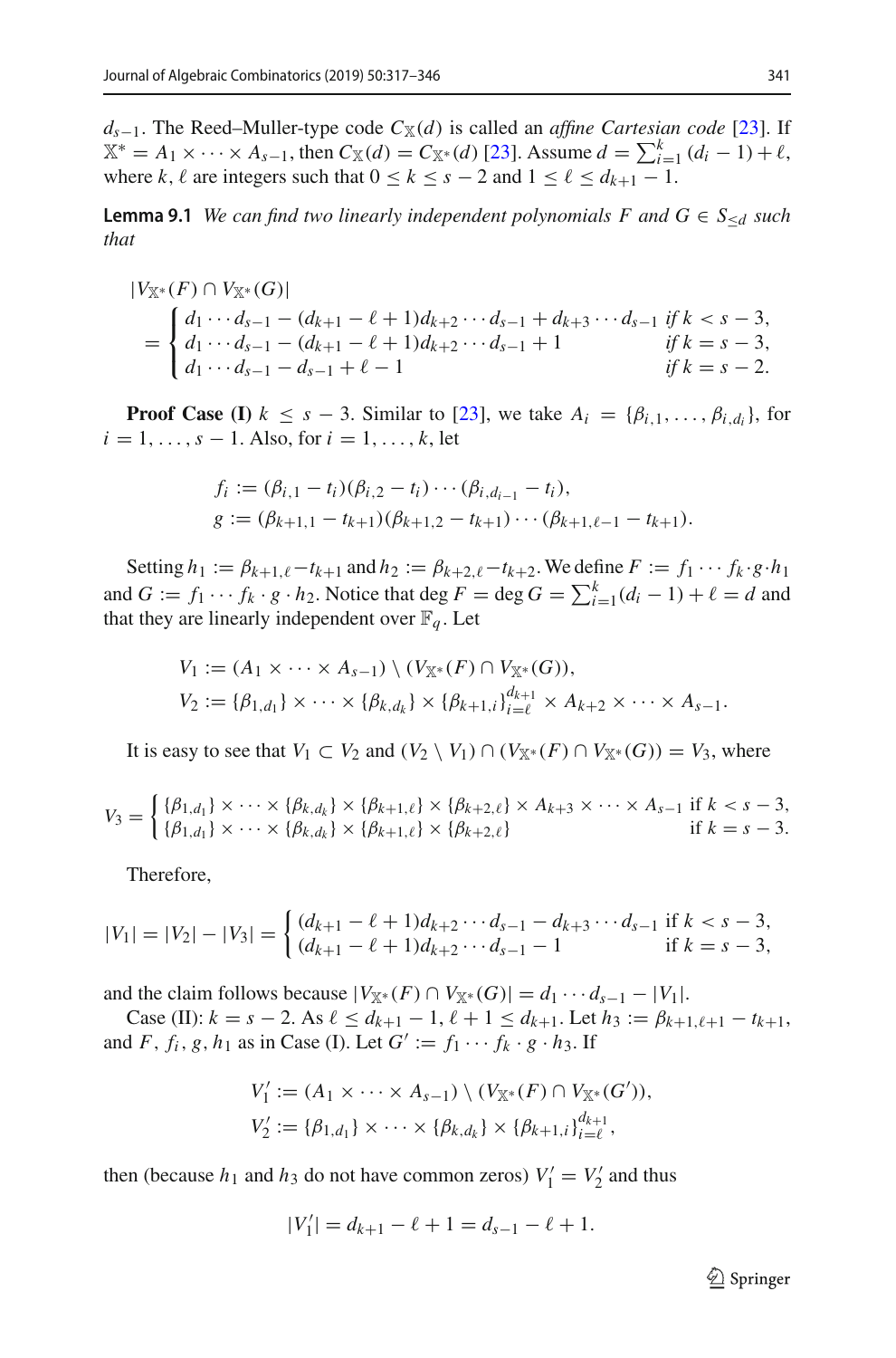*d<sub>s−1</sub>*. The Reed–Muller-type code  $C_X(d)$  is called an *affine Cartesian code* [\[23](#page-28-28)]. If  $X^* = A_1 \times \cdots \times A_{s-1}$ , then  $C_X(d) = C_{X^*}(d)$  [\[23\]](#page-28-28). Assume  $d = \sum_{i=1}^k (d_i - 1) + \ell$ , where *k*,  $\ell$  are integers such that  $0 \le k \le s - 2$  and  $1 \le \ell \le d_{k+1} - 1$ .

**Lemma 9.1** *We can find two linearly independent polynomials F and*  $G \in S_{\le d}$  *such that*

<span id="page-24-0"></span>
$$
|V_{\mathbb{X}^*}(F) \cap V_{\mathbb{X}^*}(G)|
$$
  
= 
$$
\begin{cases} d_1 \cdots d_{s-1} - (d_{k+1} - \ell + 1)d_{k+2} \cdots d_{s-1} + d_{k+3} \cdots d_{s-1} & \text{if } k < s - 3, \\ d_1 \cdots d_{s-1} - (d_{k+1} - \ell + 1)d_{k+2} \cdots d_{s-1} + 1 & \text{if } k = s - 3, \\ d_1 \cdots d_{s-1} - d_{s-1} + \ell - 1 & \text{if } k = s - 2. \end{cases}
$$

**Proof Case (I)**  $k \leq s - 3$ . Similar to [\[23](#page-28-28)], we take  $A_i = \{\beta_{i,1}, \ldots, \beta_{i,d_i}\},$  for  $i = 1, \ldots, s - 1$ . Also, for  $i = 1, \ldots, k$ , let

$$
f_i := (\beta_{i,1} - t_i)(\beta_{i,2} - t_i) \cdots (\beta_{i,d_{i-1}} - t_i),
$$
  

$$
g := (\beta_{k+1,1} - t_{k+1})(\beta_{k+1,2} - t_{k+1}) \cdots (\beta_{k+1,\ell-1} - t_{k+1}).
$$

Setting  $h_1 := \beta_{k+1,\ell} - t_{k+1}$  and  $h_2 := \beta_{k+2,\ell} - t_{k+2}$ . We define  $F := f_1 \cdots f_k \cdot g \cdot h_1$ and  $G := f_1 \cdots f_k \cdot g \cdot h_2$ . Notice that deg  $F = \deg G = \sum_{i=1}^k (d_i - 1) + \ell = d$  and that they are linearly independent over  $\mathbb{F}_q$ . Let

$$
V_1 := (A_1 \times \cdots \times A_{s-1}) \setminus (V_{\mathbb{X}^*}(F) \cap V_{\mathbb{X}^*}(G)),
$$
  
\n
$$
V_2 := \{ \beta_{1,d_1} \} \times \cdots \times \{ \beta_{k,d_k} \} \times \{ \beta_{k+1,i} \}_{i=\ell}^{d_{k+1}} \times A_{k+2} \times \cdots \times A_{s-1}.
$$

It is easy to see that  $V_1 \subset V_2$  and  $(V_2 \setminus V_1) \cap (V_{\mathbb{X}^*}(F) \cap V_{\mathbb{X}^*}(G)) = V_3$ , where

$$
V_3 = \begin{cases} {\{\beta_{1,d_1}\} \times \cdots \times {\{\beta_{k,d_k}\} \times {\{\beta_{k+1,\ell}\} \times {\{\beta_{k+2,\ell}\} \times A_{k+3} \times \cdots \times A_{s-1}}$ if $k < s - 3$,} \\ {\{\beta_{1,d_1}\} \times \cdots \times {\{\beta_{k,d_k}\} \times {\{\beta_{k+1,\ell}\} \times {\{\beta_{k+2,\ell}\}}$ if $k = s - 3$.} \end{cases}
$$

Therefore,

$$
|V_1| = |V_2| - |V_3| = \begin{cases} (d_{k+1} - \ell + 1)d_{k+2} \cdots d_{s-1} - d_{k+3} \cdots d_{s-1} & \text{if } k < s - 3, \\ (d_{k+1} - \ell + 1)d_{k+2} \cdots d_{s-1} - 1 & \text{if } k = s - 3, \end{cases}
$$

and the claim follows because  $|V_{\mathbb{X}^*}(F) \cap V_{\mathbb{X}^*}(G)| = d_1 \cdots d_{s-1} - |V_1|$ .

Case (II):  $k = s - 2$ . As  $\ell \le d_{k+1} - 1$ ,  $\ell + 1 \le d_{k+1}$ . Let  $h_3 := \beta_{k+1,\ell+1} - t_{k+1}$ , and *F*,  $f_i$ ,  $g$ ,  $h_1$  as in Case (I). Let  $G' := f_1 \cdots f_k \cdot g \cdot h_3$ . If

$$
V_1' := (A_1 \times \cdots \times A_{s-1}) \setminus (V_{\mathbb{X}^*}(F) \cap V_{\mathbb{X}^*}(G')),
$$
  

$$
V_2' := \{ \beta_{1,d_1} \} \times \cdots \times \{ \beta_{k,d_k} \} \times \{ \beta_{k+1,i} \}_{i=\ell}^{d_{k+1}},
$$

then (because  $h_1$  and  $h_3$  do not have common zeros)  $V_1' = V_2'$  and thus

$$
|V_1'| = d_{k+1} - \ell + 1 = d_{s-1} - \ell + 1.
$$

 $\mathcal{D}$  Springer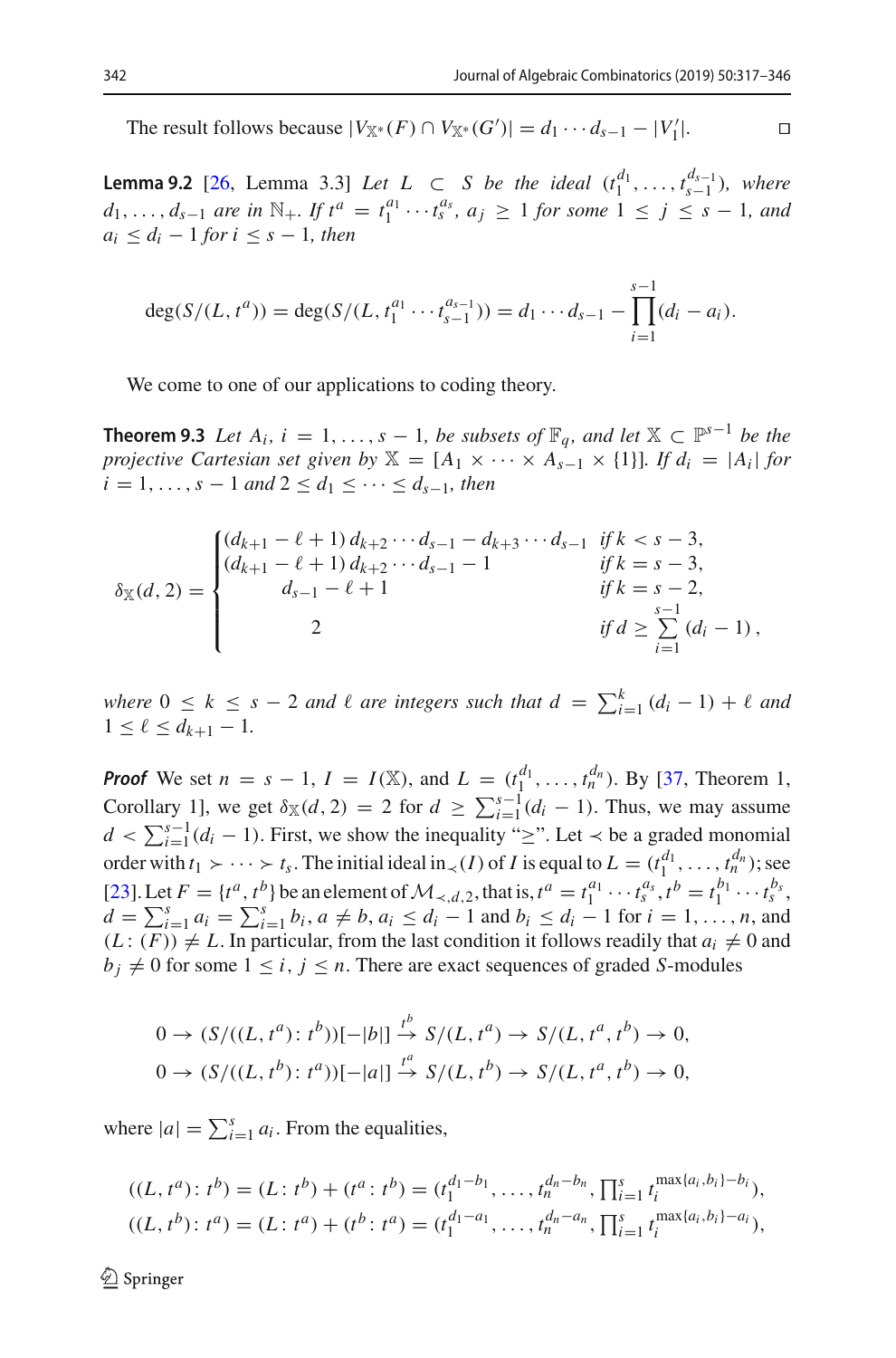<span id="page-25-1"></span>The result follows because 
$$
|V_{\mathbb{X}^*}(F) \cap V_{\mathbb{X}^*}(G')| = d_1 \cdots d_{s-1} - |V'_1|
$$
.

**Lemma 9.2** [\[26,](#page-28-2) Lemma 3.3] *Let L* ⊂ *S be the ideal*  $(t_1^{d_1}, \ldots, t_{s-1}^{d_{s-1}})$ *, where*  $d_1, \ldots, d_{s-1}$  *are in*  $\mathbb{N}_+$ *. If*  $t^a = t_1^{a_1} \cdots t_s^{a_s}$ *,*  $a_j \geq 1$  *for some*  $1 \leq j \leq s-1$ *, and*  $a_i \leq d_i - 1$  *for*  $i \leq s - 1$ *, then* 

$$
\deg(S/(L, t^{a})) = \deg(S/(L, t_1^{a_1} \cdots t_{s-1}^{a_{s-1}})) = d_1 \cdots d_{s-1} - \prod_{i=1}^{s-1} (d_i - a_i).
$$

<span id="page-25-0"></span>We come to one of our applications to coding theory.

**Theorem 9.3** *Let*  $A_i$ ,  $i = 1, ..., s - 1$ , *be subsets of*  $\mathbb{F}_q$ , *and let*  $\mathbb{X} \subset \mathbb{P}^{s-1}$  *be the projective Cartesian set given by*  $X = [A_1 \times \cdots \times A_{s-1} \times \{1\}]$ *. If*  $d_i = |A_i|$  *for*  $i = 1, \ldots, s - 1$  *and*  $2 \le d_1 \le \cdots \le d_{s-1}$ *, then* 

$$
\delta_{\mathbb{X}}(d,2) = \begin{cases}\n(d_{k+1} - \ell + 1) d_{k+2} \cdots d_{s-1} - d_{k+3} \cdots d_{s-1} & \text{if } k < s-3, \\
(d_{k+1} - \ell + 1) d_{k+2} \cdots d_{s-1} - 1 & \text{if } k = s-3, \\
d_{s-1} - \ell + 1 & \text{if } k = s-2, \\
2 & \text{if } d \ge \sum_{i=1}^{s-1} (d_i - 1) \, ,\n\end{cases}
$$

*where*  $0 \leq k \leq s - 2$  *and*  $\ell$  *are integers such that*  $d = \sum_{i=1}^{k} (d_i - 1) + \ell$  *and*  $1 \leq \ell \leq d_{k+1} - 1.$ 

*Proof* We set  $n = s - 1$ ,  $I = I(\mathbb{X})$ , and  $L = (t_1^{d_1}, \ldots, t_n^{d_n})$ . By [\[37](#page-28-8), Theorem 1, Corollary 1], we get  $\delta_{\mathbb{X}}(d, 2) = 2$  for  $d \ge \sum_{i=1}^{s-1} (d_i - 1)$ . Thus, we may assume  $d < \sum_{i=1}^{s-1} (d_i - 1)$ . First, we show the inequality "≥". Let  $\prec$  be a graded monomial order with  $t_1 \succ \cdots \succ t_s$ . The initial ideal in  $\lt(I)$  of *I* is equal to  $L = (t_1^{d_1}, \ldots, t_n^{d_n})$ ; see [\[23](#page-28-28)]. Let  $F = \{t^a, t^b\}$  be an element of  $\mathcal{M}_{\prec, d, 2}$ , that is,  $t^a = t_1^{a_1} \cdots t_s^{a_s}, t^b = t_1^{b_1} \cdots t_s^{b_s}$  $d = \sum_{i=1}^{s} a_i = \sum_{i=1}^{s} b_i, a \neq b, a_i \leq d_i - 1$  and  $b_i \leq d_i - 1$  for  $i = 1, \ldots, n$ , and  $(L: (F)) \neq L$ . In particular, from the last condition it follows readily that  $a_i \neq 0$  and  $b_j \neq 0$  for some  $1 \leq i, j \leq n$ . There are exact sequences of graded *S*-modules

$$
0 \to (S/((L, t^a): t^b))[-|b|] \stackrel{t^b}{\to} S/(L, t^a) \to S/(L, t^a, t^b) \to 0,
$$
  

$$
0 \to (S/((L, t^b): t^a))[-|a|] \stackrel{t^a}{\to} S/(L, t^b) \to S/(L, t^a, t^b) \to 0,
$$

where  $|a| = \sum_{i=1}^{s} a_i$ . From the equalities,

$$
((L, t^a): t^b) = (L: t^b) + (t^a: t^b) = (t_1^{d_1-b_1}, \dots, t_n^{d_n-b_n}, \prod_{i=1}^s t_i^{\max\{a_i, b_i\}-b_i}),
$$
  

$$
((L, t^b): t^a) = (L: t^a) + (t^b: t^a) = (t_1^{d_1-a_1}, \dots, t_n^{d_n-a_n}, \prod_{i=1}^s t_i^{\max\{a_i, b_i\}-a_i}),
$$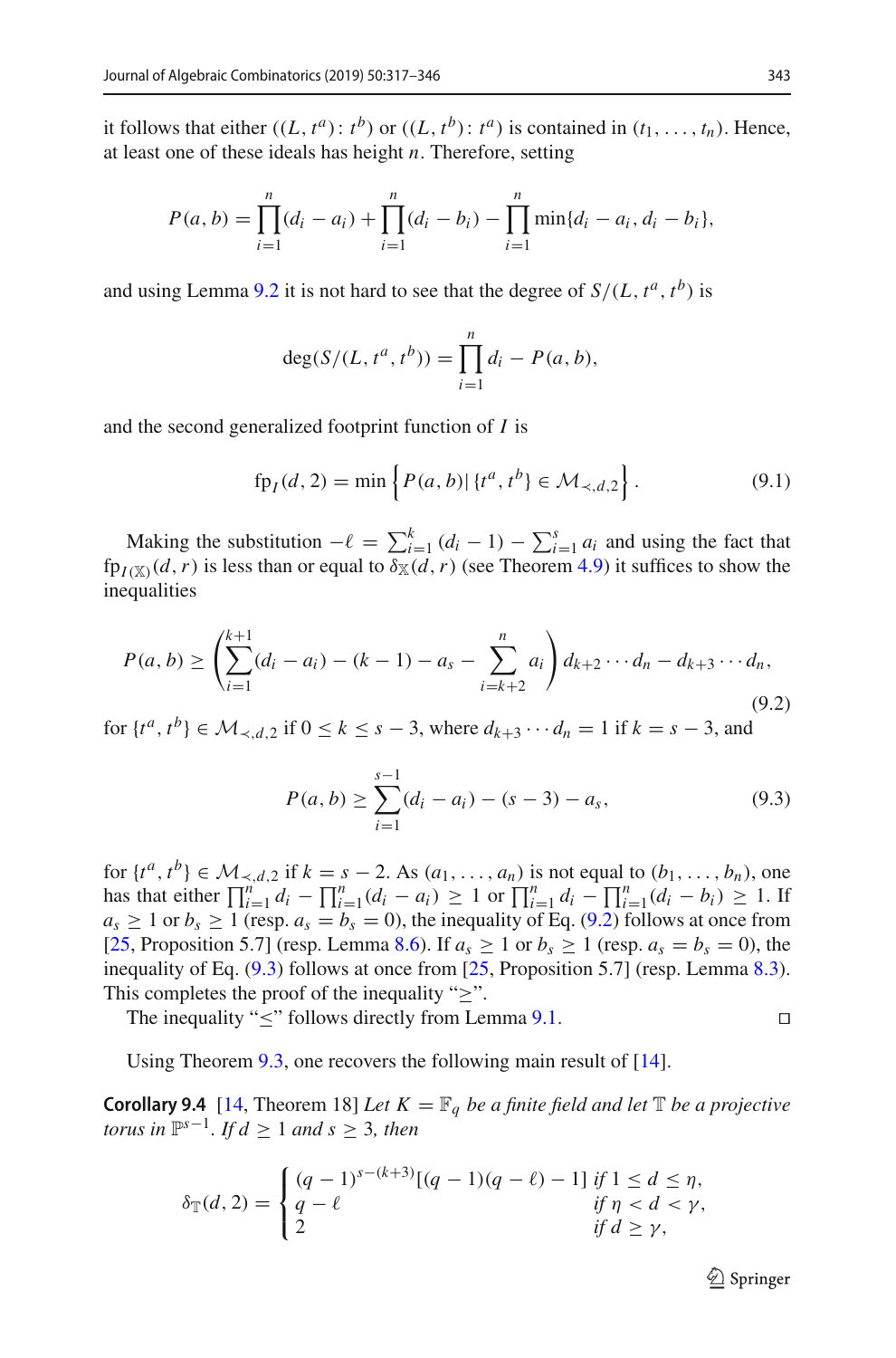it follows that either  $((L, t^a): t^b)$  or  $((L, t^b): t^a)$  is contained in  $(t_1, \ldots, t_n)$ . Hence, at least one of these ideals has height *n*. Therefore, setting

$$
P(a,b) = \prod_{i=1}^{n} (d_i - a_i) + \prod_{i=1}^{n} (d_i - b_i) - \prod_{i=1}^{n} \min\{d_i - a_i, d_i - b_i\},
$$

and using Lemma [9.2](#page-25-1) it is not hard to see that the degree of  $S/(L, t^a, t^b)$  is

$$
\deg(S/(L, t^a, t^b)) = \prod_{i=1}^n d_i - P(a, b),
$$

and the second generalized footprint function of *I* is

<span id="page-26-3"></span>
$$
fp_{I}(d,2) = \min \left\{ P(a,b) | \{t^{a}, t^{b}\} \in \mathcal{M}_{\prec, d,2} \right\}.
$$
 (9.1)

Making the substitution  $-\ell = \sum_{i=1}^{k} (d_i - 1) - \sum_{i=1}^{s} a_i$  and using the fact that  $f_{p_{I(\mathbb{X})}(d, r)}$  is less than or equal to  $\delta_{\mathbb{X}}(d, r)$  (see Theorem [4.9\)](#page-13-0) it suffices to show the inequalities

<span id="page-26-1"></span>
$$
P(a,b) \ge \left(\sum_{i=1}^{k+1} (d_i - a_i) - (k-1) - a_s - \sum_{i=k+2}^n a_i\right) d_{k+2} \cdots d_n - d_{k+3} \cdots d_n,
$$
\n(9.2)

for  $\{t^a, t^b\}$  ∈ *M*<sub>≺,*d*,2</sub> if 0 ≤ *k* ≤ *s* − 3, where  $d_{k+3} \cdots d_n = 1$  if  $k = s - 3$ , and

<span id="page-26-2"></span>
$$
P(a,b) \ge \sum_{i=1}^{s-1} (d_i - a_i) - (s-3) - a_s,
$$
\n(9.3)

for  $\{t^a, t^b\} \in \mathcal{M}_{\prec, d, 2}$  if  $k = s - 2$ . As  $(a_1, \ldots, a_n)$  is not equal to  $(b_1, \ldots, b_n)$ , one has that either  $\prod_{i=1}^{n} d_i - \prod_{i=1}^{n} (d_i - a_i) \ge 1$  or  $\prod_{i=1}^{n} d_i - \prod_{i=1}^{n} (d_i - b_i) \ge 1$ . If  $a_s \geq 1$  or  $b_s \geq 1$  (resp.  $a_s = b_s = 0$ ), the inequality of Eq. [\(9.2\)](#page-26-1) follows at once from [\[25](#page-28-0), Proposition 5.7] (resp. Lemma [8.6\)](#page-23-0). If  $a_s \ge 1$  or  $b_s \ge 1$  (resp.  $a_s = b_s = 0$ ), the inequality of Eq. [\(9.3\)](#page-26-2) follows at once from [\[25](#page-28-0), Proposition 5.7] (resp. Lemma [8.3\)](#page-20-0). This completes the proof of the inequality " $\geq$ ".

The inequality " $\leq$ " follows directly from Lemma [9.1.](#page-24-0)

<span id="page-26-0"></span>Using Theorem [9.3,](#page-25-0) one recovers the following main result of [\[14\]](#page-28-18).

**Corollary 9.4** [\[14](#page-28-18), Theorem 18] *Let*  $K = \mathbb{F}_q$  *be a finite field and let*  $\mathbb{T}$  *be a projective torus in*  $\mathbb{P}^{s-1}$ *. If*  $d \geq 1$  *and*  $s \geq 3$ *, then* 

$$
\delta_{\mathbb{T}}(d,2) = \begin{cases} (q-1)^{s-(k+3)}[(q-1)(q-\ell)-1] & \text{if } 1 \le d \le \eta, \\ q-\ell & \text{if } \eta < d < \gamma, \\ 2 & \text{if } d \ge \gamma, \end{cases}
$$

 $\mathcal{D}$  Springer

$$
\Box
$$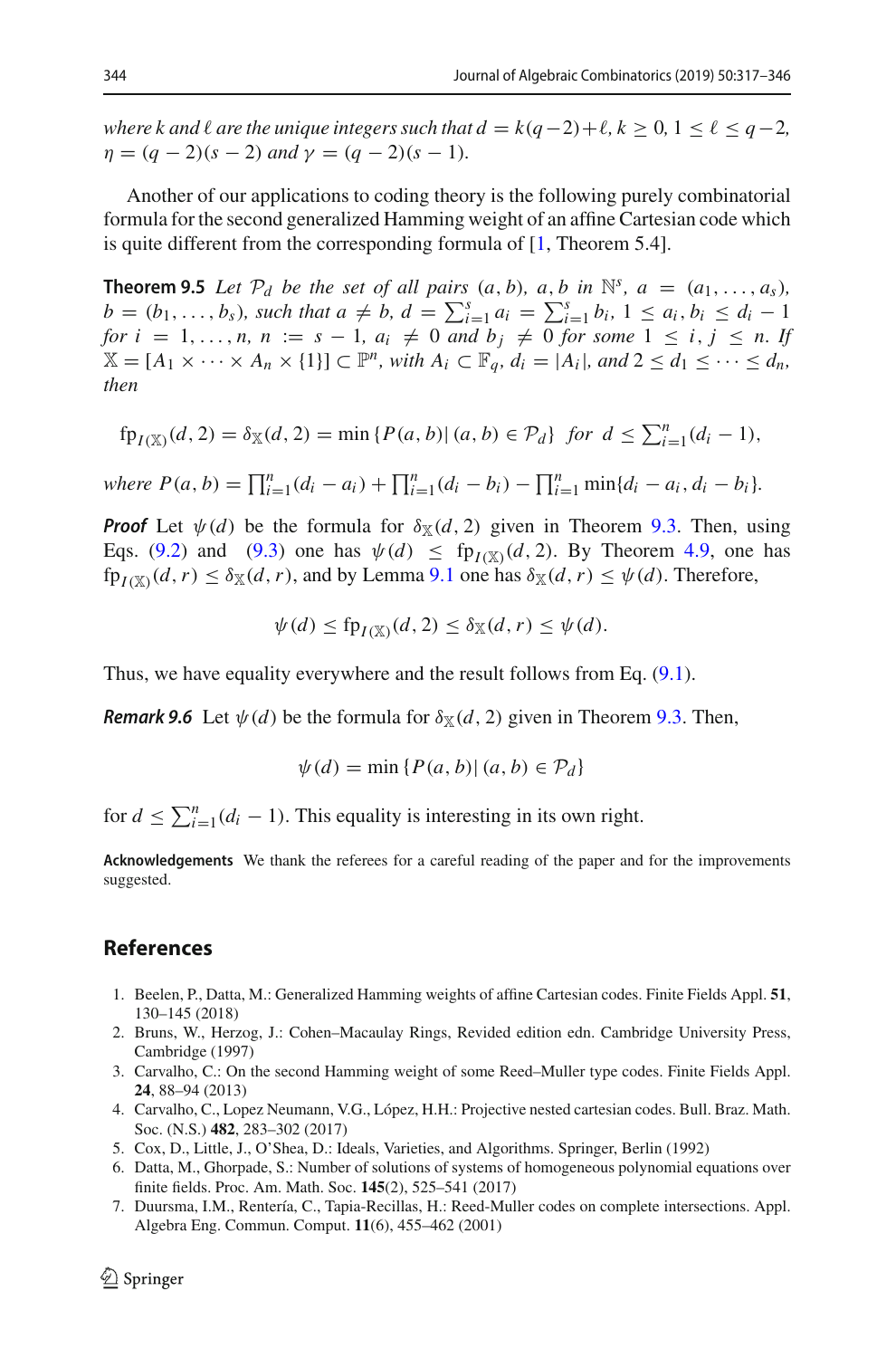*where k and l are the unique integers such that*  $d = k(q-2) + \ell, k \ge 0, 1 \le \ell \le q-2$ *,*  $\eta = (q - 2)(s - 2)$  and  $\gamma = (q - 2)(s - 1)$ .

Another of our applications to coding theory is the following purely combinatorial formula for the second generalized Hamming weight of an affine Cartesian code which is quite different from the corresponding formula of [\[1,](#page-27-5) Theorem 5.4].

<span id="page-27-4"></span>**Theorem 9.5** Let  $P_d$  be the set of all pairs  $(a, b)$ ,  $a, b$  in  $\mathbb{N}^s$ ,  $a = (a_1, \ldots, a_s)$ ,  $b = (b_1, \ldots, b_s)$ , such that  $a \neq b$ ,  $d = \sum_{i=1}^s a_i = \sum_{i=1}^s b_i$ ,  $1 \leq a_i, b_i \leq d_i - 1$ *for*  $i = 1, \ldots, n$ ,  $n := s - 1$ ,  $a_i \neq 0$  *and*  $b_j \neq 0$  *for some*  $1 \leq i, j \leq n$ . If  $\mathbb{X} = [A_1 \times \cdots \times A_n \times \{1\}] \subset \mathbb{P}^n$ , with  $A_i \subset \mathbb{F}_q$ ,  $d_i = |A_i|$ , and  $2 \leq d_1 \leq \cdots \leq d_n$ , *then*

$$
fp_{I(\mathbb{X})}(d,2) = \delta_{\mathbb{X}}(d,2) = \min \{ P(a,b) | (a,b) \in \mathcal{P}_d \} \text{ for } d \le \sum_{i=1}^n (d_i - 1),
$$

*where*  $P(a, b) = \prod_{i=1}^{n} (d_i - a_i) + \prod_{i=1}^{n} (d_i - b_i) - \prod_{i=1}^{n} \min\{d_i - a_i, d_i - b_i\}.$ 

*Proof* Let  $\psi(d)$  be the formula for  $\delta \chi(d, 2)$  given in Theorem [9.3.](#page-25-0) Then, using Eqs. [\(9.2\)](#page-26-1) and [\(9.3\)](#page-26-2) one has  $\psi(d) \leq f_{\text{P}_I(X)}(d, 2)$ . By Theorem [4.9,](#page-13-0) one has  $f p_{I(\mathbb{X})}(d, r) \le \delta_{\mathbb{X}}(d, r)$ , and by Lemma [9.1](#page-24-0) one has  $\delta_{\mathbb{X}}(d, r) \le \psi(d)$ . Therefore,

$$
\psi(d) \leq \mathrm{fp}_{I(\mathbb{X})}(d,2) \leq \delta_{\mathbb{X}}(d,r) \leq \psi(d).
$$

Thus, we have equality everywhere and the result follows from Eq. [\(9.1\)](#page-26-3).

*Remark 9.6* Let  $\psi(d)$  be the formula for  $\delta \chi(d, 2)$  given in Theorem [9.3.](#page-25-0) Then,

$$
\psi(d) = \min\{P(a, b) | (a, b) \in \mathcal{P}_d\}
$$

for  $d \leq \sum_{i=1}^{n} (d_i - 1)$ . This equality is interesting in its own right.

**Acknowledgements** We thank the referees for a careful reading of the paper and for the improvements suggested.

#### **References**

- <span id="page-27-5"></span>1. Beelen, P., Datta, M.: Generalized Hamming weights of affine Cartesian codes. Finite Fields Appl. **51**, 130–145 (2018)
- <span id="page-27-6"></span>2. Bruns, W., Herzog, J.: Cohen–Macaulay Rings, Revided edition edn. Cambridge University Press, Cambridge (1997)
- <span id="page-27-0"></span>3. Carvalho, C.: On the second Hamming weight of some Reed–Muller type codes. Finite Fields Appl. **24**, 88–94 (2013)
- <span id="page-27-2"></span>4. Carvalho, C., Lopez Neumann, V.G., López, H.H.: Projective nested cartesian codes. Bull. Braz. Math. Soc. (N.S.) **482**, 283–302 (2017)
- <span id="page-27-7"></span>5. Cox, D., Little, J., O'Shea, D.: Ideals, Varieties, and Algorithms. Springer, Berlin (1992)
- <span id="page-27-1"></span>6. Datta, M., Ghorpade, S.: Number of solutions of systems of homogeneous polynomial equations over finite fields. Proc. Am. Math. Soc. **145**(2), 525–541 (2017)
- <span id="page-27-3"></span>7. Duursma, I.M., Rentería, C., Tapia-Recillas, H.: Reed-Muller codes on complete intersections. Appl. Algebra Eng. Commun. Comput. **11**(6), 455–462 (2001)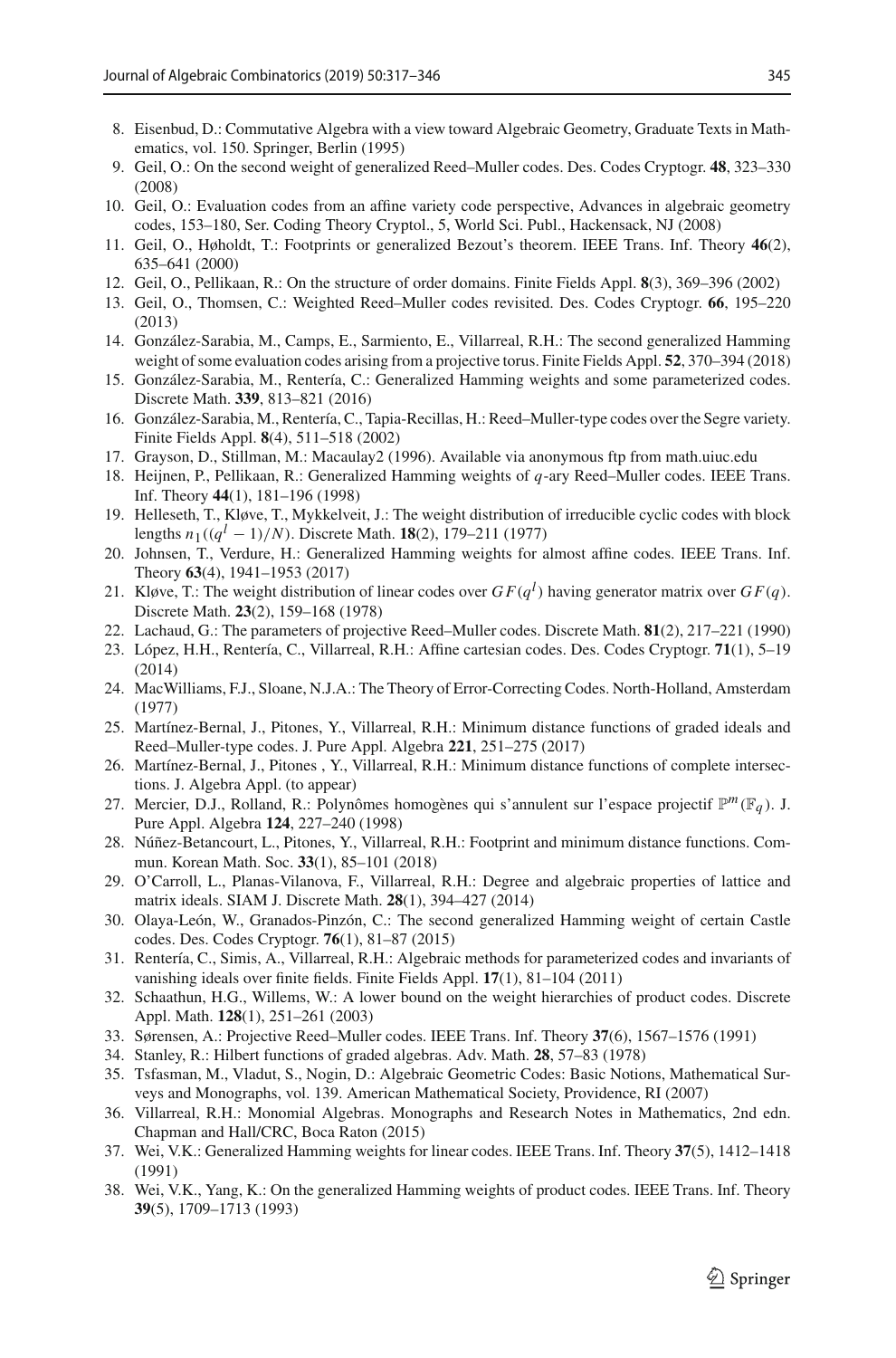- <span id="page-28-23"></span>8. Eisenbud, D.: Commutative Algebra with a view toward Algebraic Geometry, Graduate Texts in Mathematics, vol. 150. Springer, Berlin (1995)
- <span id="page-28-3"></span>9. Geil, O.: On the second weight of generalized Reed–Muller codes. Des. Codes Cryptogr. **48**, 323–330 (2008)
- <span id="page-28-4"></span>10. Geil, O.: Evaluation codes from an affine variety code perspective, Advances in algebraic geometry codes, 153–180, Ser. Coding Theory Cryptol., 5, World Sci. Publ., Hackensack, NJ (2008)
- 11. Geil, O., Høholdt, T.: Footprints or generalized Bezout's theorem. IEEE Trans. Inf. Theory **46**(2), 635–641 (2000)
- <span id="page-28-5"></span>12. Geil, O., Pellikaan, R.: On the structure of order domains. Finite Fields Appl. **8**(3), 369–396 (2002)
- <span id="page-28-15"></span>13. Geil, O., Thomsen, C.: Weighted Reed–Muller codes revisited. Des. Codes Cryptogr. **66**, 195–220 (2013)
- <span id="page-28-18"></span>14. González-Sarabia, M., Camps, E., Sarmiento, E., Villarreal, R.H.: The second generalized Hamming weight of some evaluation codes arising from a projective torus. Finite Fields Appl. **52**, 370–394 (2018)
- <span id="page-28-9"></span>15. González-Sarabia, M., Rentería, C.: Generalized Hamming weights and some parameterized codes. Discrete Math. **339**, 813–821 (2016)
- <span id="page-28-17"></span>16. González-Sarabia, M., Rentería, C., Tapia-Recillas, H.: Reed–Muller-type codes over the Segre variety. Finite Fields Appl. **8**(4), 511–518 (2002)
- <span id="page-28-22"></span>17. Grayson, D., Stillman, M.: Macaulay2 (1996). Available via anonymous ftp from math.uiuc.edu
- <span id="page-28-10"></span>18. Heijnen, P., Pellikaan, R.: Generalized Hamming weights of *q*-ary Reed–Muller codes. IEEE Trans. Inf. Theory **44**(1), 181–196 (1998)
- <span id="page-28-6"></span>19. Helleseth, T., Kløve, T., Mykkelveit, J.: The weight distribution of irreducible cyclic codes with block lengths *<sup>n</sup>*1((*q<sup>l</sup>* <sup>−</sup> <sup>1</sup>)/*N*). Discrete Math. **<sup>18</sup>**(2), 179–211 (1977)
- <span id="page-28-11"></span>20. Johnsen, T., Verdure, H.: Generalized Hamming weights for almost affine codes. IEEE Trans. Inf. Theory **63**(4), 1941–1953 (2017)
- <span id="page-28-7"></span>21. Kløve, T.: The weight distribution of linear codes over  $GF(q^l)$  having generator matrix over  $GF(q)$ . Discrete Math. **23**(2), 159–168 (1978)
- <span id="page-28-19"></span>22. Lachaud, G.: The parameters of projective Reed–Muller codes. Discrete Math. **81**(2), 217–221 (1990)
- <span id="page-28-28"></span>23. López, H.H., Rentería, C., Villarreal, R.H.: Affine cartesian codes. Des. Codes Cryptogr. **71**(1), 5–19 (2014)
- <span id="page-28-24"></span>24. MacWilliams, F.J., Sloane, N.J.A.: The Theory of Error-Correcting Codes. North-Holland, Amsterdam (1977)
- <span id="page-28-0"></span>25. Martínez-Bernal, J., Pitones, Y., Villarreal, R.H.: Minimum distance functions of graded ideals and Reed–Muller-type codes. J. Pure Appl. Algebra **221**, 251–275 (2017)
- <span id="page-28-2"></span>26. Martínez-Bernal, J., Pitones , Y., Villarreal, R.H.: Minimum distance functions of complete intersections. J. Algebra Appl. (to appear)
- <span id="page-28-20"></span>27. Mercier, D.J., Rolland, R.: Polynômes homogènes qui s'annulent sur l'espace projectif P*m*(F*<sup>q</sup>* ). J. Pure Appl. Algebra **124**, 227–240 (1998)
- <span id="page-28-1"></span>28. Núñez-Betancourt, L., Pitones, Y., Villarreal, R.H.: Footprint and minimum distance functions. Commun. Korean Math. Soc. **33**(1), 85–101 (2018)
- <span id="page-28-26"></span>29. O'Carroll, L., Planas-Vilanova, F., Villarreal, R.H.: Degree and algebraic properties of lattice and matrix ideals. SIAM J. Discrete Math. **28**(1), 394–427 (2014)
- <span id="page-28-12"></span>30. Olaya-León, W., Granados-Pinzón, C.: The second generalized Hamming weight of certain Castle codes. Des. Codes Cryptogr. **76**(1), 81–87 (2015)
- <span id="page-28-16"></span>31. Rentería, C., Simis, A., Villarreal, R.H.: Algebraic methods for parameterized codes and invariants of vanishing ideals over finite fields. Finite Fields Appl. **17**(1), 81–104 (2011)
- <span id="page-28-13"></span>32. Schaathun, H.G., Willems, W.: A lower bound on the weight hierarchies of product codes. Discrete Appl. Math. **128**(1), 251–261 (2003)
- <span id="page-28-21"></span>33. Sørensen, A.: Projective Reed–Muller codes. IEEE Trans. Inf. Theory **37**(6), 1567–1576 (1991)
- <span id="page-28-25"></span>34. Stanley, R.: Hilbert functions of graded algebras. Adv. Math. **28**, 57–83 (1978)
- <span id="page-28-14"></span>35. Tsfasman, M., Vladut, S., Nogin, D.: Algebraic Geometric Codes: Basic Notions, Mathematical Surveys and Monographs, vol. 139. American Mathematical Society, Providence, RI (2007)
- <span id="page-28-27"></span>36. Villarreal, R.H.: Monomial Algebras. Monographs and Research Notes in Mathematics, 2nd edn. Chapman and Hall/CRC, Boca Raton (2015)
- <span id="page-28-8"></span>37. Wei, V.K.: Generalized Hamming weights for linear codes. IEEE Trans. Inf. Theory **37**(5), 1412–1418 (1991)
- 38. Wei, V.K., Yang, K.: On the generalized Hamming weights of product codes. IEEE Trans. Inf. Theory **39**(5), 1709–1713 (1993)